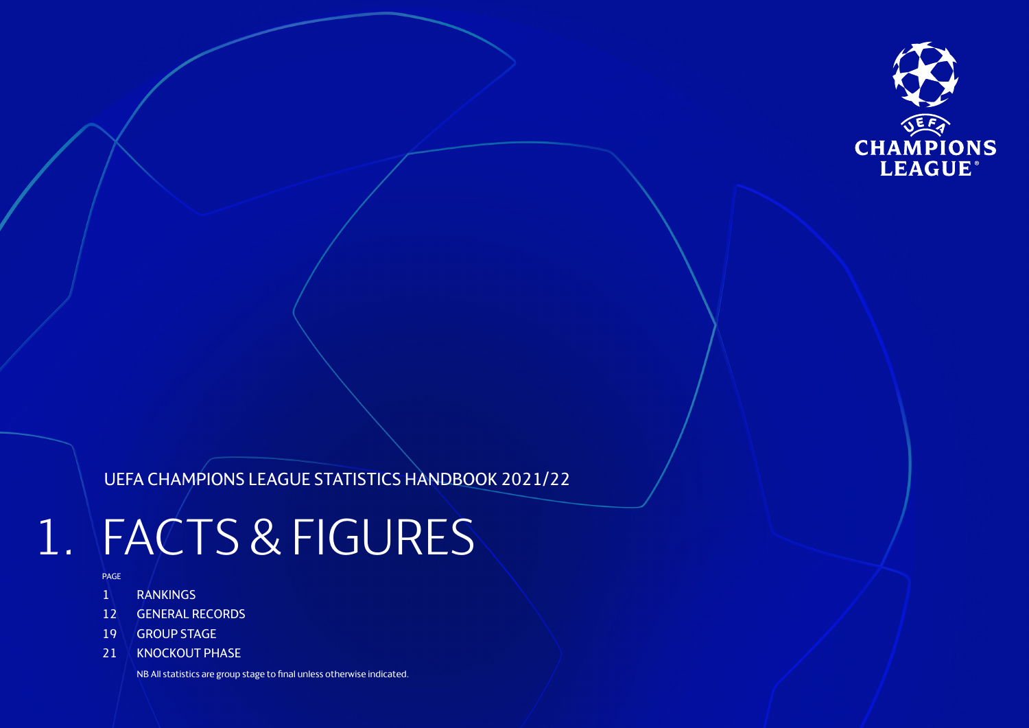

# UEFA CHAMPIONS LEAGUE STATISTICS HANDBOOK 2021/22

# 1. FACTS & FIGURES

- PAGE
- 1 RANKINGS
- 12 GENERAL RECORDS
- 19 GROUP STAGE
- 21 KNOCKOUT PHASE

NB All statistics are group stage to final unless otherwise indicated.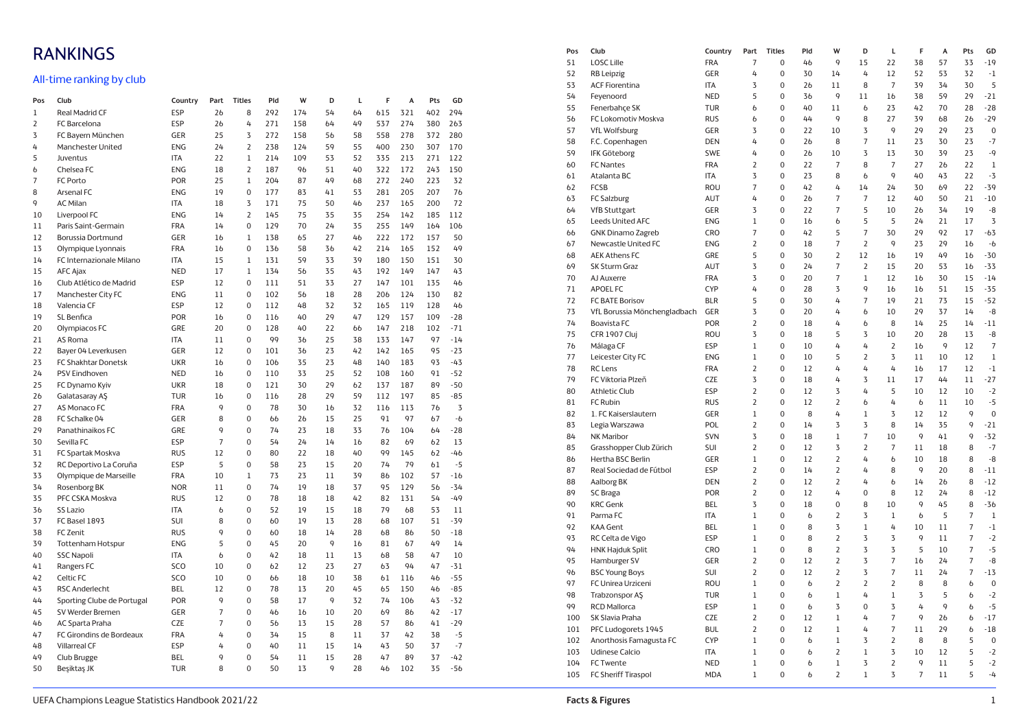# RANKINGS

## All-time ranking by club

| Pos            | Club                       | Country    | Part           | <b>Titles</b>  | Pld | W              | D  | L  | F   | A   | Pts | GD    |  |
|----------------|----------------------------|------------|----------------|----------------|-----|----------------|----|----|-----|-----|-----|-------|--|
| $\mathbf 1$    | Real Madrid CF             | <b>ESP</b> | 26             | 8              | 292 | 174            | 54 | 64 | 615 | 321 | 402 | 294   |  |
| $\overline{2}$ | FC Barcelona               | <b>ESP</b> | 2 <sub>b</sub> | 4              | 271 | 158            | 64 | 49 | 537 | 274 | 380 | 263   |  |
| 3              | FC Bayern München          | GER        | 25             | 3              | 272 | 158            | 56 | 58 | 558 | 278 | 372 | 280   |  |
| 4              | <b>Manchester United</b>   | <b>ENG</b> | 24             | $\overline{2}$ | 238 | 124            | 59 | 55 | 400 | 230 | 307 | 170   |  |
| 5              | Juventus                   | <b>ITA</b> | 22             | $\mathbf{1}$   | 214 | 109            | 53 | 52 | 335 | 213 | 271 | 122   |  |
| 6              | Chelsea FC                 | <b>ENG</b> | 18             | $\overline{2}$ | 187 | 96             | 51 | 40 | 322 | 172 | 243 | 150   |  |
| $\overline{7}$ | <b>FC Porto</b>            | POR        | 25             | $\mathbf{1}$   | 204 | 87             | 49 | 68 | 272 | 240 | 223 | 32    |  |
| 8              | Arsenal FC                 | <b>ENG</b> | 19             | 0              | 177 | 83             | 41 | 53 | 281 | 205 | 207 | 76    |  |
| 9              | <b>AC Milan</b>            | <b>ITA</b> | 18             | 3              | 171 | 75             | 50 | 46 | 237 | 165 | 200 | 72    |  |
| 10             | Liverpool FC               | <b>ENG</b> | 14             | $\overline{2}$ | 145 | 75             | 35 | 35 | 254 | 142 | 185 | 112   |  |
| 11             | Paris Saint-Germain        | <b>FRA</b> | 14             | $\overline{0}$ | 129 | 70             | 24 | 35 | 255 | 149 | 164 | 106   |  |
| 12             | Borussia Dortmund          | GER        | 16             | $\,1$          | 138 | 65             | 27 | 46 | 222 | 172 | 157 | 50    |  |
| 13             | Olympique Lyonnais         | <b>FRA</b> | 16             | $\overline{0}$ | 136 | 58             | 36 | 42 | 214 | 165 | 152 | 49    |  |
| 14             | FC Internazionale Milano   | <b>ITA</b> | 15             | $\,1$          | 131 | 59             | 33 | 39 | 180 | 150 | 151 | 30    |  |
| 15             | <b>AFC Ajax</b>            | <b>NED</b> | 17             | $\mathbf{1}$   | 134 | 56             | 35 | 43 | 192 | 149 | 147 | 43    |  |
| 16             | Club Atlético de Madrid    | <b>ESP</b> | 12             | $\overline{0}$ | 111 | 51             | 33 | 27 | 147 | 101 | 135 | 46    |  |
| 17             | Manchester City FC         | ENG        | 11             | $\overline{0}$ | 102 | 56             | 18 | 28 | 206 | 124 | 130 | 82    |  |
| 18             | Valencia CF                | <b>ESP</b> | 12             | 0              | 112 | 48             | 32 | 32 | 165 | 119 | 128 | 46    |  |
| 19             | SL Benfica                 | POR        | 16             | 0              | 116 | 40             | 29 | 47 | 129 | 157 | 109 | $-28$ |  |
| 20             | Olympiacos FC              | GRE        | 20             | $\overline{0}$ | 128 | 40             | 22 | 66 | 147 | 218 | 102 | $-71$ |  |
| 21             | AS Roma                    | <b>ITA</b> | 11             | 0              | 99  | 36             | 25 | 38 | 133 | 147 | 97  | $-14$ |  |
| 22             | Bayer 04 Leverkusen        | GER        | 12             | $\overline{0}$ | 101 | 36             | 23 | 42 | 142 | 165 | 95  | $-23$ |  |
| 23             | FC Shakhtar Donetsk        | <b>UKR</b> | 16             | 0              | 106 | 35             | 23 | 48 | 140 | 183 | 93  | $-43$ |  |
| 24             | PSV Eindhoven              | <b>NED</b> | 16             | $\overline{0}$ | 110 | 33             | 25 | 52 | 108 | 160 | 91  | $-52$ |  |
| 25             | FC Dynamo Kyiv             | <b>UKR</b> | 18             | 0              | 121 | 30             | 29 | 62 | 137 | 187 | 89  | $-50$ |  |
| 26             | Galatasaray AS             | <b>TUR</b> | 16             | $\overline{0}$ | 116 | 28             | 29 | 59 | 112 | 197 | 85  | $-85$ |  |
| 27             | AS Monaco FC               | <b>FRA</b> | 9              | $\Omega$       | 78  | 30             | 16 | 32 | 116 | 113 | 76  | 3     |  |
| 28             | FC Schalke 04              | GER        | 8              | $\overline{0}$ | 66  | 2 <sub>b</sub> | 15 | 25 | 91  | 97  | 67  | $-6$  |  |
| 29             | Panathinaikos FC           | GRE        | 9              | $\Omega$       | 74  | 23             | 18 | 33 | 76  | 104 | 64  | $-28$ |  |
| 30             | Sevilla FC                 | <b>ESP</b> | $\overline{7}$ | $\overline{0}$ | 54  | 24             | 14 | 16 | 82  | 69  | 62  | 13    |  |
| 31             | FC Spartak Moskva          | <b>RUS</b> | 12             | $\Omega$       | 80  | 22             | 18 | 40 | 99  | 145 | 62  | $-46$ |  |
| 32             | RC Deportivo La Coruña     | <b>ESP</b> | 5              | $\overline{0}$ | 58  | 23             | 15 | 20 | 74  | 79  | 61  | $-5$  |  |
| 33             | Olympique de Marseille     | <b>FRA</b> | 10             | $\mathbf{1}$   | 73  | 23             | 11 | 39 | 86  | 102 | 57  | $-16$ |  |
| 34             | Rosenborg BK               | <b>NOR</b> | 11             | $\overline{0}$ | 74  | 19             | 18 | 37 | 95  | 129 | 56  | $-34$ |  |
| 35             | PFC CSKA Moskva            | <b>RUS</b> | 12             | $\overline{0}$ | 78  | 18             | 18 | 42 | 82  | 131 | 54  | $-49$ |  |
| 36             | <b>SS Lazio</b>            | <b>ITA</b> | $\mathbf b$    | $\Omega$       | 52  | 19             | 15 | 18 | 79  | 68  | 53  | 11    |  |
| 37             | FC Basel 1893              | SUI        | 8              | $\overline{0}$ | 60  | 19             | 13 | 28 | 68  | 107 | 51  | $-39$ |  |
| 38             | FC Zenit                   | <b>RUS</b> | 9              | $\overline{0}$ | 60  | 18             | 14 | 28 | 68  | 86  | 50  | $-18$ |  |
| 39             | <b>Tottenham Hotspur</b>   | <b>ENG</b> | 5              | 0              | 45  | 20             | 9  | 16 | 81  | 67  | 49  | 14    |  |
| 40             | <b>SSC Napoli</b>          | <b>ITA</b> | $\mathbf b$    | $\overline{0}$ | 42  | 18             | 11 | 13 | 68  | 58  | 47  | 10    |  |
| 41             | Rangers FC                 | <b>SCO</b> | 10             | 0              | 62  | 12             | 23 | 27 | 63  | 94  | 47  | $-31$ |  |
| 42             | Celtic FC                  | SCO        | 10             | $\overline{0}$ | 66  | 18             | 10 | 38 | 61  | 116 | 46  | $-55$ |  |
| 43             | <b>RSC Anderlecht</b>      | <b>BEL</b> | 12             | 0              | 78  | 13             | 20 | 45 | 65  | 150 | 46  | $-85$ |  |
| 44             | Sporting Clube de Portugal | POR        | 9              | $\mathbf 0$    | 58  | 17             | 9  | 32 | 74  | 106 | 43  | $-32$ |  |
| 45             | SV Werder Bremen           | GER        | $\overline{7}$ | 0              | 46  | 16             | 10 | 20 | 69  | 86  | 42  | $-17$ |  |
| 46             | AC Sparta Praha            | CZE        | $\overline{7}$ | $\Omega$       | 56  | 13             | 15 | 28 | 57  | 86  | 41  | $-29$ |  |
| 47             | FC Girondins de Bordeaux   | <b>FRA</b> | 4              | $\overline{0}$ | 34  | 15             | 8  | 11 | 37  | 42  | 38  | $-5$  |  |
| 48             | <b>Villarreal CF</b>       | <b>ESP</b> | 4              | $\overline{0}$ | 40  | 11             | 15 | 14 | 43  | 50  | 37  | $-7$  |  |
| 49             | Club Brugge                | BEL        | 9              | $\overline{0}$ | 54  | 11             | 15 | 28 | 47  | 89  | 37  | $-42$ |  |
| 50             | Beşiktaş JK                | <b>TUR</b> | 8              | $\overline{0}$ | 50  | 13             | 9  | 28 | 46  | 102 | 35  | $-56$ |  |

| Pos | Club                         | Country    | Part           | <b>Titles</b>  | Pld           | W              | D                | L              | F              | A  | Pts            | GD          |
|-----|------------------------------|------------|----------------|----------------|---------------|----------------|------------------|----------------|----------------|----|----------------|-------------|
| 51  | <b>LOSC Lille</b>            | <b>FRA</b> | $\overline{7}$ | $\overline{0}$ | 46            | 9              | 15               | 22             | 38             | 57 | 33             | $-19$       |
| 52  | <b>RB</b> Leipzig            | GER        | 4              | $\mathbf 0$    | 30            | 14             | 4                | 12             | 52             | 53 | 32             | $-1$        |
| 53  | <b>ACF Fiorentina</b>        | ITA        | 3              | 0              | 26            | 11             | 8                | $\overline{7}$ | 39             | 34 | 30             | 5           |
| 54  | Feyenoord                    | <b>NED</b> | 5              | 0              | 36            | 9              | 11               | 16             | 38             | 59 | 29             | $-21$       |
| 55  | Fenerbahçe SK                | <b>TUR</b> | 6              | 0              | 40            | 11             | $\mathbf b$      | 23             | 42             | 70 | 28             | $-28$       |
| 56  | FC Lokomotiv Moskva          | <b>RUS</b> | $\mathbf b$    | 0              | 44            | 9              | 8                | 27             | 39             | 68 | 26             | $-29$       |
| 57  | <b>VfL Wolfsburg</b>         | GER        | 3              | 0              | 22            | 10             | 3                | 9              | 29             | 29 | 23             | 0           |
| 58  | F.C. Copenhagen              | <b>DEN</b> | 4              | 0              | 26            | 8              | 7                | 11             | 23             | 30 | 23             | $-7$        |
| 59  | <b>IFK Göteborg</b>          | <b>SWE</b> | 4              | 0              | 26            | 10             | $\overline{3}$   | 13             | 30             | 39 | 23             | $-9$        |
| 60  | <b>FC Nantes</b>             | <b>FRA</b> | $\overline{2}$ | 0              | 22            | 7              | 8                | 7              | 27             | 26 | 22             | $\mathbf 1$ |
| 61  | Atalanta BC                  | <b>ITA</b> | 3              | 0              | 23            | 8              | $\mathbf b$      | 9              | 40             | 43 | 22             | $-3$        |
| 62  | <b>FCSB</b>                  | ROU        | $\overline{7}$ | 0              | 42            | 4              | 14               | 24             | 30             | 69 | 22             | -39         |
| 63  | <b>FC Salzburg</b>           | AUT        | 4              | 0              | 26            | $\overline{7}$ | $\overline{7}$   | 12             | 40             | 50 | 21             | $-10$       |
| 64  | <b>VfB Stuttgart</b>         | GER        | 3              | $\mathbf 0$    | 22            | $\overline{7}$ | 5                | 10             | 26             | 34 | 19             | -8          |
| 65  | Leeds United AFC             | ENG        | $\,1$          | 0              | 16            | 6              | 5                | 5              | 24             | 21 | 17             | 3           |
| 66  | <b>GNK Dinamo Zagreb</b>     | CRO        | $\overline{7}$ | 0              | 42            | 5              | $\overline{7}$   | 30             | 29             | 92 | 17             | $-63$       |
| 67  | Newcastle United FC          | <b>ENG</b> | 2              | $\Omega$       | 18            | $\overline{7}$ | $\overline{2}$   | 9              | 23             | 29 | 16             | -6          |
| 68  | <b>AEK Athens FC</b>         | GRE        | 5              | $\mathbf 0$    | 30            | $\overline{2}$ | 12               | 16             | 19             | 49 | 16             | $-30$       |
| 69  | <b>SK Sturm Graz</b>         | AUT        | 3              | 0              | 24            | $\overline{7}$ | $\overline{2}$   | 15             | 20             | 53 | 16             | $-33$       |
| 70  | AJ Auxerre                   | <b>FRA</b> | 3              | 0              | 20            | $\overline{7}$ | $\,1$            | 12             | 16             | 30 | 15             | $-14$       |
| 71  | <b>APOEL FC</b>              | <b>CYP</b> | 4              | $\mathbf 0$    | 28            | 3              | 9                | 16             | 16             | 51 | 15             | $-35$       |
| 72  | <b>FC BATE Borisov</b>       | <b>BLR</b> | 5              | 0              | 30            | 4              | $\overline{7}$   | 19             | 21             | 73 | 15             | $-52$       |
| 73  | VfL Borussia Mönchengladbach | GER        | 3              | 0              | 20            | 4              | $\mathbf b$      | 10             | 29             | 37 | 14             | -8          |
| 74  | <b>Boavista FC</b>           | POR        | $\overline{2}$ | $\mathbf 0$    | 18            | 4              | 6                | 8              | 14             | 25 | 14             | $-11$       |
| 75  | CFR 1907 Cluj                | ROU        | $\overline{3}$ | 0              | 18            | 5              | 3                | 10             | 20             | 28 | 13             | -8          |
| 76  | Málaga CF                    | ESP        | $\,1$          | 0              | 10            | 4              | 4                | $\overline{2}$ | 16             | 9  | 12             | 7           |
| 77  | Leicester City FC            | ENG        | $\,1$          | 0              | 10            | 5              | $\overline{2}$   | 3              | 11             | 10 | 12             | 1           |
| 78  | <b>RC</b> Lens               | <b>FRA</b> | $\overline{2}$ | 0              | 12            | 4              | 4                | 4              | 16             | 17 | 12             | $-1$        |
| 79  | FC Viktoria Plzeň            | <b>CZE</b> | 3              | 0              | 18            | 4              | 3                | 11             | 17             | 44 | 11             | $-27$       |
| 80  | <b>Athletic Club</b>         | ESP        | $\overline{2}$ | 0              | 12            | 3              | 4                | 5              | 10             | 12 | 10             | $-2$        |
| 81  | <b>FC Rubin</b>              | <b>RUS</b> | $\overline{2}$ | 0              | 12            | $\overline{2}$ | $\mathfrak b$    | 4              | $\mathfrak b$  | 11 | 10             | $-5$        |
| 82  | 1. FC Kaiserslautern         | GER        | $\,1$          | $\mathbf 0$    | 8             | 4              | $\mathbf{1}$     | 3              | 12             | 12 | 9              | $\pmb{0}$   |
| 83  | Legia Warszawa               | POL        | $\overline{2}$ | $\mathbf 0$    | 14            | 3              | 3                | 8              | 14             | 35 | 9              | $-21$       |
| 84  | <b>NK Maribor</b>            | SVN        | 3              | 0              | 18            | $\mathbf{1}$   | $\overline{7}$   | 10             | 9              | 41 | 9              | $-32$       |
| 85  | Grasshopper Club Zürich      | SUI        | 2              | $\Omega$       | 12            | 3              | 2                | 7              | 11             | 18 | 8              | $-7$        |
| 86  | Hertha BSC Berlin            | GER        | $\,1\,$        | $\mathbf 0$    | 12            | $\overline{2}$ | 4                | 6              | 10             | 18 | 8              | -8          |
| 87  | Real Sociedad de Fútbol      | <b>ESP</b> | $\overline{2}$ | 0              | 14            | 2              | 4                | 8              | 9              | 20 | 8              | $-11$       |
| 88  | Aalborg BK                   | <b>DEN</b> | $\overline{2}$ | 0              | 12            | $\overline{2}$ | 4                | $\mathbf b$    | 14             | 26 | 8              | $-12$       |
| 89  | SC Braga                     | POR        | $\overline{2}$ | $\mathbf 0$    | 12            | 4              | $\boldsymbol{0}$ | 8              | 12             | 24 | 8              | $-12$       |
| 90  | <b>KRC Genk</b>              | <b>BEL</b> | $\overline{3}$ | 0              | 18            | 0              | 8                | 10             | 9              | 45 | 8              | $-36$       |
| 91  | Parma FC                     | <b>ITA</b> | $\,1$          | $\mathbf 0$    | 6             | $\overline{2}$ | 3                | $\mathbf 1$    | $\mathbf b$    | 5  | $\overline{7}$ | $\,1$       |
| 92  | <b>KAA Gent</b>              | <b>BEL</b> | $\,1$          | 0              | 8             | $\overline{3}$ | $\overline{1}$   | 4              | 10             | 11 | $\overline{7}$ | $-1$        |
| 93  | RC Celta de Vigo             | ESP        | $\,1$          | 0              | 8             | $\overline{2}$ | 3                | 3              | 9              | 11 | 7              | $-2$        |
| 94  | <b>HNK Hajduk Split</b>      | CRO        | $\,1$          | $\mathbf 0$    | 8             | $\overline{2}$ | 3                | 3              | 5              | 10 | $\overline{7}$ | $-5$        |
| 95  | Hamburger SV                 | GER        | $\overline{2}$ | 0              | 12            | $\overline{2}$ | $\overline{3}$   | $\overline{7}$ | 16             | 24 | $\overline{7}$ | -8          |
| 96  | <b>BSC Young Boys</b>        | SUI        | $\overline{2}$ | 0              | 12            | $\overline{2}$ | 3                | $\overline{7}$ | 11             | 24 | 7              | $-13$       |
| 97  | FC Unirea Urziceni           | ROU        | $\,1$          | $\mathbf 0$    | $\mathfrak b$ | $\overline{2}$ | $\overline{2}$   | $\overline{2}$ | 8              | 8  | $\mathfrak b$  | $\mathbf 0$ |
| 98  | Trabzonspor AŞ               | <b>TUR</b> | $\,1$          | $\mathbf 0$    | $\mathfrak b$ | $\,1$          | 4                | $\,1$          | 3              | 5  | 6              | $-2$        |
| 99  | <b>RCD Mallorca</b>          | <b>ESP</b> | $\,1$          | 0              | $\mathfrak b$ | 3              | $\mathbf 0$      | 3              | 4              | 9  | 6              | $-5$        |
| 100 | SK Slavia Praha              | <b>CZE</b> | 2              | $\Omega$       | 12            | $\mathbf{1}$   | 4                | $\overline{7}$ | $\mathsf{q}$   | 26 | 6              | $-17$       |
| 101 | PFC Ludogorets 1945          | <b>BUL</b> | $\overline{2}$ | $\mathbf 0$    | 12            | $1\,$          | 4                | $\overline{7}$ | 11             | 29 | 6              | $-18$       |
| 102 | Anorthosis Famagusta FC      | CYP        | $\mathbf{1}$   | 0              | $\mathfrak b$ | $\mathbf{1}$   | 3                | $\overline{2}$ | 8              | 8  | 5              | $\mathbf 0$ |
| 103 | <b>Udinese Calcio</b>        | ITA        | $1\,$          | 0              | 6             | $\overline{2}$ | 1                | 3              | 10             | 12 | 5              | $-2$        |
| 104 | FC Twente                    | <b>NED</b> | $\,1\,$        | 0              | $\mathbf b$   | $\,1$          | 3                | $\overline{2}$ | 9              | 11 | 5              | $-2$        |
| 105 | FC Sheriff Tiraspol          | <b>MDA</b> | $\mathbf{1}$   | $\Omega$       | $\mathfrak b$ | $\overline{2}$ | $\mathbf 1$      | 3              | $\overline{7}$ | 11 | 5              | $-4$        |
|     |                              |            |                |                |               |                |                  |                |                |    |                |             |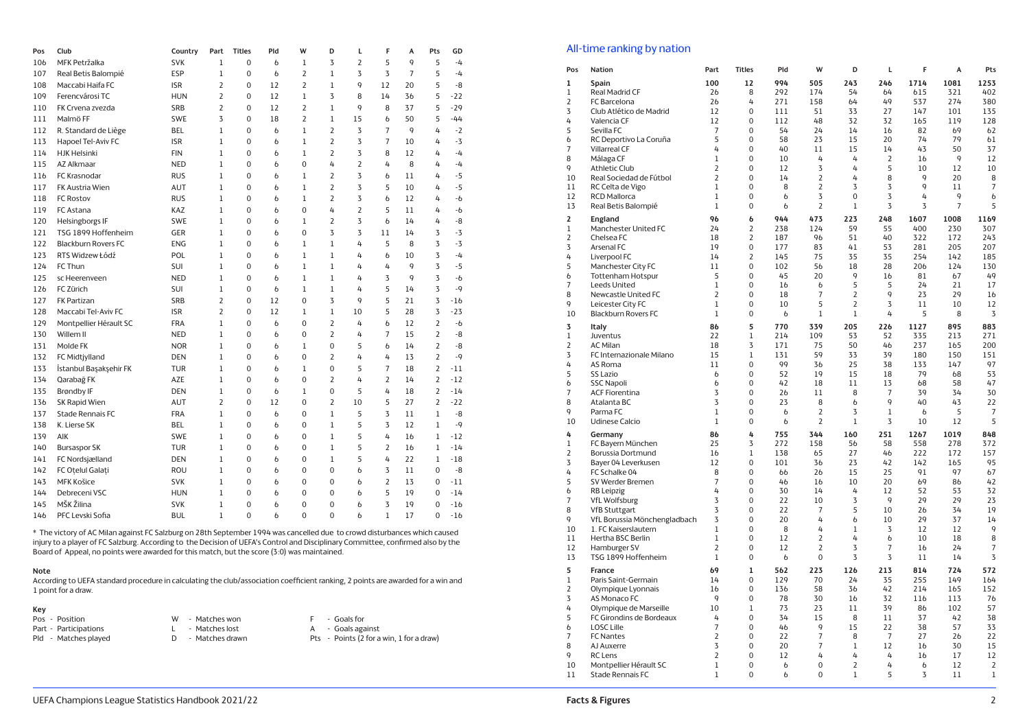| Pos | Club                       | Country    | Part           | <b>Titles</b>    | Pld         | W            | D              | L           | F              | Α  | Pts            | GD    |  |
|-----|----------------------------|------------|----------------|------------------|-------------|--------------|----------------|-------------|----------------|----|----------------|-------|--|
| 106 | MFK Petržalka              | <b>SVK</b> | 1              | 0                | $\mathbf b$ | 1            | 3              | 2           | 5              | 9  | 5              | $-4$  |  |
| 107 | Real Betis Balompié        | ESP        | 1              | $\mathbf 0$      | $\mathbf b$ | 2            | $\mathbf{1}$   | 3           | 3              | 7  | 5              | $-4$  |  |
| 108 | Maccabi Haifa FC           | <b>ISR</b> | 2              | $\mathbf 0$      | 12          | 2            | $\mathbf{1}$   | 9           | 12             | 20 | 5              | -8    |  |
| 109 | Ferencvárosi TC            | <b>HUN</b> | $\overline{2}$ | $\mathbf 0$      | 12          | $\mathbf{1}$ | 3              | 8           | 14             | 36 | 5              | $-22$ |  |
| 110 | FK Crvena zvezda           | <b>SRB</b> | $\overline{2}$ | $\mathbf 0$      | 12          | 2            | $\,1$          | 9           | 8              | 37 | 5              | $-29$ |  |
| 111 | Malmö FF                   | <b>SWE</b> | 3              | $\mathbf 0$      | 18          | 2            | $\mathbf{1}$   | 15          | $\mathbf b$    | 50 | 5              | $-44$ |  |
| 112 | R. Standard de Liège       | BEL        | 1              | $\mathbf 0$      | 6           | 1            | $\overline{2}$ | 3           | $\overline{7}$ | 9  | 4              | $-2$  |  |
| 113 | Hapoel Tel-Aviv FC         | <b>ISR</b> | $\mathbf{1}$   | $\mathbf 0$      | 6           | $\mathbf{1}$ | 2              | 3           | $\overline{7}$ | 10 | 4              | $-3$  |  |
| 114 | <b>HJK Helsinki</b>        | <b>FIN</b> | $\mathbf{1}$   | $\mathbf 0$      | 6           | $\mathbf{1}$ | $\overline{2}$ | 3           | 8              | 12 | 4              | $-4$  |  |
| 115 | <b>AZ Alkmaar</b>          | <b>NED</b> | $\mathbf{1}$   | $\mathbf 0$      | 6           | 0            | 4              | 2           | 4              | 8  | 4              | $-4$  |  |
| 116 | FC Krasnodar               | <b>RUS</b> | $\mathbf{1}$   | $\mathbf 0$      | 6           | 1            | $\overline{2}$ | 3           | $\mathfrak b$  | 11 | 4              | $-5$  |  |
| 117 | FK Austria Wien            | AUT        | $\mathbf{1}$   | $\mathbf 0$      | 6           | $\mathbf{1}$ | $\overline{2}$ | 3           | 5              | 10 | 4              | $-5$  |  |
| 118 | <b>FC Rostov</b>           | <b>RUS</b> | $\mathbf{1}$   | $\mathbf 0$      | 6           | $\mathbf{1}$ | $\overline{2}$ | 3           | $\mathfrak b$  | 12 | 4              | $-6$  |  |
| 119 | FC Astana                  | KAZ        | $\mathbf{1}$   | $\mathbf 0$      | 6           | 0            | 4              | 2           | 5              | 11 | 4              | -b    |  |
| 120 | Helsingborgs IF            | <b>SWE</b> | $\mathbf{1}$   | $\mathbf 0$      | 6           | 1            | $\overline{2}$ | 3           | $\mathbf b$    | 14 | 4              | -8    |  |
| 121 | TSG 1899 Hoffenheim        | GER        | $\mathbf{1}$   | $\mathbf 0$      | 6           | $\Omega$     | 3              | 3           | 11             | 14 | 3              | $-3$  |  |
| 122 | <b>Blackburn Rovers FC</b> | <b>ENG</b> | 1              | 0                | 6           | 1            | $\mathbf{1}$   | 4           | 5              | 8  | 3              | $-3$  |  |
| 123 | RTS Widzew Łódź            | POL        | $\mathbf{1}$   | $\mathbf 0$      | 6           | $\mathbf{1}$ | $\mathbf{1}$   | 4           | $\mathbf b$    | 10 | 3              | $-4$  |  |
| 124 | FC Thun                    | <b>SUI</b> | 1              | 0                | 6           | 1            | $\mathbf{1}$   | 4           | 4              | 9  | 3              | $-5$  |  |
| 125 | sc Heerenveen              | <b>NED</b> | 1              | 0                | 6           | 1            | $\mathbf{1}$   | 4           | 3              | 9  | 3              | -6    |  |
| 126 | FC Zürich                  | SUI        | 1              | 0                | b           | 1            | $\mathbf{1}$   | 4           | 5              | 14 | 3              | $-9$  |  |
| 127 | <b>FK Partizan</b>         | <b>SRB</b> | 2              | 0                | 12          | 0            | 3              | 9           | 5              | 21 | 3              | $-16$ |  |
| 128 | Maccabi Tel-Aviv FC        | <b>ISR</b> | 2              | $\mathbf 0$      | 12          | 1            | $\mathbf{1}$   | 10          | 5              | 28 | 3              | $-23$ |  |
| 129 | Montpellier Hérault SC     | <b>FRA</b> | 1              | $\mathbf 0$      | 6           | 0            | $\overline{2}$ | 4           | $\mathfrak b$  | 12 | 2              | -b    |  |
| 130 | Willem II                  | <b>NED</b> | 1              | 0                | 6           | 0            | $\overline{2}$ | 4           | $\overline{7}$ | 15 | 2              | -8    |  |
| 131 | Molde FK                   | <b>NOR</b> | 1              | 0                | 6           | 1            | 0              | 5           | $\mathfrak b$  | 14 | 2              | -8    |  |
| 132 | <b>FC Midtjylland</b>      | DEN        | 1              | 0                | 6           | 0            | $\overline{2}$ | 4           | 4              | 13 | $\overline{2}$ | $-9$  |  |
| 133 | İstanbul Başakşehir FK     | TUR        | $\mathbf{1}$   | $\mathbf 0$      | 6           | 1            | 0              | 5           | $\overline{7}$ | 18 | $\overline{2}$ | $-11$ |  |
| 134 | Qarabağ FK                 | AZE        | 1              | $\mathbf 0$      | 6           | 0            | $\overline{2}$ | 4           | $\overline{2}$ | 14 | $\overline{2}$ | $-12$ |  |
| 135 | <b>Brøndby IF</b>          | DEN        | 1              | $\boldsymbol{0}$ | 6           | 1            | 0              | 5           | 4              | 18 | 2              | $-14$ |  |
| 136 | SK Rapid Wien              | AUT        | 2              | $\boldsymbol{0}$ | 12          | 0            | $\overline{2}$ | 10          | 5              | 27 | $\overline{2}$ | $-22$ |  |
| 137 | <b>Stade Rennais FC</b>    | <b>FRA</b> | $\mathbf{1}$   | $\boldsymbol{0}$ | $\mathbf b$ | 0            | $\,1$          | 5           | 3              | 11 | $\mathbf{1}$   | -8    |  |
| 138 | K. Lierse SK               | BEL        | 1              | $\mathbf 0$      | 6           | 0            | $\mathbf{1}$   | 5           | 3              | 12 | $\mathbf{1}$   | $-9$  |  |
| 139 | AIK                        | <b>SWE</b> | 1              | $\mathbf 0$      | 6           | 0            | $\,1$          | 5           | 4              | 16 | $\mathbf{1}$   | $-12$ |  |
| 140 | <b>Bursaspor SK</b>        | <b>TUR</b> | 1              | $\mathbf 0$      | 6           | $\Omega$     | $\mathbf{1}$   | 5           | $\overline{2}$ | 16 | $\mathbf{1}$   | $-14$ |  |
| 141 | FC Nordsjælland            | DEN        | 1              | $\mathbf 0$      | 6           | $\mathbf 0$  | $\mathbf{1}$   | 5           | 4              | 22 | $\mathbf{1}$   | $-18$ |  |
| 142 | FC Oțelul Galați           | ROU        | $\mathbf{1}$   | $\mathbf 0$      | 6           | 0            | 0              | $\mathbf b$ | 3              | 11 | 0              | -8    |  |
| 143 | <b>MFK Košice</b>          | <b>SVK</b> | $\mathbf{1}$   | $\mathbf 0$      | 6           | 0            | 0              | $\mathbf b$ | $\overline{2}$ | 13 | 0              | $-11$ |  |
| 144 | Debreceni VSC              | <b>HUN</b> | 1              | $\mathbf 0$      | 6           | 0            | 0              | $\mathbf b$ | 5              | 19 | 0              | $-14$ |  |
| 145 | MŠK Žilina                 | <b>SVK</b> | $\mathbf{1}$   | $\Omega$         | 6           | $\Omega$     | $\Omega$       | 6           | 3              | 19 | $\Omega$       | $-16$ |  |
| 146 | PFC Levski Sofia           | <b>BUL</b> | $\mathbf{1}$   | $\Omega$         | 6           | $\Omega$     | $\Omega$       | 6           | $\mathbf{1}$   | 17 | $\Omega$       | $-16$ |  |

\* The victory of AC Milan against FC Salzburg on 28th September 1994 was cancelled due to crowd disturbances which caused<br>injury to a player of FC Salzburg. According to the Decision of UEFA's Control and Disciplinary Comm Board of Appeal, no points were awarded for this match, but the score (3:0) was maintained.

#### **Note**

According to UEFA standard procedure in calculating the club/association coefficient ranking, 2 points are awarded for a win and 1 point for a draw.

#### **Key** Pos

| Pos - Position        | W<br>- Matches won              |  |
|-----------------------|---------------------------------|--|
| Part - Participations | - Matches lost                  |  |
| Pld - Matches played  | - Matches drawn<br><sub>D</sub> |  |

F - Goals for A - Goals against Pts - Points  $(2$  for a win, 1 for a draw)

## **All-time ranking by nation**

| Pos                 | Nation                                    | Part              | <b>Titles</b>    | Pld            | W              | D                 | L              | F              | A                 | Pts                |
|---------------------|-------------------------------------------|-------------------|------------------|----------------|----------------|-------------------|----------------|----------------|-------------------|--------------------|
| 1                   | Spain                                     | 100               | 12               | 994            | 505            | 243               | 246            | 1714           | 1081              | 1253               |
| 1                   | Real Madrid CF                            | 26                | 8                | 292            | 174            | 54                | 64             | 615            | 321               | 402                |
| 2                   | FC Barcelona                              | 26                | 4                | 271            | 158            | 64                | 49             | 537            | 274               | 380                |
| 3                   | Club Atlético de Madrid                   | 12                | 0                | 111            | 51             | 33                | 27             | 147            | 101               | 135                |
| 4                   | Valencia CF                               | 12                | $\mathbf 0$      | 112            | 48             | 32                | 32             | 165            | 119               | 128                |
| 5                   | Sevilla FC                                | 7                 | 0                | 54             | 24             | 14                | 16             | 82             | 69                | 62                 |
| 6                   | RC Deportivo La Coruña                    | 5                 | 0                | 58             | 23             | 15                | 20             | 74             | 79                | 61                 |
| $\overline{7}$<br>8 | <b>Villarreal CF</b>                      | 4<br>$\mathbf 1$  | $\Omega$<br>0    | $40^{1}$<br>10 | 11<br>4        | 15<br>4           | 14<br>2        | 43<br>16       | 50<br>$\mathsf q$ | 37<br>12           |
| 9                   | Málaga CF<br><b>Athletic Club</b>         | 2                 | $\Omega$         | 12             | 3              | 4                 | 5              | 10             | 12                | 10                 |
| 10                  | Real Sociedad de Fútbol                   | $\overline{2}$    | 0                | 14             | 2              | 4                 | 8              | 9              | 20                | 8                  |
| 11                  | RC Celta de Vigo                          | $1\,$             | 0                | 8              | 2              | 3                 | 3              | 9              | 11                | $\overline{7}$     |
| 12                  | <b>RCD Mallorca</b>                       | $\mathbf{1}$      | 0                | $\mathbf b$    | 3              | $\mathbf 0$       | 3              | 4              | 9                 | $\mathfrak b$      |
| 13                  | Real Betis Balompié                       | $1\,$             | 0                | 6              | $\overline{2}$ | $\mathbf 1$       | 3              | 3              | $\overline{7}$    | 5                  |
| 2                   | England                                   | 96                | 6                | 944            | 473            | 223               | 248            | 1607           | 1008              | 1169               |
| $\,1$               | Manchester United FC                      | 24                | 2                | 238            | 124            | 59                | 55             | 400            | 230               | 307                |
| 2                   | Chelsea FC                                | 18                | 2                | 187            | 96             | 51                | 40             | 322            | 172               | 243                |
| 3                   | Arsenal FC                                | 19                | $\mathbf 0$      | 177            | 83             | 41                | 53             | 281            | 205               | 207                |
| 4                   | Liverpool FC                              | 14                | $\overline{2}$   | 145            | 75             | 35                | 35             | 254            | 142               | 185                |
| 5                   | Manchester City FC                        | 11                | 0                | 102            | 56             | 18                | 28             | 206            | 124               | 130                |
| 6                   | <b>Tottenham Hotspur</b>                  | 5                 | $\Omega$         | 45             | 20             | 9                 | 16             | 81             | 67                | 49                 |
| 7                   | <b>Leeds United</b>                       | 1                 | 0                | 16             | 6              | 5                 | 5              | 24             | 21                | 17                 |
| 8                   | Newcastle United FC                       | $\overline{2}$    | 0                | 18             | $\overline{7}$ | $\overline{2}$    | 9              | 23             | 29                | 16                 |
| 9                   | Leicester City FC                         | 1                 | 0                | 10             | 5              | $\overline{2}$    | 3              | 11             | 10                | 12                 |
| 10                  | <b>Blackburn Rovers FC</b>                | $1\,$             | $\mathbf 0$      | 6              | 1              | $\mathbf 1$       | 4              | 5              | 8                 | 3                  |
| 3                   | Italy                                     | 86                | 5                | 770            | 339            | 205               | 226            | 1127           | 895               | 883                |
| $\,1$               | Juventus                                  | 22                | $\mathbf{1}$     | 214            | 109            | 53                | 52             | 335            | 213               | 271                |
| 2                   | <b>AC Milan</b>                           | 18                | 3                | 171            | 75             | 50                | 46             | 237            | 165               | 200                |
| 3                   | FC Internazionale Milano                  | 15                | 1                | 131            | 59             | 33                | 39             | 180            | 150               | 151                |
| 4<br>5              | AS Roma                                   | 11                | 0<br>$\mathbf 0$ | 99<br>52       | 36<br>19       | 25<br>15          | 38<br>18       | 133<br>79      | 147<br>68         | 97<br>53           |
| 6                   | <b>SS Lazio</b><br><b>SSC Napoli</b>      | 6<br>$\mathbf b$  | $\Omega$         | 42             | 18             | 11                | 13             | 68             | 58                | 47                 |
| 7                   | <b>ACF Fiorentina</b>                     | 3                 | 0                | 26             | 11             | 8                 | $\overline{7}$ | 39             | 34                | 30                 |
| 8                   | Atalanta BC                               | 3                 | 0                | 23             | 8              | $\mathbf b$       | 9              | 40             | 43                | 22                 |
| 9                   | Parma FC                                  | $1\,$             | 0                | 6              | 2              | $\overline{3}$    | 1              | 6              | 5                 | $\overline{7}$     |
| 10                  | <b>Udinese Calcio</b>                     | 1                 | $\mathbf 0$      | 6              | $\overline{2}$ | $\mathbf 1$       | 3              | 10             | 12                | 5                  |
| 4                   | Germany                                   | 86                | 4                | 755            | 344            | 160               | 251            | 1267           | 1019              | 848                |
| $1\,$               | FC Bayern München                         | 25                | 3                | 272            | 158            | 56                | 58             | 558            | 278               | 372                |
| $\overline{2}$      | Borussia Dortmund                         | 16                | 1                | 138            | 65             | 27                | 46             | 222            | 172               | 157                |
| 3                   | Bayer 04 Leverkusen                       | 12                | 0                | 101            | 36             | 23                | 42             | 142            | 165               | 95                 |
| 4                   | FC Schalke 04                             | 8                 | 0                | 66             | 26             | 15                | 25             | 91             | 97                | 67                 |
| 5                   | SV Werder Bremen                          | $\overline{7}$    | 0                | 46             | 16             | 10                | 20             | 69             | 86                | 42                 |
| 6                   | <b>RB</b> Leipzig                         | 4                 | 0                | 30             | 14             | 4                 | 12             | 52             | 53                | 32                 |
| 7                   | <b>VfL Wolfsburg</b>                      | 3                 | 0                | 22             | 10             | 3                 | 9              | 29             | 29                | 23                 |
| 8                   | <b>VfB Stuttgart</b>                      | 3                 | $\Omega$         | 22             | 7              | 5                 | 10             | 2 <sub>b</sub> | 34                | 19                 |
| 9<br>10             | VfL Borussia Mönchengladbach              | 3<br>$\mathbf{1}$ | 0<br>$\Omega$    | 20<br>8        | 4<br>4         | 6<br>$\mathbf{1}$ | 10<br>3        | 29<br>12       | 37<br>12          | 14<br>$\mathsf{q}$ |
| 11                  | 1. FC Kaiserslautern<br>Hertha BSC Berlin | $\mathbf 1$       | 0                | 12             | 2              | 4                 | 6              | 10             | 18                | 8                  |
| 12                  | Hamburger SV                              | $\overline{2}$    | $\mathbf 0$      | 12             | 2              | 3                 | $\overline{7}$ | 16             | 24                | $\overline{7}$     |
| 13                  | TSG 1899 Hoffenheim                       | $\mathbf{1}$      | 0                | $\mathfrak b$  | $\mathbf 0$    | 3                 | 3              | 11             | 14                | 3                  |
| 5                   | France                                    | 69                | $\mathbf{1}$     | 562            | 223            | 126               | 213            | 814            | 724               | 572                |
| 1                   | Paris Saint-Germain                       | 14                | 0                | 129            | 70             | 24                | 35             | 255            | 149               | 164                |
| 2                   | Olympique Lyonnais                        | 16                | $\Omega$         | 136            | 58             | 36                | 42             | 214            | 165               | 152                |
| 3                   | AS Monaco FC                              | 9                 | 0                | 78             | 30             | 16                | 32             | 116            | 113               | 76                 |
| 4                   | Olympique de Marseille                    | 10                | 1                | 73             | 23             | 11                | 39             | 86             | 102               | 57                 |
| 5                   | FC Girondins de Bordeaux                  | 4                 | 0                | 34             | 15             | 8                 | 11             | 37             | 42                | 38                 |
| 6                   | <b>LOSC Lille</b>                         | $\overline{7}$    | 0                | 46             | 9              | 15                | 22             | 38             | 57                | 33                 |
| $\overline{7}$      | <b>FC Nantes</b>                          | $\overline{2}$    | $\Omega$         | 22             | $\overline{7}$ | 8                 | $\overline{7}$ | 27             | 2 <sub>b</sub>    | 22                 |
| 8<br>9              | AJ Auxerre                                | 3                 | 0<br>0           | 20             | 7<br>4         | 1<br>4            | 12<br>4        | 16             | 30<br>17          | 15<br>12           |
| 10                  | <b>RC</b> Lens<br>Montpellier Hérault SC  | 2<br>1            | $\Omega$         | 12<br>6        | 0              | 2                 | 4              | 16<br>6        | 12                | 2                  |
| 11                  | Stade Rennais FC                          | $\,1$             | 0                | 6              | 0              | $\mathbf 1$       | 5              | 3              | 11                | $\,1$              |
|                     |                                           |                   |                  |                |                |                   |                |                |                   |                    |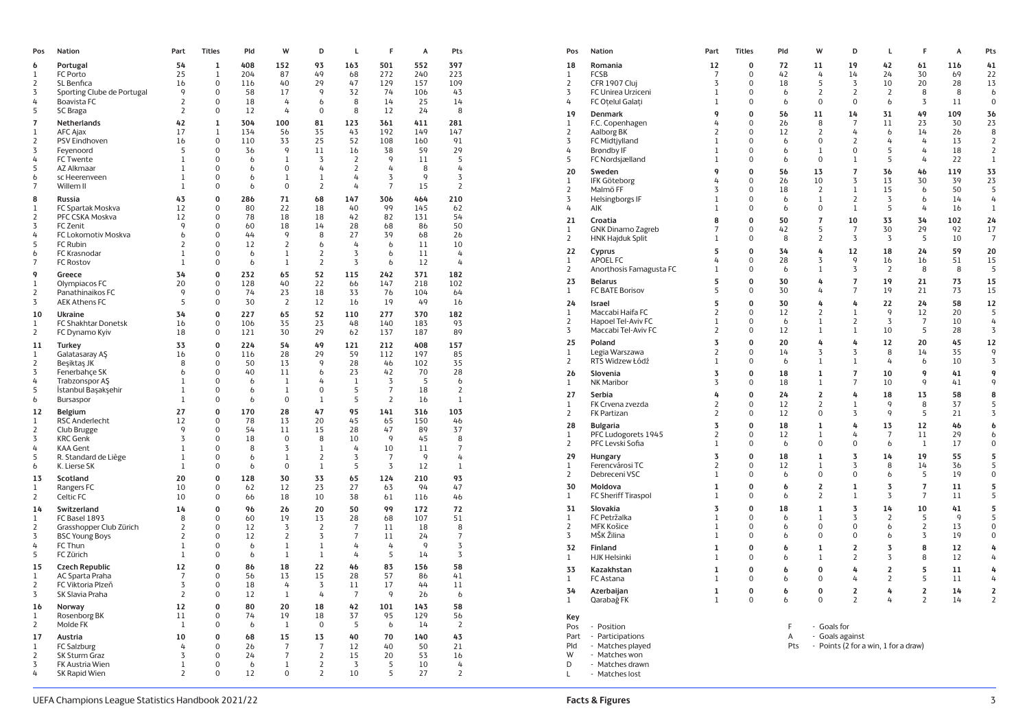| Pos            | Nation                                   | Part           | <b>Titles</b>           | Pld           | W              | D              | Г              | F              | A              | Pts            |
|----------------|------------------------------------------|----------------|-------------------------|---------------|----------------|----------------|----------------|----------------|----------------|----------------|
| 6              | Portugal                                 | 54             | 1                       | 408           | 152            | 93             | 163            | 501            | 552            | 397            |
| 1              | FC Porto                                 | 25             | $\mathbf 1$             | 204           | 87             | 49             | 68             | 272            | 240            | 223            |
| 2              | SL Benfica                               | 16             | $\mathbf 0$             | 116           | 40             | 29             | 47             | 129            | 157            | 109            |
| 3              | Sporting Clube de Portugal               | 9              | $\mathbf 0$             | 58            | 17             | 9              | 32             | 74             | 106            | 43             |
| 4              | Boavista FC                              | 2              | $\mathbf 0$             | 18            | 4              | b              | 8              | 14             | 25             | 14             |
| 5              | SC Braga                                 | $\overline{2}$ | $\mathbf 0$             | 12            | 4              | $\mathbf 0$    | 8              | 12             | 24             | 8              |
| $\overline{7}$ | Netherlands                              | 42             | $\mathbf{1}$            | 304           | 100            | 81             | 123            | 361            | 411            | 281            |
| $\,1$          | <b>AFC Ajax</b>                          | 17             | $1\,$                   | 134           | 56             | 35             | 43             | 192            | 149            | 147            |
| 2              | PSV Eindhoven                            | 16             | $\mathbf 0$             | 110           | 33             | 25             | 52             | 108            | 160            | 91             |
| 3              | Feyenoord                                | 5              | $\mathbf 0$             | 36            | 9              | 11             | 16             | 38             | 59             | 29             |
| 4              | FC Twente                                | $\mathbf{1}$   | $\Omega$                | $\mathbf b$   | $\mathbf{1}$   | 3              | 2              | 9              | 11             | 5              |
| 5              | AZ Alkmaar                               | 1              | $\mathbf 0$             | b             | $\mathbf 0$    | 4              | $\overline{2}$ | 4              | 8              | 4              |
| 6              | sc Heerenveen                            | 1              | $\mathbf 0$             | 6             | 1              | 1              | 4              | 3              | 9              | 3              |
| 7              | Willem II                                | $\mathbf 1$    | $\mathbf 0$             | $\mathfrak b$ | $\mathbf{0}$   | $\overline{2}$ | 4              | $\overline{7}$ | 15             | $\overline{2}$ |
| 8              | <b>Russia</b>                            | 43             | $\mathbf 0$             | 286           | 71             | 68             | 147            | 306            | 464            | 210            |
| $\,1$          | FC Spartak Moskva                        | 12             | $\mathbf 0$             | 80            | 22             | 18             | 40             | 99             | 145            | 62             |
| 2              | PFC CSKA Moskva                          | 12             | $\mathbf 0$             | 78            | 18             | 18             | 42             | 82             | 131            | 54             |
| 3              | FC Zenit                                 | 9              | $\mathbf 0$             | 60            | 18             | 14             | 28             | 68             | 86             | 50             |
| 4              | FC Lokomotiv Moskva                      | b              | $\Omega$                | 44            | 9              | 8              | 27             | 39             | 68             | 26             |
| 5              | FC Rubin                                 | 2              | $\mathbf 0$             | 12            | $\overline{2}$ | 6              | 4              | $\mathfrak b$  | 11             | 10             |
| 6              | FC Krasnodar                             | $\mathbf 1$    | $\mathbf 0$             | $\mathfrak b$ | $1\,$          | 2              | 3              | b              | 11             | 4              |
| 7              | <b>FC Rostov</b>                         | $1\,$          | $\mathbf 0$             | $\mathfrak b$ | $1\,$          | $\overline{2}$ | 3              | $\mathfrak b$  | 12             | 4              |
| 9              | Greece                                   | 34             | $\mathbf{0}$            | 232           | 65             | 52             | 115            | 242            | 371            | 182            |
| $\mathbf 1$    | Olympiacos FC                            | 20             | $\mathbf 0$             | 128           | 40             | 22             | 66             | 147            | 218            | 102            |
| 2              | Panathinaikos FC                         | 9              | $\mathbf 0$             | 74            | 23             | 18             | 33             | 76             | 104            | 64             |
| 3              | <b>AEK Athens FC</b>                     | 5              | $\mathbf 0$             | 30            | $\overline{2}$ | 12             | 16             | 19             | 49             | 16             |
| 10             | <b>Ukraine</b>                           | 34             | $\mathbf 0$             | 227           | 65             | 52             | 110            | 277            | 370            | 182            |
| 1              | FC Shakhtar Donetsk                      | 16             | $\mathbf 0$             | 106           | 35             | 23             | 48             | 140            | 183            | 93             |
| 2              | FC Dynamo Kyiv                           | 18             | $\mathbf 0$             | 121           | 30             | 29             | 62             | 137            | 187            | 89             |
| 11             | <b>Turkey</b>                            | 33             | $\mathbf 0$             | 224           | 54             | 49             | 121            | 212            | 408            | 157            |
| $\mathbf 1$    | Galatasaray AŞ                           | 16             | $\mathbf 0$             | 116           | 28             | 29             | 59             | 112            | 197            | 85             |
| $\overline{2}$ | Beşiktaş JK                              | 8              | $\Omega$                | 50            | 13             | 9              | 28             | 46             | 102            | 35             |
| 3              | Fenerbahçe SK                            | 6              | $\Omega$                | 40            | 11             | 6              | 23             | 42             | 70             | 28             |
| 4              | <b>Trabzonspor AS</b>                    | $\mathbf 1$    | $\mathbf 0$             | $\mathfrak b$ | $\mathbf{1}$   | 4              | $\mathbf{1}$   | 3              | 5              | $\mathfrak b$  |
| 5              | İstanbul Başakşehir                      | $\mathbf 1$    | $\Omega$                | $\mathfrak b$ | $\mathbf{1}$   | 0              | 5              | $\overline{7}$ | 18             | 2              |
| 6              | Bursaspor                                | $\mathbf{1}$   | $\mathbf 0$             | $\mathfrak b$ | $\mathbf 0$    | $\,1$          | 5              | $\overline{2}$ | 16             | $1\,$          |
| 12             | Belgium                                  | 27             | $\bf{0}$                | 170           | 28             | 47             | 95             | 141            | 316            | 103            |
| 1              | <b>RSC Anderlecht</b>                    | 12             | $\mathbf 0$             | 78            | 13             | 20             | 45             | 65             | 150            | 46             |
| 2              | Club Brugge                              | 9              | $\Omega$                | 54            | 11             | 15             | 28             | 47             | 89             | 37             |
| 3              | <b>KRC Genk</b>                          | 3              | $\Omega$                | 18            | $\mathbf{0}$   | 8              | 10             | 9              | 45             | 8              |
| 4              | <b>KAA Gent</b>                          | 1              | $\mathbf 0$             | 8             | 3              | $\mathbf 1$    | 4              | 10             | 11             | 7              |
| 5              | R. Standard de Liège                     | 1              | $\mathbf 0$             | b             | $\mathbf{1}$   | $\overline{2}$ | 3              | $\overline{7}$ | $\mathsf{Q}$   | 4              |
| $\mathfrak b$  | K. Lierse SK                             | $\mathbf{1}$   | 0                       | 6             | $\mathbf 0$    | $\mathbf 1$    | 5              | 3              | 12             | $\mathbf{1}$   |
| 13             | Scotland                                 | 20             | $\mathbf 0$             | 128           | 30             | 33             | 65             | 124            | 210            | 93             |
| 1              | Rangers FC                               | 10             | $\mathbf 0$             | 62            | 12             | 23             | 27             | 63             | 94             | 47             |
| 2              | Celtic FC                                | 10             | $\mathbf 0$             | 66            | 18             | 10             | 38             | 61             | 116            | 46             |
|                |                                          |                |                         |               |                |                |                | 99             |                |                |
| 14<br>1        | Switzerland                              | 14<br>8        | $\bf{0}$<br>$\mathbf 0$ | 96<br>60      | 26<br>19       | 20<br>13       | 50<br>28       | 68             | 172<br>107     | 72<br>51       |
| 2              | FC Basel 1893<br>Grasshopper Club Zürich | $\overline{2}$ | $\mathbf{0}$            | 12            | 3              | $\overline{2}$ | $\overline{7}$ | 11             | 18             | 8              |
| 3              | <b>BSC Young Boys</b>                    | $\overline{2}$ | $\mathbf{0}$            | 12            | $\overline{2}$ | 3              | $\overline{7}$ | 11             | 24             | $\overline{7}$ |
| 4              | FC Thun                                  | $\mathbf 1$    | $\mathbf 0$             | b             | $\mathbf 1$    | $\mathbf 1$    | 4              | 4              | 9              | 3              |
| 5              | FC Zürich                                | $1\,$          | $\mathbf{0}$            | $\mathfrak b$ | $1\,$          | $\,1$          | 4              | 5              | 14             | 3              |
|                |                                          |                |                         |               |                |                |                |                |                |                |
| 15             | <b>Czech Republic</b>                    | 12             | $\mathbf{0}$            | 86            | 18             | 22             | 46             | 83             | 156            | 58             |
| 1              | AC Sparta Praha                          | 7              | $\mathbf 0$             | 56            | 13             | 15             | 28             | 57             | 86             | 41             |
| 2              | FC Viktoria Plzeň                        | 3              | $\mathbf 0$             | 18            | 4              | 3              | 11             | 17<br>9        | 44             | 11             |
| 3              | SK Slavia Praha                          | $\overline{2}$ | $\mathbf{0}$            | 12            | $1\,$          | 4              | $\overline{7}$ |                | 2 <sub>b</sub> | $\mathfrak b$  |
| 16             | Norway                                   | 12             | $\mathbf 0$             | 80            | 20             | 18             | 42             | 101            | 143            | 58             |
| 1              | Rosenborg BK                             | 11             | $\mathbf{0}$            | 74            | 19             | 18             | 37             | 95             | 129            | 56             |
| 2              | Molde FK                                 | 1              | 0                       | b             | 1              | 0              | 5              | b              | 14             | 2              |
| 17             | Austria                                  | 10             | $\mathbf 0$             | 68            | 15             | 13             | 40             | 70             | 140            | 43             |
| 1              | <b>FC Salzburg</b>                       | 4              | $\mathbf 0$             | 26            | 7              | 7              | 12             | 40             | 50             | 21             |
| $\overline{2}$ | <b>SK Sturm Graz</b>                     | 3              | $\mathbf 0$             | 24            | $\overline{7}$ | $\overline{2}$ | 15             | 20             | 53             | 16             |
| 3              | FK Austria Wien                          | 1              | 0                       | b             | $\mathbf 1$    | $\overline{2}$ | 3              | 5              | 10             | 4              |
| 4              | SK Rapid Wien                            | 2              | 0                       | 12            | $\mathbf 0$    | $\overline{2}$ | 10             | 5              | 27             | $\overline{2}$ |

| 2<br>397<br>18<br>Romania<br>12<br>0<br>72<br>11<br>19<br>42<br>61<br>116<br>41<br>0<br>223<br><b>FCSB</b><br>$\overline{7}$<br>$\mathbf 0$<br>42<br>4<br>14<br>24<br>30<br>69<br>22<br>$\mathbf{1}$<br>7<br>109<br>$\overline{2}$<br>CFR 1907 Cluj<br>3<br>18<br>5<br>$\overline{3}$<br>10<br>20<br>28<br>13<br>$\mathbf 0$<br>$\overline{2}$<br>$\overline{2}$<br>43<br>3<br>FC Unirea Urziceni<br>0<br>2<br>8<br>8<br>6<br>1<br>6<br>6<br>5<br>14<br>4<br>FC Otelul Galati<br>$\mathbf{1}$<br>$\mathbf 0$<br>$\mathbf b$<br>$\mathbf 0$<br>$\mathbf 0$<br>$\mathbf b$<br>3<br>11<br>$\mathbf 0$<br>8<br>4<br>9<br>$\mathbf 0$<br>109<br>19<br>56<br>11<br>14<br>31<br>49<br>36<br>Denmark<br>281<br>4<br>$\mathbf 0$<br>23<br>30<br>23<br>1<br>$\mathbf{1}$<br>F.C. Copenhagen<br>26<br>8<br>$\overline{7}$<br>11<br>147<br>$\overline{2}$<br>Aalborg BK<br>$\overline{2}$<br>$\mathbf 0$<br>$\overline{2}$<br>4<br>14<br>2 <sub>b</sub><br>8<br>9<br>12<br>$\mathfrak b$<br>0<br>91<br>3<br>$\mathbf 0$<br>$\mathbf 0$<br>$\overline{2}$<br>$\overline{4}$<br>13<br>$\overline{2}$<br>FC Midtjylland<br>$\mathbf 1$<br>4<br>b<br>9<br>29<br>$\mathbf 0$<br>5<br>$\overline{2}$<br>4<br><b>Brøndby IF</b><br>$\mathbf 1$<br>$\mathfrak b$<br>$\mathbf 1$<br>$\mathbf 0$<br>4<br>18<br>5<br>FC Nordsjælland<br>$\boldsymbol{0}$<br>$\mathbf 0$<br>5<br>1<br>5<br>$\mathbf 1$<br>$\mathfrak b$<br>$\mathbf{1}$<br>4<br>22<br>$\mathbf{1}$<br>8<br>4<br>$\overline{7}$<br>20<br>9<br>$\bf{0}$<br>33<br>Sweden<br>56<br>13<br>36<br>46<br>119<br>9<br>3<br>$\mathbf{1}$<br>IFK Göteborg<br>4<br>$\mathbf 0$<br>2 <sub>b</sub><br>10<br>$\overline{3}$<br>13<br>30<br>39<br>23<br>5<br>2<br>$\overline{2}$<br>Malmö FF<br>3<br>$\mathbf 0$<br>$\overline{2}$<br>$\,1$<br>15<br>50<br>5<br>18<br>b<br>210<br>3<br>$\overline{2}$<br>4<br>Helsingborgs IF<br>0<br>$\mathbf 1$<br>3<br>14<br>4<br>1<br>b<br>b<br>5<br>4<br>AIK<br>$\mathbf 0$<br>$\mathbf 0$<br>$\mathbf{1}$<br>5<br>16<br>62<br>1<br>$\mathbf b$<br>4<br>1<br>$\mathbf{1}$<br>54<br>$\overline{\phantom{a}}$<br>21<br>8<br>$\mathbf 0$<br>50<br>10<br>33<br>102<br>24<br>Croatia<br>34<br>50<br>6<br>$\overline{7}$<br>$\mathbf 0$<br>5<br>30<br>29<br>92<br>17<br>$\mathbf{1}$<br><b>GNK Dinamo Zagreb</b><br>42<br>$\overline{7}$<br>8<br>26<br>$\overline{2}$<br>$1\,$<br>$\boldsymbol{0}$<br>8<br>$\overline{2}$<br>$\overline{3}$<br>$\overline{3}$<br>5<br>10<br>$\overline{7}$<br><b>HNK Hajduk Split</b><br>10<br>1<br>4<br>18<br>24<br>59<br>20<br>22<br>Cyprus<br>5<br>$\bf{0}$<br>34<br>12<br>4<br>1<br>4<br>$\mathbf 0$<br>28<br>3<br>9<br>51<br>15<br>$\mathbf{1}$<br><b>APOEL FC</b><br>16<br>16<br>2<br>4<br>2<br>Anorthosis Famagusta FC<br>$\mathbf 1$<br>0<br>$\mathfrak b$<br>$\mathbf 1$<br>3<br>2<br>8<br>8<br>5<br>182<br>1<br>$\overline{7}$<br>23<br>5<br>0<br>30<br>19<br>73<br>15<br>4<br>21<br><b>Belarus</b><br>8<br>102<br>$\mathbf{1}$<br>FC BATE Borisov<br>5<br>$\mathbf 0$<br>30<br>4<br>$\overline{7}$<br>19<br>21<br>73<br>15<br>4<br>64<br>9<br>16<br>5<br>$\mathbf 0$<br>24<br>30<br>4<br>4<br>22<br>24<br>58<br>12<br>Israel<br>$\overline{2}$<br>$\mathbf 0$<br>12<br>$\overline{2}$<br>9<br>20<br>$\mathbf{1}$<br>Maccabi Haifa FC<br>$\mathbf{1}$<br>12<br>5<br>0<br>182<br>$\overline{3}$<br>2<br>Hapoel Tel-Aviv FC<br>$\mathbf 1$<br>$\mathbf 0$<br>$\mathbf{1}$<br>$\overline{2}$<br>$\overline{7}$<br>10<br>4<br>$\mathbf b$<br>93<br>3<br>3<br>Maccabi Tel-Aviv FC<br>$\overline{2}$<br>$\boldsymbol{0}$<br>$\,1$<br>$\,1$<br>10<br>5<br>3<br>12<br>28<br>89<br>7<br>25<br>3<br>$\mathbf 0$<br>20<br>4<br>4<br>12<br>20<br>45<br>12<br>Poland<br>8<br>157<br>3<br>3<br>2<br>0<br>35<br>9<br>1<br>Legia Warszawa<br>14<br>8<br>14<br>85<br>7<br>2<br>RTS Widzew Łódź<br>$\mathbf{1}$<br>$\mathbf 0$<br>$\mathbf{1}$<br>$\mathbf{1}$<br>4<br>10<br>3<br>$\mathbf b$<br>b<br>2<br>35<br>0<br>28<br>$\overline{\phantom{a}}$<br>3<br>$\mathbf 0$<br>$\mathbf 1$<br>9<br>9<br>26<br>18<br>41<br>Slovenia<br>10<br>5<br>6<br>3<br>$\mathbf 0$<br>$\overline{7}$<br>9<br>9<br>$\mathbf{1}$<br><b>NK Maribor</b><br>18<br>$\mathbf{1}$<br>10<br>41<br>8<br>2<br>$\overline{\mathbf{c}}$<br>27<br>4<br>0<br>8<br>Serbia<br>24<br>4<br>18<br>13<br>58<br>6<br>1<br>$\mathbf{1}$<br>FK Crvena zvezda<br>2<br>$\Omega$<br>12<br>2<br>$\mathbf{1}$<br>9<br>8<br>37<br>5<br>103<br>6<br>9<br>$\overline{2}$<br>$\overline{2}$<br>$\mathbf 0$<br>12<br>$\mathbf 0$<br>5<br>21<br>3<br>FK Partizan<br>3<br>0<br>46<br>28<br>3<br>$\mathbf 0$<br>18<br>$\mathbf 1$<br>4<br>13<br>12<br>46<br>6<br><b>Bulgaria</b><br>9<br>37<br>$\overline{2}$<br>29<br>PFC Ludogorets 1945<br>0<br>12<br>$\mathbf 1$<br>4<br>1<br>7<br>11<br>6<br>5<br>8<br>2<br>PFC Levski Sofia<br>$\mathbf{1}$<br>$\mathbf 0$<br>$\mathbf 0$<br>$\mathbf 0$<br>17<br>$\mathbf 0$<br>$\mathbf b$<br>$\mathbf b$<br>1<br>7<br>1<br>$\mathbf 0$<br>$\mathbf 1$<br>$\overline{3}$<br>5<br>29<br>3<br>18<br>14<br>19<br>55<br>Hungary<br>9<br>$\overline{4}$<br>Ferencvárosi TC<br>$\overline{2}$<br>$\mathbf 0$<br>5<br>2<br>$\mathbf{1}$<br>12<br>$\mathbf{1}$<br>3<br>8<br>14<br>36<br>$1\,$<br>2<br>Debreceni VSC<br>$\mathbf 1$<br>0<br>0<br>$\mathbf 0$<br>5<br>19<br>0<br>b<br>b<br>0<br>93<br>$\overline{2}$<br>$\mathbf{1}$<br>$\overline{7}$<br>5<br>30<br>Moldova<br>$\mathbf{1}$<br>$\mathbf 0$<br>$\mathbf b$<br>$\overline{3}$<br>11<br>47<br>4<br>FC Sheriff Tiraspol<br>$\mathbf 0$<br>$\overline{2}$<br>3<br>$\overline{7}$<br>5<br>$\mathbf{1}$<br>$1\,$<br>$\mathfrak b$<br>$1\,$<br>11<br>6<br>46<br>$\overline{3}$<br>5<br>72<br>31<br>3<br>0<br>18<br>$\mathbf 1$<br>14<br>10<br>41<br>2<br>Slovakia<br>$\mathsf{q}$<br>FC Petržalka<br>0<br>3<br>2<br>5<br>1<br>1<br>1<br>5<br>7<br>51<br>b<br>$\overline{2}$<br>$\overline{2}$<br>MFK Košice<br>$\mathbf 0$<br>$\mathbf 0$<br>$\mathbf 0$<br>13<br>$\mathbf 0$<br>$\mathbf 1$<br>$\mathfrak b$<br>$\mathfrak b$<br>8<br>8<br>3<br>MŠK Žilina<br>$\mathbf 0$<br>$\mathbf 0$<br>3<br>19<br>$\mathbf 1$<br>6<br>$\mathbf 0$<br>$\mathbf b$<br>0<br>7<br>4<br>9<br>3<br>$\overline{\mathbf{2}}$<br>32<br>$\mathbf 1$<br>0<br>$\mathbf 1$<br>3<br>8<br>12<br>Finland<br>6<br>4<br>4<br>3<br>$\mathbf{1}$<br><b>HJK Helsinki</b><br>$\mathbf 1$<br>$\Omega$<br>$\mathfrak b$<br>$\mathbf 1$<br>2<br>3<br>8<br>12<br>4<br>58<br>6<br>$\overline{2}$<br>5<br>33<br>Kazakhstan<br>$\mathbf{1}$<br>0<br>$\mathbf b$<br>0<br>4<br>11<br>4<br>41<br>6<br>$\mathbf{1}$<br>$1\,$<br>$\mathbf 0$<br>$\mathbf 0$<br>4<br>2<br>5<br>11<br>4<br>FC Astana<br>6<br>4<br>11<br>34<br>$\mathbf 1$<br>$\mathbf 0$<br>0<br>$\overline{2}$<br>4<br>$\overline{2}$<br>14<br>$\overline{\mathbf{2}}$<br>Azerbaijan<br>6<br>6<br>b<br>$\mathbf 0$<br>$\Omega$<br>$\overline{2}$<br>$\overline{4}$<br>$\overline{2}$<br>$\overline{2}$<br>$\mathbf{1}$<br>$\mathbf{1}$<br>6<br>14<br>Qarabağ FK<br>3<br>58<br>9<br>56<br>Key<br>4<br>2<br>Pos<br>- Position<br>F<br>- Goals for<br>Part<br>- Participations<br>А<br>- Goals against<br>43<br>0<br>- Points (2 for a win, 1 for a draw)<br>21<br>Pld<br>- Matches played<br>Pts<br>0<br>16<br>W<br>3<br>- Matches won<br>0<br>4<br>D<br>- Matches drawn<br>2<br>L<br>- Matches lost | A | Pts | Pos | Nation | Part | <b>Titles</b> | Pld | W | D | Г | F | A | Pts |
|-----------------------------------------------------------------------------------------------------------------------------------------------------------------------------------------------------------------------------------------------------------------------------------------------------------------------------------------------------------------------------------------------------------------------------------------------------------------------------------------------------------------------------------------------------------------------------------------------------------------------------------------------------------------------------------------------------------------------------------------------------------------------------------------------------------------------------------------------------------------------------------------------------------------------------------------------------------------------------------------------------------------------------------------------------------------------------------------------------------------------------------------------------------------------------------------------------------------------------------------------------------------------------------------------------------------------------------------------------------------------------------------------------------------------------------------------------------------------------------------------------------------------------------------------------------------------------------------------------------------------------------------------------------------------------------------------------------------------------------------------------------------------------------------------------------------------------------------------------------------------------------------------------------------------------------------------------------------------------------------------------------------------------------------------------------------------------------------------------------------------------------------------------------------------------------------------------------------------------------------------------------------------------------------------------------------------------------------------------------------------------------------------------------------------------------------------------------------------------------------------------------------------------------------------------------------------------------------------------------------------------------------------------------------------------------------------------------------------------------------------------------------------------------------------------------------------------------------------------------------------------------------------------------------------------------------------------------------------------------------------------------------------------------------------------------------------------------------------------------------------------------------------------------------------------------------------------------------------------------------------------------------------------------------------------------------------------------------------------------------------------------------------------------------------------------------------------------------------------------------------------------------------------------------------------------------------------------------------------------------------------------------------------------------------------------------------------------------------------------------------------------------------------------------------------------------------------------------------------------------------------------------------------------------------------------------------------------------------------------------------------------------------------------------------------------------------------------------------------------------------------------------------------------------------------------------------------------------------------------------------------------------------------------------------------------------------------------------------------------------------------------------------------------------------------------------------------------------------------------------------------------------------------------------------------------------------------------------------------------------------------------------------------------------------------------------------------------------------------------------------------------------------------------------------------------------------------------------------------------------------------------------------------------------------------------------------------------------------------------------------------------------------------------------------------------------------------------------------------------------------------------------------------------------------------------------------------------------------------------------------------------------------------------------------------------------------------------------------------------------------------------------------------------------------------------------------------------------------------------------------------------------------------------------------------------------------------------------------------------------------------------------------------------------------------------------------------------------------------------------------------------------------------------------------------------------------------------------------------------------------------------------------------------------------------------------------------------------------------------------------------------------------------------------------------------------------------------------------------------------------------------------------------------------------------------------------------------------------------------------------------------------------------------------------------------------------------------------------------------------------------------------------------------------------------------------------------------------------------------------------------------------------------------------------------------------------------------------------------------------------------------------------------------------------------------------------------------------------------------------------------------------------------------------------------------------------------------------------------------------------------------------------------------------------------------------------------------------------------------------------------------------------------------------------------------------------------------------------------------------------------------------------------------------------------------------------------------------------------------------|---|-----|-----|--------|------|---------------|-----|---|---|---|---|---|-----|
|                                                                                                                                                                                                                                                                                                                                                                                                                                                                                                                                                                                                                                                                                                                                                                                                                                                                                                                                                                                                                                                                                                                                                                                                                                                                                                                                                                                                                                                                                                                                                                                                                                                                                                                                                                                                                                                                                                                                                                                                                                                                                                                                                                                                                                                                                                                                                                                                                                                                                                                                                                                                                                                                                                                                                                                                                                                                                                                                                                                                                                                                                                                                                                                                                                                                                                                                                                                                                                                                                                                                                                                                                                                                                                                                                                                                                                                                                                                                                                                                                                                                                                                                                                                                                                                                                                                                                                                                                                                                                                                                                                                                                                                                                                                                                                                                                                                                                                                                                                                                                                                                                                                                                                                                                                                                                                                                                                                                                                                                                                                                                                                                                                                                                                                                                                                                                                                                                                                                                                                                                                                                                                                                                                                                                                                                                                                                                                                                                                                                                                                                                                                                                                                                                                                                                                                                                                                                                                                                                                                                                                                                                                                                                                                                                                         |   |     |     |        |      |               |     |   |   |   |   |   |     |
|                                                                                                                                                                                                                                                                                                                                                                                                                                                                                                                                                                                                                                                                                                                                                                                                                                                                                                                                                                                                                                                                                                                                                                                                                                                                                                                                                                                                                                                                                                                                                                                                                                                                                                                                                                                                                                                                                                                                                                                                                                                                                                                                                                                                                                                                                                                                                                                                                                                                                                                                                                                                                                                                                                                                                                                                                                                                                                                                                                                                                                                                                                                                                                                                                                                                                                                                                                                                                                                                                                                                                                                                                                                                                                                                                                                                                                                                                                                                                                                                                                                                                                                                                                                                                                                                                                                                                                                                                                                                                                                                                                                                                                                                                                                                                                                                                                                                                                                                                                                                                                                                                                                                                                                                                                                                                                                                                                                                                                                                                                                                                                                                                                                                                                                                                                                                                                                                                                                                                                                                                                                                                                                                                                                                                                                                                                                                                                                                                                                                                                                                                                                                                                                                                                                                                                                                                                                                                                                                                                                                                                                                                                                                                                                                                                         |   |     |     |        |      |               |     |   |   |   |   |   |     |
|                                                                                                                                                                                                                                                                                                                                                                                                                                                                                                                                                                                                                                                                                                                                                                                                                                                                                                                                                                                                                                                                                                                                                                                                                                                                                                                                                                                                                                                                                                                                                                                                                                                                                                                                                                                                                                                                                                                                                                                                                                                                                                                                                                                                                                                                                                                                                                                                                                                                                                                                                                                                                                                                                                                                                                                                                                                                                                                                                                                                                                                                                                                                                                                                                                                                                                                                                                                                                                                                                                                                                                                                                                                                                                                                                                                                                                                                                                                                                                                                                                                                                                                                                                                                                                                                                                                                                                                                                                                                                                                                                                                                                                                                                                                                                                                                                                                                                                                                                                                                                                                                                                                                                                                                                                                                                                                                                                                                                                                                                                                                                                                                                                                                                                                                                                                                                                                                                                                                                                                                                                                                                                                                                                                                                                                                                                                                                                                                                                                                                                                                                                                                                                                                                                                                                                                                                                                                                                                                                                                                                                                                                                                                                                                                                                         |   |     |     |        |      |               |     |   |   |   |   |   |     |
|                                                                                                                                                                                                                                                                                                                                                                                                                                                                                                                                                                                                                                                                                                                                                                                                                                                                                                                                                                                                                                                                                                                                                                                                                                                                                                                                                                                                                                                                                                                                                                                                                                                                                                                                                                                                                                                                                                                                                                                                                                                                                                                                                                                                                                                                                                                                                                                                                                                                                                                                                                                                                                                                                                                                                                                                                                                                                                                                                                                                                                                                                                                                                                                                                                                                                                                                                                                                                                                                                                                                                                                                                                                                                                                                                                                                                                                                                                                                                                                                                                                                                                                                                                                                                                                                                                                                                                                                                                                                                                                                                                                                                                                                                                                                                                                                                                                                                                                                                                                                                                                                                                                                                                                                                                                                                                                                                                                                                                                                                                                                                                                                                                                                                                                                                                                                                                                                                                                                                                                                                                                                                                                                                                                                                                                                                                                                                                                                                                                                                                                                                                                                                                                                                                                                                                                                                                                                                                                                                                                                                                                                                                                                                                                                                                         |   |     |     |        |      |               |     |   |   |   |   |   |     |
|                                                                                                                                                                                                                                                                                                                                                                                                                                                                                                                                                                                                                                                                                                                                                                                                                                                                                                                                                                                                                                                                                                                                                                                                                                                                                                                                                                                                                                                                                                                                                                                                                                                                                                                                                                                                                                                                                                                                                                                                                                                                                                                                                                                                                                                                                                                                                                                                                                                                                                                                                                                                                                                                                                                                                                                                                                                                                                                                                                                                                                                                                                                                                                                                                                                                                                                                                                                                                                                                                                                                                                                                                                                                                                                                                                                                                                                                                                                                                                                                                                                                                                                                                                                                                                                                                                                                                                                                                                                                                                                                                                                                                                                                                                                                                                                                                                                                                                                                                                                                                                                                                                                                                                                                                                                                                                                                                                                                                                                                                                                                                                                                                                                                                                                                                                                                                                                                                                                                                                                                                                                                                                                                                                                                                                                                                                                                                                                                                                                                                                                                                                                                                                                                                                                                                                                                                                                                                                                                                                                                                                                                                                                                                                                                                                         |   |     |     |        |      |               |     |   |   |   |   |   |     |
|                                                                                                                                                                                                                                                                                                                                                                                                                                                                                                                                                                                                                                                                                                                                                                                                                                                                                                                                                                                                                                                                                                                                                                                                                                                                                                                                                                                                                                                                                                                                                                                                                                                                                                                                                                                                                                                                                                                                                                                                                                                                                                                                                                                                                                                                                                                                                                                                                                                                                                                                                                                                                                                                                                                                                                                                                                                                                                                                                                                                                                                                                                                                                                                                                                                                                                                                                                                                                                                                                                                                                                                                                                                                                                                                                                                                                                                                                                                                                                                                                                                                                                                                                                                                                                                                                                                                                                                                                                                                                                                                                                                                                                                                                                                                                                                                                                                                                                                                                                                                                                                                                                                                                                                                                                                                                                                                                                                                                                                                                                                                                                                                                                                                                                                                                                                                                                                                                                                                                                                                                                                                                                                                                                                                                                                                                                                                                                                                                                                                                                                                                                                                                                                                                                                                                                                                                                                                                                                                                                                                                                                                                                                                                                                                                                         |   |     |     |        |      |               |     |   |   |   |   |   |     |
|                                                                                                                                                                                                                                                                                                                                                                                                                                                                                                                                                                                                                                                                                                                                                                                                                                                                                                                                                                                                                                                                                                                                                                                                                                                                                                                                                                                                                                                                                                                                                                                                                                                                                                                                                                                                                                                                                                                                                                                                                                                                                                                                                                                                                                                                                                                                                                                                                                                                                                                                                                                                                                                                                                                                                                                                                                                                                                                                                                                                                                                                                                                                                                                                                                                                                                                                                                                                                                                                                                                                                                                                                                                                                                                                                                                                                                                                                                                                                                                                                                                                                                                                                                                                                                                                                                                                                                                                                                                                                                                                                                                                                                                                                                                                                                                                                                                                                                                                                                                                                                                                                                                                                                                                                                                                                                                                                                                                                                                                                                                                                                                                                                                                                                                                                                                                                                                                                                                                                                                                                                                                                                                                                                                                                                                                                                                                                                                                                                                                                                                                                                                                                                                                                                                                                                                                                                                                                                                                                                                                                                                                                                                                                                                                                                         |   |     |     |        |      |               |     |   |   |   |   |   |     |
|                                                                                                                                                                                                                                                                                                                                                                                                                                                                                                                                                                                                                                                                                                                                                                                                                                                                                                                                                                                                                                                                                                                                                                                                                                                                                                                                                                                                                                                                                                                                                                                                                                                                                                                                                                                                                                                                                                                                                                                                                                                                                                                                                                                                                                                                                                                                                                                                                                                                                                                                                                                                                                                                                                                                                                                                                                                                                                                                                                                                                                                                                                                                                                                                                                                                                                                                                                                                                                                                                                                                                                                                                                                                                                                                                                                                                                                                                                                                                                                                                                                                                                                                                                                                                                                                                                                                                                                                                                                                                                                                                                                                                                                                                                                                                                                                                                                                                                                                                                                                                                                                                                                                                                                                                                                                                                                                                                                                                                                                                                                                                                                                                                                                                                                                                                                                                                                                                                                                                                                                                                                                                                                                                                                                                                                                                                                                                                                                                                                                                                                                                                                                                                                                                                                                                                                                                                                                                                                                                                                                                                                                                                                                                                                                                                         |   |     |     |        |      |               |     |   |   |   |   |   |     |
|                                                                                                                                                                                                                                                                                                                                                                                                                                                                                                                                                                                                                                                                                                                                                                                                                                                                                                                                                                                                                                                                                                                                                                                                                                                                                                                                                                                                                                                                                                                                                                                                                                                                                                                                                                                                                                                                                                                                                                                                                                                                                                                                                                                                                                                                                                                                                                                                                                                                                                                                                                                                                                                                                                                                                                                                                                                                                                                                                                                                                                                                                                                                                                                                                                                                                                                                                                                                                                                                                                                                                                                                                                                                                                                                                                                                                                                                                                                                                                                                                                                                                                                                                                                                                                                                                                                                                                                                                                                                                                                                                                                                                                                                                                                                                                                                                                                                                                                                                                                                                                                                                                                                                                                                                                                                                                                                                                                                                                                                                                                                                                                                                                                                                                                                                                                                                                                                                                                                                                                                                                                                                                                                                                                                                                                                                                                                                                                                                                                                                                                                                                                                                                                                                                                                                                                                                                                                                                                                                                                                                                                                                                                                                                                                                                         |   |     |     |        |      |               |     |   |   |   |   |   |     |
|                                                                                                                                                                                                                                                                                                                                                                                                                                                                                                                                                                                                                                                                                                                                                                                                                                                                                                                                                                                                                                                                                                                                                                                                                                                                                                                                                                                                                                                                                                                                                                                                                                                                                                                                                                                                                                                                                                                                                                                                                                                                                                                                                                                                                                                                                                                                                                                                                                                                                                                                                                                                                                                                                                                                                                                                                                                                                                                                                                                                                                                                                                                                                                                                                                                                                                                                                                                                                                                                                                                                                                                                                                                                                                                                                                                                                                                                                                                                                                                                                                                                                                                                                                                                                                                                                                                                                                                                                                                                                                                                                                                                                                                                                                                                                                                                                                                                                                                                                                                                                                                                                                                                                                                                                                                                                                                                                                                                                                                                                                                                                                                                                                                                                                                                                                                                                                                                                                                                                                                                                                                                                                                                                                                                                                                                                                                                                                                                                                                                                                                                                                                                                                                                                                                                                                                                                                                                                                                                                                                                                                                                                                                                                                                                                                         |   |     |     |        |      |               |     |   |   |   |   |   |     |
|                                                                                                                                                                                                                                                                                                                                                                                                                                                                                                                                                                                                                                                                                                                                                                                                                                                                                                                                                                                                                                                                                                                                                                                                                                                                                                                                                                                                                                                                                                                                                                                                                                                                                                                                                                                                                                                                                                                                                                                                                                                                                                                                                                                                                                                                                                                                                                                                                                                                                                                                                                                                                                                                                                                                                                                                                                                                                                                                                                                                                                                                                                                                                                                                                                                                                                                                                                                                                                                                                                                                                                                                                                                                                                                                                                                                                                                                                                                                                                                                                                                                                                                                                                                                                                                                                                                                                                                                                                                                                                                                                                                                                                                                                                                                                                                                                                                                                                                                                                                                                                                                                                                                                                                                                                                                                                                                                                                                                                                                                                                                                                                                                                                                                                                                                                                                                                                                                                                                                                                                                                                                                                                                                                                                                                                                                                                                                                                                                                                                                                                                                                                                                                                                                                                                                                                                                                                                                                                                                                                                                                                                                                                                                                                                                                         |   |     |     |        |      |               |     |   |   |   |   |   |     |
|                                                                                                                                                                                                                                                                                                                                                                                                                                                                                                                                                                                                                                                                                                                                                                                                                                                                                                                                                                                                                                                                                                                                                                                                                                                                                                                                                                                                                                                                                                                                                                                                                                                                                                                                                                                                                                                                                                                                                                                                                                                                                                                                                                                                                                                                                                                                                                                                                                                                                                                                                                                                                                                                                                                                                                                                                                                                                                                                                                                                                                                                                                                                                                                                                                                                                                                                                                                                                                                                                                                                                                                                                                                                                                                                                                                                                                                                                                                                                                                                                                                                                                                                                                                                                                                                                                                                                                                                                                                                                                                                                                                                                                                                                                                                                                                                                                                                                                                                                                                                                                                                                                                                                                                                                                                                                                                                                                                                                                                                                                                                                                                                                                                                                                                                                                                                                                                                                                                                                                                                                                                                                                                                                                                                                                                                                                                                                                                                                                                                                                                                                                                                                                                                                                                                                                                                                                                                                                                                                                                                                                                                                                                                                                                                                                         |   |     |     |        |      |               |     |   |   |   |   |   |     |
|                                                                                                                                                                                                                                                                                                                                                                                                                                                                                                                                                                                                                                                                                                                                                                                                                                                                                                                                                                                                                                                                                                                                                                                                                                                                                                                                                                                                                                                                                                                                                                                                                                                                                                                                                                                                                                                                                                                                                                                                                                                                                                                                                                                                                                                                                                                                                                                                                                                                                                                                                                                                                                                                                                                                                                                                                                                                                                                                                                                                                                                                                                                                                                                                                                                                                                                                                                                                                                                                                                                                                                                                                                                                                                                                                                                                                                                                                                                                                                                                                                                                                                                                                                                                                                                                                                                                                                                                                                                                                                                                                                                                                                                                                                                                                                                                                                                                                                                                                                                                                                                                                                                                                                                                                                                                                                                                                                                                                                                                                                                                                                                                                                                                                                                                                                                                                                                                                                                                                                                                                                                                                                                                                                                                                                                                                                                                                                                                                                                                                                                                                                                                                                                                                                                                                                                                                                                                                                                                                                                                                                                                                                                                                                                                                                         |   |     |     |        |      |               |     |   |   |   |   |   |     |
|                                                                                                                                                                                                                                                                                                                                                                                                                                                                                                                                                                                                                                                                                                                                                                                                                                                                                                                                                                                                                                                                                                                                                                                                                                                                                                                                                                                                                                                                                                                                                                                                                                                                                                                                                                                                                                                                                                                                                                                                                                                                                                                                                                                                                                                                                                                                                                                                                                                                                                                                                                                                                                                                                                                                                                                                                                                                                                                                                                                                                                                                                                                                                                                                                                                                                                                                                                                                                                                                                                                                                                                                                                                                                                                                                                                                                                                                                                                                                                                                                                                                                                                                                                                                                                                                                                                                                                                                                                                                                                                                                                                                                                                                                                                                                                                                                                                                                                                                                                                                                                                                                                                                                                                                                                                                                                                                                                                                                                                                                                                                                                                                                                                                                                                                                                                                                                                                                                                                                                                                                                                                                                                                                                                                                                                                                                                                                                                                                                                                                                                                                                                                                                                                                                                                                                                                                                                                                                                                                                                                                                                                                                                                                                                                                                         |   |     |     |        |      |               |     |   |   |   |   |   |     |
|                                                                                                                                                                                                                                                                                                                                                                                                                                                                                                                                                                                                                                                                                                                                                                                                                                                                                                                                                                                                                                                                                                                                                                                                                                                                                                                                                                                                                                                                                                                                                                                                                                                                                                                                                                                                                                                                                                                                                                                                                                                                                                                                                                                                                                                                                                                                                                                                                                                                                                                                                                                                                                                                                                                                                                                                                                                                                                                                                                                                                                                                                                                                                                                                                                                                                                                                                                                                                                                                                                                                                                                                                                                                                                                                                                                                                                                                                                                                                                                                                                                                                                                                                                                                                                                                                                                                                                                                                                                                                                                                                                                                                                                                                                                                                                                                                                                                                                                                                                                                                                                                                                                                                                                                                                                                                                                                                                                                                                                                                                                                                                                                                                                                                                                                                                                                                                                                                                                                                                                                                                                                                                                                                                                                                                                                                                                                                                                                                                                                                                                                                                                                                                                                                                                                                                                                                                                                                                                                                                                                                                                                                                                                                                                                                                         |   |     |     |        |      |               |     |   |   |   |   |   |     |
|                                                                                                                                                                                                                                                                                                                                                                                                                                                                                                                                                                                                                                                                                                                                                                                                                                                                                                                                                                                                                                                                                                                                                                                                                                                                                                                                                                                                                                                                                                                                                                                                                                                                                                                                                                                                                                                                                                                                                                                                                                                                                                                                                                                                                                                                                                                                                                                                                                                                                                                                                                                                                                                                                                                                                                                                                                                                                                                                                                                                                                                                                                                                                                                                                                                                                                                                                                                                                                                                                                                                                                                                                                                                                                                                                                                                                                                                                                                                                                                                                                                                                                                                                                                                                                                                                                                                                                                                                                                                                                                                                                                                                                                                                                                                                                                                                                                                                                                                                                                                                                                                                                                                                                                                                                                                                                                                                                                                                                                                                                                                                                                                                                                                                                                                                                                                                                                                                                                                                                                                                                                                                                                                                                                                                                                                                                                                                                                                                                                                                                                                                                                                                                                                                                                                                                                                                                                                                                                                                                                                                                                                                                                                                                                                                                         |   |     |     |        |      |               |     |   |   |   |   |   |     |
|                                                                                                                                                                                                                                                                                                                                                                                                                                                                                                                                                                                                                                                                                                                                                                                                                                                                                                                                                                                                                                                                                                                                                                                                                                                                                                                                                                                                                                                                                                                                                                                                                                                                                                                                                                                                                                                                                                                                                                                                                                                                                                                                                                                                                                                                                                                                                                                                                                                                                                                                                                                                                                                                                                                                                                                                                                                                                                                                                                                                                                                                                                                                                                                                                                                                                                                                                                                                                                                                                                                                                                                                                                                                                                                                                                                                                                                                                                                                                                                                                                                                                                                                                                                                                                                                                                                                                                                                                                                                                                                                                                                                                                                                                                                                                                                                                                                                                                                                                                                                                                                                                                                                                                                                                                                                                                                                                                                                                                                                                                                                                                                                                                                                                                                                                                                                                                                                                                                                                                                                                                                                                                                                                                                                                                                                                                                                                                                                                                                                                                                                                                                                                                                                                                                                                                                                                                                                                                                                                                                                                                                                                                                                                                                                                                         |   |     |     |        |      |               |     |   |   |   |   |   |     |
|                                                                                                                                                                                                                                                                                                                                                                                                                                                                                                                                                                                                                                                                                                                                                                                                                                                                                                                                                                                                                                                                                                                                                                                                                                                                                                                                                                                                                                                                                                                                                                                                                                                                                                                                                                                                                                                                                                                                                                                                                                                                                                                                                                                                                                                                                                                                                                                                                                                                                                                                                                                                                                                                                                                                                                                                                                                                                                                                                                                                                                                                                                                                                                                                                                                                                                                                                                                                                                                                                                                                                                                                                                                                                                                                                                                                                                                                                                                                                                                                                                                                                                                                                                                                                                                                                                                                                                                                                                                                                                                                                                                                                                                                                                                                                                                                                                                                                                                                                                                                                                                                                                                                                                                                                                                                                                                                                                                                                                                                                                                                                                                                                                                                                                                                                                                                                                                                                                                                                                                                                                                                                                                                                                                                                                                                                                                                                                                                                                                                                                                                                                                                                                                                                                                                                                                                                                                                                                                                                                                                                                                                                                                                                                                                                                         |   |     |     |        |      |               |     |   |   |   |   |   |     |
|                                                                                                                                                                                                                                                                                                                                                                                                                                                                                                                                                                                                                                                                                                                                                                                                                                                                                                                                                                                                                                                                                                                                                                                                                                                                                                                                                                                                                                                                                                                                                                                                                                                                                                                                                                                                                                                                                                                                                                                                                                                                                                                                                                                                                                                                                                                                                                                                                                                                                                                                                                                                                                                                                                                                                                                                                                                                                                                                                                                                                                                                                                                                                                                                                                                                                                                                                                                                                                                                                                                                                                                                                                                                                                                                                                                                                                                                                                                                                                                                                                                                                                                                                                                                                                                                                                                                                                                                                                                                                                                                                                                                                                                                                                                                                                                                                                                                                                                                                                                                                                                                                                                                                                                                                                                                                                                                                                                                                                                                                                                                                                                                                                                                                                                                                                                                                                                                                                                                                                                                                                                                                                                                                                                                                                                                                                                                                                                                                                                                                                                                                                                                                                                                                                                                                                                                                                                                                                                                                                                                                                                                                                                                                                                                                                         |   |     |     |        |      |               |     |   |   |   |   |   |     |
|                                                                                                                                                                                                                                                                                                                                                                                                                                                                                                                                                                                                                                                                                                                                                                                                                                                                                                                                                                                                                                                                                                                                                                                                                                                                                                                                                                                                                                                                                                                                                                                                                                                                                                                                                                                                                                                                                                                                                                                                                                                                                                                                                                                                                                                                                                                                                                                                                                                                                                                                                                                                                                                                                                                                                                                                                                                                                                                                                                                                                                                                                                                                                                                                                                                                                                                                                                                                                                                                                                                                                                                                                                                                                                                                                                                                                                                                                                                                                                                                                                                                                                                                                                                                                                                                                                                                                                                                                                                                                                                                                                                                                                                                                                                                                                                                                                                                                                                                                                                                                                                                                                                                                                                                                                                                                                                                                                                                                                                                                                                                                                                                                                                                                                                                                                                                                                                                                                                                                                                                                                                                                                                                                                                                                                                                                                                                                                                                                                                                                                                                                                                                                                                                                                                                                                                                                                                                                                                                                                                                                                                                                                                                                                                                                                         |   |     |     |        |      |               |     |   |   |   |   |   |     |
|                                                                                                                                                                                                                                                                                                                                                                                                                                                                                                                                                                                                                                                                                                                                                                                                                                                                                                                                                                                                                                                                                                                                                                                                                                                                                                                                                                                                                                                                                                                                                                                                                                                                                                                                                                                                                                                                                                                                                                                                                                                                                                                                                                                                                                                                                                                                                                                                                                                                                                                                                                                                                                                                                                                                                                                                                                                                                                                                                                                                                                                                                                                                                                                                                                                                                                                                                                                                                                                                                                                                                                                                                                                                                                                                                                                                                                                                                                                                                                                                                                                                                                                                                                                                                                                                                                                                                                                                                                                                                                                                                                                                                                                                                                                                                                                                                                                                                                                                                                                                                                                                                                                                                                                                                                                                                                                                                                                                                                                                                                                                                                                                                                                                                                                                                                                                                                                                                                                                                                                                                                                                                                                                                                                                                                                                                                                                                                                                                                                                                                                                                                                                                                                                                                                                                                                                                                                                                                                                                                                                                                                                                                                                                                                                                                         |   |     |     |        |      |               |     |   |   |   |   |   |     |
|                                                                                                                                                                                                                                                                                                                                                                                                                                                                                                                                                                                                                                                                                                                                                                                                                                                                                                                                                                                                                                                                                                                                                                                                                                                                                                                                                                                                                                                                                                                                                                                                                                                                                                                                                                                                                                                                                                                                                                                                                                                                                                                                                                                                                                                                                                                                                                                                                                                                                                                                                                                                                                                                                                                                                                                                                                                                                                                                                                                                                                                                                                                                                                                                                                                                                                                                                                                                                                                                                                                                                                                                                                                                                                                                                                                                                                                                                                                                                                                                                                                                                                                                                                                                                                                                                                                                                                                                                                                                                                                                                                                                                                                                                                                                                                                                                                                                                                                                                                                                                                                                                                                                                                                                                                                                                                                                                                                                                                                                                                                                                                                                                                                                                                                                                                                                                                                                                                                                                                                                                                                                                                                                                                                                                                                                                                                                                                                                                                                                                                                                                                                                                                                                                                                                                                                                                                                                                                                                                                                                                                                                                                                                                                                                                                         |   |     |     |        |      |               |     |   |   |   |   |   |     |
|                                                                                                                                                                                                                                                                                                                                                                                                                                                                                                                                                                                                                                                                                                                                                                                                                                                                                                                                                                                                                                                                                                                                                                                                                                                                                                                                                                                                                                                                                                                                                                                                                                                                                                                                                                                                                                                                                                                                                                                                                                                                                                                                                                                                                                                                                                                                                                                                                                                                                                                                                                                                                                                                                                                                                                                                                                                                                                                                                                                                                                                                                                                                                                                                                                                                                                                                                                                                                                                                                                                                                                                                                                                                                                                                                                                                                                                                                                                                                                                                                                                                                                                                                                                                                                                                                                                                                                                                                                                                                                                                                                                                                                                                                                                                                                                                                                                                                                                                                                                                                                                                                                                                                                                                                                                                                                                                                                                                                                                                                                                                                                                                                                                                                                                                                                                                                                                                                                                                                                                                                                                                                                                                                                                                                                                                                                                                                                                                                                                                                                                                                                                                                                                                                                                                                                                                                                                                                                                                                                                                                                                                                                                                                                                                                                         |   |     |     |        |      |               |     |   |   |   |   |   |     |
|                                                                                                                                                                                                                                                                                                                                                                                                                                                                                                                                                                                                                                                                                                                                                                                                                                                                                                                                                                                                                                                                                                                                                                                                                                                                                                                                                                                                                                                                                                                                                                                                                                                                                                                                                                                                                                                                                                                                                                                                                                                                                                                                                                                                                                                                                                                                                                                                                                                                                                                                                                                                                                                                                                                                                                                                                                                                                                                                                                                                                                                                                                                                                                                                                                                                                                                                                                                                                                                                                                                                                                                                                                                                                                                                                                                                                                                                                                                                                                                                                                                                                                                                                                                                                                                                                                                                                                                                                                                                                                                                                                                                                                                                                                                                                                                                                                                                                                                                                                                                                                                                                                                                                                                                                                                                                                                                                                                                                                                                                                                                                                                                                                                                                                                                                                                                                                                                                                                                                                                                                                                                                                                                                                                                                                                                                                                                                                                                                                                                                                                                                                                                                                                                                                                                                                                                                                                                                                                                                                                                                                                                                                                                                                                                                                         |   |     |     |        |      |               |     |   |   |   |   |   |     |
|                                                                                                                                                                                                                                                                                                                                                                                                                                                                                                                                                                                                                                                                                                                                                                                                                                                                                                                                                                                                                                                                                                                                                                                                                                                                                                                                                                                                                                                                                                                                                                                                                                                                                                                                                                                                                                                                                                                                                                                                                                                                                                                                                                                                                                                                                                                                                                                                                                                                                                                                                                                                                                                                                                                                                                                                                                                                                                                                                                                                                                                                                                                                                                                                                                                                                                                                                                                                                                                                                                                                                                                                                                                                                                                                                                                                                                                                                                                                                                                                                                                                                                                                                                                                                                                                                                                                                                                                                                                                                                                                                                                                                                                                                                                                                                                                                                                                                                                                                                                                                                                                                                                                                                                                                                                                                                                                                                                                                                                                                                                                                                                                                                                                                                                                                                                                                                                                                                                                                                                                                                                                                                                                                                                                                                                                                                                                                                                                                                                                                                                                                                                                                                                                                                                                                                                                                                                                                                                                                                                                                                                                                                                                                                                                                                         |   |     |     |        |      |               |     |   |   |   |   |   |     |
|                                                                                                                                                                                                                                                                                                                                                                                                                                                                                                                                                                                                                                                                                                                                                                                                                                                                                                                                                                                                                                                                                                                                                                                                                                                                                                                                                                                                                                                                                                                                                                                                                                                                                                                                                                                                                                                                                                                                                                                                                                                                                                                                                                                                                                                                                                                                                                                                                                                                                                                                                                                                                                                                                                                                                                                                                                                                                                                                                                                                                                                                                                                                                                                                                                                                                                                                                                                                                                                                                                                                                                                                                                                                                                                                                                                                                                                                                                                                                                                                                                                                                                                                                                                                                                                                                                                                                                                                                                                                                                                                                                                                                                                                                                                                                                                                                                                                                                                                                                                                                                                                                                                                                                                                                                                                                                                                                                                                                                                                                                                                                                                                                                                                                                                                                                                                                                                                                                                                                                                                                                                                                                                                                                                                                                                                                                                                                                                                                                                                                                                                                                                                                                                                                                                                                                                                                                                                                                                                                                                                                                                                                                                                                                                                                                         |   |     |     |        |      |               |     |   |   |   |   |   |     |
|                                                                                                                                                                                                                                                                                                                                                                                                                                                                                                                                                                                                                                                                                                                                                                                                                                                                                                                                                                                                                                                                                                                                                                                                                                                                                                                                                                                                                                                                                                                                                                                                                                                                                                                                                                                                                                                                                                                                                                                                                                                                                                                                                                                                                                                                                                                                                                                                                                                                                                                                                                                                                                                                                                                                                                                                                                                                                                                                                                                                                                                                                                                                                                                                                                                                                                                                                                                                                                                                                                                                                                                                                                                                                                                                                                                                                                                                                                                                                                                                                                                                                                                                                                                                                                                                                                                                                                                                                                                                                                                                                                                                                                                                                                                                                                                                                                                                                                                                                                                                                                                                                                                                                                                                                                                                                                                                                                                                                                                                                                                                                                                                                                                                                                                                                                                                                                                                                                                                                                                                                                                                                                                                                                                                                                                                                                                                                                                                                                                                                                                                                                                                                                                                                                                                                                                                                                                                                                                                                                                                                                                                                                                                                                                                                                         |   |     |     |        |      |               |     |   |   |   |   |   |     |
|                                                                                                                                                                                                                                                                                                                                                                                                                                                                                                                                                                                                                                                                                                                                                                                                                                                                                                                                                                                                                                                                                                                                                                                                                                                                                                                                                                                                                                                                                                                                                                                                                                                                                                                                                                                                                                                                                                                                                                                                                                                                                                                                                                                                                                                                                                                                                                                                                                                                                                                                                                                                                                                                                                                                                                                                                                                                                                                                                                                                                                                                                                                                                                                                                                                                                                                                                                                                                                                                                                                                                                                                                                                                                                                                                                                                                                                                                                                                                                                                                                                                                                                                                                                                                                                                                                                                                                                                                                                                                                                                                                                                                                                                                                                                                                                                                                                                                                                                                                                                                                                                                                                                                                                                                                                                                                                                                                                                                                                                                                                                                                                                                                                                                                                                                                                                                                                                                                                                                                                                                                                                                                                                                                                                                                                                                                                                                                                                                                                                                                                                                                                                                                                                                                                                                                                                                                                                                                                                                                                                                                                                                                                                                                                                                                         |   |     |     |        |      |               |     |   |   |   |   |   |     |
|                                                                                                                                                                                                                                                                                                                                                                                                                                                                                                                                                                                                                                                                                                                                                                                                                                                                                                                                                                                                                                                                                                                                                                                                                                                                                                                                                                                                                                                                                                                                                                                                                                                                                                                                                                                                                                                                                                                                                                                                                                                                                                                                                                                                                                                                                                                                                                                                                                                                                                                                                                                                                                                                                                                                                                                                                                                                                                                                                                                                                                                                                                                                                                                                                                                                                                                                                                                                                                                                                                                                                                                                                                                                                                                                                                                                                                                                                                                                                                                                                                                                                                                                                                                                                                                                                                                                                                                                                                                                                                                                                                                                                                                                                                                                                                                                                                                                                                                                                                                                                                                                                                                                                                                                                                                                                                                                                                                                                                                                                                                                                                                                                                                                                                                                                                                                                                                                                                                                                                                                                                                                                                                                                                                                                                                                                                                                                                                                                                                                                                                                                                                                                                                                                                                                                                                                                                                                                                                                                                                                                                                                                                                                                                                                                                         |   |     |     |        |      |               |     |   |   |   |   |   |     |
|                                                                                                                                                                                                                                                                                                                                                                                                                                                                                                                                                                                                                                                                                                                                                                                                                                                                                                                                                                                                                                                                                                                                                                                                                                                                                                                                                                                                                                                                                                                                                                                                                                                                                                                                                                                                                                                                                                                                                                                                                                                                                                                                                                                                                                                                                                                                                                                                                                                                                                                                                                                                                                                                                                                                                                                                                                                                                                                                                                                                                                                                                                                                                                                                                                                                                                                                                                                                                                                                                                                                                                                                                                                                                                                                                                                                                                                                                                                                                                                                                                                                                                                                                                                                                                                                                                                                                                                                                                                                                                                                                                                                                                                                                                                                                                                                                                                                                                                                                                                                                                                                                                                                                                                                                                                                                                                                                                                                                                                                                                                                                                                                                                                                                                                                                                                                                                                                                                                                                                                                                                                                                                                                                                                                                                                                                                                                                                                                                                                                                                                                                                                                                                                                                                                                                                                                                                                                                                                                                                                                                                                                                                                                                                                                                                         |   |     |     |        |      |               |     |   |   |   |   |   |     |
|                                                                                                                                                                                                                                                                                                                                                                                                                                                                                                                                                                                                                                                                                                                                                                                                                                                                                                                                                                                                                                                                                                                                                                                                                                                                                                                                                                                                                                                                                                                                                                                                                                                                                                                                                                                                                                                                                                                                                                                                                                                                                                                                                                                                                                                                                                                                                                                                                                                                                                                                                                                                                                                                                                                                                                                                                                                                                                                                                                                                                                                                                                                                                                                                                                                                                                                                                                                                                                                                                                                                                                                                                                                                                                                                                                                                                                                                                                                                                                                                                                                                                                                                                                                                                                                                                                                                                                                                                                                                                                                                                                                                                                                                                                                                                                                                                                                                                                                                                                                                                                                                                                                                                                                                                                                                                                                                                                                                                                                                                                                                                                                                                                                                                                                                                                                                                                                                                                                                                                                                                                                                                                                                                                                                                                                                                                                                                                                                                                                                                                                                                                                                                                                                                                                                                                                                                                                                                                                                                                                                                                                                                                                                                                                                                                         |   |     |     |        |      |               |     |   |   |   |   |   |     |
|                                                                                                                                                                                                                                                                                                                                                                                                                                                                                                                                                                                                                                                                                                                                                                                                                                                                                                                                                                                                                                                                                                                                                                                                                                                                                                                                                                                                                                                                                                                                                                                                                                                                                                                                                                                                                                                                                                                                                                                                                                                                                                                                                                                                                                                                                                                                                                                                                                                                                                                                                                                                                                                                                                                                                                                                                                                                                                                                                                                                                                                                                                                                                                                                                                                                                                                                                                                                                                                                                                                                                                                                                                                                                                                                                                                                                                                                                                                                                                                                                                                                                                                                                                                                                                                                                                                                                                                                                                                                                                                                                                                                                                                                                                                                                                                                                                                                                                                                                                                                                                                                                                                                                                                                                                                                                                                                                                                                                                                                                                                                                                                                                                                                                                                                                                                                                                                                                                                                                                                                                                                                                                                                                                                                                                                                                                                                                                                                                                                                                                                                                                                                                                                                                                                                                                                                                                                                                                                                                                                                                                                                                                                                                                                                                                         |   |     |     |        |      |               |     |   |   |   |   |   |     |
|                                                                                                                                                                                                                                                                                                                                                                                                                                                                                                                                                                                                                                                                                                                                                                                                                                                                                                                                                                                                                                                                                                                                                                                                                                                                                                                                                                                                                                                                                                                                                                                                                                                                                                                                                                                                                                                                                                                                                                                                                                                                                                                                                                                                                                                                                                                                                                                                                                                                                                                                                                                                                                                                                                                                                                                                                                                                                                                                                                                                                                                                                                                                                                                                                                                                                                                                                                                                                                                                                                                                                                                                                                                                                                                                                                                                                                                                                                                                                                                                                                                                                                                                                                                                                                                                                                                                                                                                                                                                                                                                                                                                                                                                                                                                                                                                                                                                                                                                                                                                                                                                                                                                                                                                                                                                                                                                                                                                                                                                                                                                                                                                                                                                                                                                                                                                                                                                                                                                                                                                                                                                                                                                                                                                                                                                                                                                                                                                                                                                                                                                                                                                                                                                                                                                                                                                                                                                                                                                                                                                                                                                                                                                                                                                                                         |   |     |     |        |      |               |     |   |   |   |   |   |     |
|                                                                                                                                                                                                                                                                                                                                                                                                                                                                                                                                                                                                                                                                                                                                                                                                                                                                                                                                                                                                                                                                                                                                                                                                                                                                                                                                                                                                                                                                                                                                                                                                                                                                                                                                                                                                                                                                                                                                                                                                                                                                                                                                                                                                                                                                                                                                                                                                                                                                                                                                                                                                                                                                                                                                                                                                                                                                                                                                                                                                                                                                                                                                                                                                                                                                                                                                                                                                                                                                                                                                                                                                                                                                                                                                                                                                                                                                                                                                                                                                                                                                                                                                                                                                                                                                                                                                                                                                                                                                                                                                                                                                                                                                                                                                                                                                                                                                                                                                                                                                                                                                                                                                                                                                                                                                                                                                                                                                                                                                                                                                                                                                                                                                                                                                                                                                                                                                                                                                                                                                                                                                                                                                                                                                                                                                                                                                                                                                                                                                                                                                                                                                                                                                                                                                                                                                                                                                                                                                                                                                                                                                                                                                                                                                                                         |   |     |     |        |      |               |     |   |   |   |   |   |     |
|                                                                                                                                                                                                                                                                                                                                                                                                                                                                                                                                                                                                                                                                                                                                                                                                                                                                                                                                                                                                                                                                                                                                                                                                                                                                                                                                                                                                                                                                                                                                                                                                                                                                                                                                                                                                                                                                                                                                                                                                                                                                                                                                                                                                                                                                                                                                                                                                                                                                                                                                                                                                                                                                                                                                                                                                                                                                                                                                                                                                                                                                                                                                                                                                                                                                                                                                                                                                                                                                                                                                                                                                                                                                                                                                                                                                                                                                                                                                                                                                                                                                                                                                                                                                                                                                                                                                                                                                                                                                                                                                                                                                                                                                                                                                                                                                                                                                                                                                                                                                                                                                                                                                                                                                                                                                                                                                                                                                                                                                                                                                                                                                                                                                                                                                                                                                                                                                                                                                                                                                                                                                                                                                                                                                                                                                                                                                                                                                                                                                                                                                                                                                                                                                                                                                                                                                                                                                                                                                                                                                                                                                                                                                                                                                                                         |   |     |     |        |      |               |     |   |   |   |   |   |     |
|                                                                                                                                                                                                                                                                                                                                                                                                                                                                                                                                                                                                                                                                                                                                                                                                                                                                                                                                                                                                                                                                                                                                                                                                                                                                                                                                                                                                                                                                                                                                                                                                                                                                                                                                                                                                                                                                                                                                                                                                                                                                                                                                                                                                                                                                                                                                                                                                                                                                                                                                                                                                                                                                                                                                                                                                                                                                                                                                                                                                                                                                                                                                                                                                                                                                                                                                                                                                                                                                                                                                                                                                                                                                                                                                                                                                                                                                                                                                                                                                                                                                                                                                                                                                                                                                                                                                                                                                                                                                                                                                                                                                                                                                                                                                                                                                                                                                                                                                                                                                                                                                                                                                                                                                                                                                                                                                                                                                                                                                                                                                                                                                                                                                                                                                                                                                                                                                                                                                                                                                                                                                                                                                                                                                                                                                                                                                                                                                                                                                                                                                                                                                                                                                                                                                                                                                                                                                                                                                                                                                                                                                                                                                                                                                                                         |   |     |     |        |      |               |     |   |   |   |   |   |     |
|                                                                                                                                                                                                                                                                                                                                                                                                                                                                                                                                                                                                                                                                                                                                                                                                                                                                                                                                                                                                                                                                                                                                                                                                                                                                                                                                                                                                                                                                                                                                                                                                                                                                                                                                                                                                                                                                                                                                                                                                                                                                                                                                                                                                                                                                                                                                                                                                                                                                                                                                                                                                                                                                                                                                                                                                                                                                                                                                                                                                                                                                                                                                                                                                                                                                                                                                                                                                                                                                                                                                                                                                                                                                                                                                                                                                                                                                                                                                                                                                                                                                                                                                                                                                                                                                                                                                                                                                                                                                                                                                                                                                                                                                                                                                                                                                                                                                                                                                                                                                                                                                                                                                                                                                                                                                                                                                                                                                                                                                                                                                                                                                                                                                                                                                                                                                                                                                                                                                                                                                                                                                                                                                                                                                                                                                                                                                                                                                                                                                                                                                                                                                                                                                                                                                                                                                                                                                                                                                                                                                                                                                                                                                                                                                                                         |   |     |     |        |      |               |     |   |   |   |   |   |     |
|                                                                                                                                                                                                                                                                                                                                                                                                                                                                                                                                                                                                                                                                                                                                                                                                                                                                                                                                                                                                                                                                                                                                                                                                                                                                                                                                                                                                                                                                                                                                                                                                                                                                                                                                                                                                                                                                                                                                                                                                                                                                                                                                                                                                                                                                                                                                                                                                                                                                                                                                                                                                                                                                                                                                                                                                                                                                                                                                                                                                                                                                                                                                                                                                                                                                                                                                                                                                                                                                                                                                                                                                                                                                                                                                                                                                                                                                                                                                                                                                                                                                                                                                                                                                                                                                                                                                                                                                                                                                                                                                                                                                                                                                                                                                                                                                                                                                                                                                                                                                                                                                                                                                                                                                                                                                                                                                                                                                                                                                                                                                                                                                                                                                                                                                                                                                                                                                                                                                                                                                                                                                                                                                                                                                                                                                                                                                                                                                                                                                                                                                                                                                                                                                                                                                                                                                                                                                                                                                                                                                                                                                                                                                                                                                                                         |   |     |     |        |      |               |     |   |   |   |   |   |     |
|                                                                                                                                                                                                                                                                                                                                                                                                                                                                                                                                                                                                                                                                                                                                                                                                                                                                                                                                                                                                                                                                                                                                                                                                                                                                                                                                                                                                                                                                                                                                                                                                                                                                                                                                                                                                                                                                                                                                                                                                                                                                                                                                                                                                                                                                                                                                                                                                                                                                                                                                                                                                                                                                                                                                                                                                                                                                                                                                                                                                                                                                                                                                                                                                                                                                                                                                                                                                                                                                                                                                                                                                                                                                                                                                                                                                                                                                                                                                                                                                                                                                                                                                                                                                                                                                                                                                                                                                                                                                                                                                                                                                                                                                                                                                                                                                                                                                                                                                                                                                                                                                                                                                                                                                                                                                                                                                                                                                                                                                                                                                                                                                                                                                                                                                                                                                                                                                                                                                                                                                                                                                                                                                                                                                                                                                                                                                                                                                                                                                                                                                                                                                                                                                                                                                                                                                                                                                                                                                                                                                                                                                                                                                                                                                                                         |   |     |     |        |      |               |     |   |   |   |   |   |     |
|                                                                                                                                                                                                                                                                                                                                                                                                                                                                                                                                                                                                                                                                                                                                                                                                                                                                                                                                                                                                                                                                                                                                                                                                                                                                                                                                                                                                                                                                                                                                                                                                                                                                                                                                                                                                                                                                                                                                                                                                                                                                                                                                                                                                                                                                                                                                                                                                                                                                                                                                                                                                                                                                                                                                                                                                                                                                                                                                                                                                                                                                                                                                                                                                                                                                                                                                                                                                                                                                                                                                                                                                                                                                                                                                                                                                                                                                                                                                                                                                                                                                                                                                                                                                                                                                                                                                                                                                                                                                                                                                                                                                                                                                                                                                                                                                                                                                                                                                                                                                                                                                                                                                                                                                                                                                                                                                                                                                                                                                                                                                                                                                                                                                                                                                                                                                                                                                                                                                                                                                                                                                                                                                                                                                                                                                                                                                                                                                                                                                                                                                                                                                                                                                                                                                                                                                                                                                                                                                                                                                                                                                                                                                                                                                                                         |   |     |     |        |      |               |     |   |   |   |   |   |     |
|                                                                                                                                                                                                                                                                                                                                                                                                                                                                                                                                                                                                                                                                                                                                                                                                                                                                                                                                                                                                                                                                                                                                                                                                                                                                                                                                                                                                                                                                                                                                                                                                                                                                                                                                                                                                                                                                                                                                                                                                                                                                                                                                                                                                                                                                                                                                                                                                                                                                                                                                                                                                                                                                                                                                                                                                                                                                                                                                                                                                                                                                                                                                                                                                                                                                                                                                                                                                                                                                                                                                                                                                                                                                                                                                                                                                                                                                                                                                                                                                                                                                                                                                                                                                                                                                                                                                                                                                                                                                                                                                                                                                                                                                                                                                                                                                                                                                                                                                                                                                                                                                                                                                                                                                                                                                                                                                                                                                                                                                                                                                                                                                                                                                                                                                                                                                                                                                                                                                                                                                                                                                                                                                                                                                                                                                                                                                                                                                                                                                                                                                                                                                                                                                                                                                                                                                                                                                                                                                                                                                                                                                                                                                                                                                                                         |   |     |     |        |      |               |     |   |   |   |   |   |     |
|                                                                                                                                                                                                                                                                                                                                                                                                                                                                                                                                                                                                                                                                                                                                                                                                                                                                                                                                                                                                                                                                                                                                                                                                                                                                                                                                                                                                                                                                                                                                                                                                                                                                                                                                                                                                                                                                                                                                                                                                                                                                                                                                                                                                                                                                                                                                                                                                                                                                                                                                                                                                                                                                                                                                                                                                                                                                                                                                                                                                                                                                                                                                                                                                                                                                                                                                                                                                                                                                                                                                                                                                                                                                                                                                                                                                                                                                                                                                                                                                                                                                                                                                                                                                                                                                                                                                                                                                                                                                                                                                                                                                                                                                                                                                                                                                                                                                                                                                                                                                                                                                                                                                                                                                                                                                                                                                                                                                                                                                                                                                                                                                                                                                                                                                                                                                                                                                                                                                                                                                                                                                                                                                                                                                                                                                                                                                                                                                                                                                                                                                                                                                                                                                                                                                                                                                                                                                                                                                                                                                                                                                                                                                                                                                                                         |   |     |     |        |      |               |     |   |   |   |   |   |     |
|                                                                                                                                                                                                                                                                                                                                                                                                                                                                                                                                                                                                                                                                                                                                                                                                                                                                                                                                                                                                                                                                                                                                                                                                                                                                                                                                                                                                                                                                                                                                                                                                                                                                                                                                                                                                                                                                                                                                                                                                                                                                                                                                                                                                                                                                                                                                                                                                                                                                                                                                                                                                                                                                                                                                                                                                                                                                                                                                                                                                                                                                                                                                                                                                                                                                                                                                                                                                                                                                                                                                                                                                                                                                                                                                                                                                                                                                                                                                                                                                                                                                                                                                                                                                                                                                                                                                                                                                                                                                                                                                                                                                                                                                                                                                                                                                                                                                                                                                                                                                                                                                                                                                                                                                                                                                                                                                                                                                                                                                                                                                                                                                                                                                                                                                                                                                                                                                                                                                                                                                                                                                                                                                                                                                                                                                                                                                                                                                                                                                                                                                                                                                                                                                                                                                                                                                                                                                                                                                                                                                                                                                                                                                                                                                                                         |   |     |     |        |      |               |     |   |   |   |   |   |     |
|                                                                                                                                                                                                                                                                                                                                                                                                                                                                                                                                                                                                                                                                                                                                                                                                                                                                                                                                                                                                                                                                                                                                                                                                                                                                                                                                                                                                                                                                                                                                                                                                                                                                                                                                                                                                                                                                                                                                                                                                                                                                                                                                                                                                                                                                                                                                                                                                                                                                                                                                                                                                                                                                                                                                                                                                                                                                                                                                                                                                                                                                                                                                                                                                                                                                                                                                                                                                                                                                                                                                                                                                                                                                                                                                                                                                                                                                                                                                                                                                                                                                                                                                                                                                                                                                                                                                                                                                                                                                                                                                                                                                                                                                                                                                                                                                                                                                                                                                                                                                                                                                                                                                                                                                                                                                                                                                                                                                                                                                                                                                                                                                                                                                                                                                                                                                                                                                                                                                                                                                                                                                                                                                                                                                                                                                                                                                                                                                                                                                                                                                                                                                                                                                                                                                                                                                                                                                                                                                                                                                                                                                                                                                                                                                                                         |   |     |     |        |      |               |     |   |   |   |   |   |     |
|                                                                                                                                                                                                                                                                                                                                                                                                                                                                                                                                                                                                                                                                                                                                                                                                                                                                                                                                                                                                                                                                                                                                                                                                                                                                                                                                                                                                                                                                                                                                                                                                                                                                                                                                                                                                                                                                                                                                                                                                                                                                                                                                                                                                                                                                                                                                                                                                                                                                                                                                                                                                                                                                                                                                                                                                                                                                                                                                                                                                                                                                                                                                                                                                                                                                                                                                                                                                                                                                                                                                                                                                                                                                                                                                                                                                                                                                                                                                                                                                                                                                                                                                                                                                                                                                                                                                                                                                                                                                                                                                                                                                                                                                                                                                                                                                                                                                                                                                                                                                                                                                                                                                                                                                                                                                                                                                                                                                                                                                                                                                                                                                                                                                                                                                                                                                                                                                                                                                                                                                                                                                                                                                                                                                                                                                                                                                                                                                                                                                                                                                                                                                                                                                                                                                                                                                                                                                                                                                                                                                                                                                                                                                                                                                                                         |   |     |     |        |      |               |     |   |   |   |   |   |     |
|                                                                                                                                                                                                                                                                                                                                                                                                                                                                                                                                                                                                                                                                                                                                                                                                                                                                                                                                                                                                                                                                                                                                                                                                                                                                                                                                                                                                                                                                                                                                                                                                                                                                                                                                                                                                                                                                                                                                                                                                                                                                                                                                                                                                                                                                                                                                                                                                                                                                                                                                                                                                                                                                                                                                                                                                                                                                                                                                                                                                                                                                                                                                                                                                                                                                                                                                                                                                                                                                                                                                                                                                                                                                                                                                                                                                                                                                                                                                                                                                                                                                                                                                                                                                                                                                                                                                                                                                                                                                                                                                                                                                                                                                                                                                                                                                                                                                                                                                                                                                                                                                                                                                                                                                                                                                                                                                                                                                                                                                                                                                                                                                                                                                                                                                                                                                                                                                                                                                                                                                                                                                                                                                                                                                                                                                                                                                                                                                                                                                                                                                                                                                                                                                                                                                                                                                                                                                                                                                                                                                                                                                                                                                                                                                                                         |   |     |     |        |      |               |     |   |   |   |   |   |     |
|                                                                                                                                                                                                                                                                                                                                                                                                                                                                                                                                                                                                                                                                                                                                                                                                                                                                                                                                                                                                                                                                                                                                                                                                                                                                                                                                                                                                                                                                                                                                                                                                                                                                                                                                                                                                                                                                                                                                                                                                                                                                                                                                                                                                                                                                                                                                                                                                                                                                                                                                                                                                                                                                                                                                                                                                                                                                                                                                                                                                                                                                                                                                                                                                                                                                                                                                                                                                                                                                                                                                                                                                                                                                                                                                                                                                                                                                                                                                                                                                                                                                                                                                                                                                                                                                                                                                                                                                                                                                                                                                                                                                                                                                                                                                                                                                                                                                                                                                                                                                                                                                                                                                                                                                                                                                                                                                                                                                                                                                                                                                                                                                                                                                                                                                                                                                                                                                                                                                                                                                                                                                                                                                                                                                                                                                                                                                                                                                                                                                                                                                                                                                                                                                                                                                                                                                                                                                                                                                                                                                                                                                                                                                                                                                                                         |   |     |     |        |      |               |     |   |   |   |   |   |     |
|                                                                                                                                                                                                                                                                                                                                                                                                                                                                                                                                                                                                                                                                                                                                                                                                                                                                                                                                                                                                                                                                                                                                                                                                                                                                                                                                                                                                                                                                                                                                                                                                                                                                                                                                                                                                                                                                                                                                                                                                                                                                                                                                                                                                                                                                                                                                                                                                                                                                                                                                                                                                                                                                                                                                                                                                                                                                                                                                                                                                                                                                                                                                                                                                                                                                                                                                                                                                                                                                                                                                                                                                                                                                                                                                                                                                                                                                                                                                                                                                                                                                                                                                                                                                                                                                                                                                                                                                                                                                                                                                                                                                                                                                                                                                                                                                                                                                                                                                                                                                                                                                                                                                                                                                                                                                                                                                                                                                                                                                                                                                                                                                                                                                                                                                                                                                                                                                                                                                                                                                                                                                                                                                                                                                                                                                                                                                                                                                                                                                                                                                                                                                                                                                                                                                                                                                                                                                                                                                                                                                                                                                                                                                                                                                                                         |   |     |     |        |      |               |     |   |   |   |   |   |     |
|                                                                                                                                                                                                                                                                                                                                                                                                                                                                                                                                                                                                                                                                                                                                                                                                                                                                                                                                                                                                                                                                                                                                                                                                                                                                                                                                                                                                                                                                                                                                                                                                                                                                                                                                                                                                                                                                                                                                                                                                                                                                                                                                                                                                                                                                                                                                                                                                                                                                                                                                                                                                                                                                                                                                                                                                                                                                                                                                                                                                                                                                                                                                                                                                                                                                                                                                                                                                                                                                                                                                                                                                                                                                                                                                                                                                                                                                                                                                                                                                                                                                                                                                                                                                                                                                                                                                                                                                                                                                                                                                                                                                                                                                                                                                                                                                                                                                                                                                                                                                                                                                                                                                                                                                                                                                                                                                                                                                                                                                                                                                                                                                                                                                                                                                                                                                                                                                                                                                                                                                                                                                                                                                                                                                                                                                                                                                                                                                                                                                                                                                                                                                                                                                                                                                                                                                                                                                                                                                                                                                                                                                                                                                                                                                                                         |   |     |     |        |      |               |     |   |   |   |   |   |     |
|                                                                                                                                                                                                                                                                                                                                                                                                                                                                                                                                                                                                                                                                                                                                                                                                                                                                                                                                                                                                                                                                                                                                                                                                                                                                                                                                                                                                                                                                                                                                                                                                                                                                                                                                                                                                                                                                                                                                                                                                                                                                                                                                                                                                                                                                                                                                                                                                                                                                                                                                                                                                                                                                                                                                                                                                                                                                                                                                                                                                                                                                                                                                                                                                                                                                                                                                                                                                                                                                                                                                                                                                                                                                                                                                                                                                                                                                                                                                                                                                                                                                                                                                                                                                                                                                                                                                                                                                                                                                                                                                                                                                                                                                                                                                                                                                                                                                                                                                                                                                                                                                                                                                                                                                                                                                                                                                                                                                                                                                                                                                                                                                                                                                                                                                                                                                                                                                                                                                                                                                                                                                                                                                                                                                                                                                                                                                                                                                                                                                                                                                                                                                                                                                                                                                                                                                                                                                                                                                                                                                                                                                                                                                                                                                                                         |   |     |     |        |      |               |     |   |   |   |   |   |     |
|                                                                                                                                                                                                                                                                                                                                                                                                                                                                                                                                                                                                                                                                                                                                                                                                                                                                                                                                                                                                                                                                                                                                                                                                                                                                                                                                                                                                                                                                                                                                                                                                                                                                                                                                                                                                                                                                                                                                                                                                                                                                                                                                                                                                                                                                                                                                                                                                                                                                                                                                                                                                                                                                                                                                                                                                                                                                                                                                                                                                                                                                                                                                                                                                                                                                                                                                                                                                                                                                                                                                                                                                                                                                                                                                                                                                                                                                                                                                                                                                                                                                                                                                                                                                                                                                                                                                                                                                                                                                                                                                                                                                                                                                                                                                                                                                                                                                                                                                                                                                                                                                                                                                                                                                                                                                                                                                                                                                                                                                                                                                                                                                                                                                                                                                                                                                                                                                                                                                                                                                                                                                                                                                                                                                                                                                                                                                                                                                                                                                                                                                                                                                                                                                                                                                                                                                                                                                                                                                                                                                                                                                                                                                                                                                                                         |   |     |     |        |      |               |     |   |   |   |   |   |     |
|                                                                                                                                                                                                                                                                                                                                                                                                                                                                                                                                                                                                                                                                                                                                                                                                                                                                                                                                                                                                                                                                                                                                                                                                                                                                                                                                                                                                                                                                                                                                                                                                                                                                                                                                                                                                                                                                                                                                                                                                                                                                                                                                                                                                                                                                                                                                                                                                                                                                                                                                                                                                                                                                                                                                                                                                                                                                                                                                                                                                                                                                                                                                                                                                                                                                                                                                                                                                                                                                                                                                                                                                                                                                                                                                                                                                                                                                                                                                                                                                                                                                                                                                                                                                                                                                                                                                                                                                                                                                                                                                                                                                                                                                                                                                                                                                                                                                                                                                                                                                                                                                                                                                                                                                                                                                                                                                                                                                                                                                                                                                                                                                                                                                                                                                                                                                                                                                                                                                                                                                                                                                                                                                                                                                                                                                                                                                                                                                                                                                                                                                                                                                                                                                                                                                                                                                                                                                                                                                                                                                                                                                                                                                                                                                                                         |   |     |     |        |      |               |     |   |   |   |   |   |     |
|                                                                                                                                                                                                                                                                                                                                                                                                                                                                                                                                                                                                                                                                                                                                                                                                                                                                                                                                                                                                                                                                                                                                                                                                                                                                                                                                                                                                                                                                                                                                                                                                                                                                                                                                                                                                                                                                                                                                                                                                                                                                                                                                                                                                                                                                                                                                                                                                                                                                                                                                                                                                                                                                                                                                                                                                                                                                                                                                                                                                                                                                                                                                                                                                                                                                                                                                                                                                                                                                                                                                                                                                                                                                                                                                                                                                                                                                                                                                                                                                                                                                                                                                                                                                                                                                                                                                                                                                                                                                                                                                                                                                                                                                                                                                                                                                                                                                                                                                                                                                                                                                                                                                                                                                                                                                                                                                                                                                                                                                                                                                                                                                                                                                                                                                                                                                                                                                                                                                                                                                                                                                                                                                                                                                                                                                                                                                                                                                                                                                                                                                                                                                                                                                                                                                                                                                                                                                                                                                                                                                                                                                                                                                                                                                                                         |   |     |     |        |      |               |     |   |   |   |   |   |     |
|                                                                                                                                                                                                                                                                                                                                                                                                                                                                                                                                                                                                                                                                                                                                                                                                                                                                                                                                                                                                                                                                                                                                                                                                                                                                                                                                                                                                                                                                                                                                                                                                                                                                                                                                                                                                                                                                                                                                                                                                                                                                                                                                                                                                                                                                                                                                                                                                                                                                                                                                                                                                                                                                                                                                                                                                                                                                                                                                                                                                                                                                                                                                                                                                                                                                                                                                                                                                                                                                                                                                                                                                                                                                                                                                                                                                                                                                                                                                                                                                                                                                                                                                                                                                                                                                                                                                                                                                                                                                                                                                                                                                                                                                                                                                                                                                                                                                                                                                                                                                                                                                                                                                                                                                                                                                                                                                                                                                                                                                                                                                                                                                                                                                                                                                                                                                                                                                                                                                                                                                                                                                                                                                                                                                                                                                                                                                                                                                                                                                                                                                                                                                                                                                                                                                                                                                                                                                                                                                                                                                                                                                                                                                                                                                                                         |   |     |     |        |      |               |     |   |   |   |   |   |     |
|                                                                                                                                                                                                                                                                                                                                                                                                                                                                                                                                                                                                                                                                                                                                                                                                                                                                                                                                                                                                                                                                                                                                                                                                                                                                                                                                                                                                                                                                                                                                                                                                                                                                                                                                                                                                                                                                                                                                                                                                                                                                                                                                                                                                                                                                                                                                                                                                                                                                                                                                                                                                                                                                                                                                                                                                                                                                                                                                                                                                                                                                                                                                                                                                                                                                                                                                                                                                                                                                                                                                                                                                                                                                                                                                                                                                                                                                                                                                                                                                                                                                                                                                                                                                                                                                                                                                                                                                                                                                                                                                                                                                                                                                                                                                                                                                                                                                                                                                                                                                                                                                                                                                                                                                                                                                                                                                                                                                                                                                                                                                                                                                                                                                                                                                                                                                                                                                                                                                                                                                                                                                                                                                                                                                                                                                                                                                                                                                                                                                                                                                                                                                                                                                                                                                                                                                                                                                                                                                                                                                                                                                                                                                                                                                                                         |   |     |     |        |      |               |     |   |   |   |   |   |     |
|                                                                                                                                                                                                                                                                                                                                                                                                                                                                                                                                                                                                                                                                                                                                                                                                                                                                                                                                                                                                                                                                                                                                                                                                                                                                                                                                                                                                                                                                                                                                                                                                                                                                                                                                                                                                                                                                                                                                                                                                                                                                                                                                                                                                                                                                                                                                                                                                                                                                                                                                                                                                                                                                                                                                                                                                                                                                                                                                                                                                                                                                                                                                                                                                                                                                                                                                                                                                                                                                                                                                                                                                                                                                                                                                                                                                                                                                                                                                                                                                                                                                                                                                                                                                                                                                                                                                                                                                                                                                                                                                                                                                                                                                                                                                                                                                                                                                                                                                                                                                                                                                                                                                                                                                                                                                                                                                                                                                                                                                                                                                                                                                                                                                                                                                                                                                                                                                                                                                                                                                                                                                                                                                                                                                                                                                                                                                                                                                                                                                                                                                                                                                                                                                                                                                                                                                                                                                                                                                                                                                                                                                                                                                                                                                                                         |   |     |     |        |      |               |     |   |   |   |   |   |     |
|                                                                                                                                                                                                                                                                                                                                                                                                                                                                                                                                                                                                                                                                                                                                                                                                                                                                                                                                                                                                                                                                                                                                                                                                                                                                                                                                                                                                                                                                                                                                                                                                                                                                                                                                                                                                                                                                                                                                                                                                                                                                                                                                                                                                                                                                                                                                                                                                                                                                                                                                                                                                                                                                                                                                                                                                                                                                                                                                                                                                                                                                                                                                                                                                                                                                                                                                                                                                                                                                                                                                                                                                                                                                                                                                                                                                                                                                                                                                                                                                                                                                                                                                                                                                                                                                                                                                                                                                                                                                                                                                                                                                                                                                                                                                                                                                                                                                                                                                                                                                                                                                                                                                                                                                                                                                                                                                                                                                                                                                                                                                                                                                                                                                                                                                                                                                                                                                                                                                                                                                                                                                                                                                                                                                                                                                                                                                                                                                                                                                                                                                                                                                                                                                                                                                                                                                                                                                                                                                                                                                                                                                                                                                                                                                                                         |   |     |     |        |      |               |     |   |   |   |   |   |     |
|                                                                                                                                                                                                                                                                                                                                                                                                                                                                                                                                                                                                                                                                                                                                                                                                                                                                                                                                                                                                                                                                                                                                                                                                                                                                                                                                                                                                                                                                                                                                                                                                                                                                                                                                                                                                                                                                                                                                                                                                                                                                                                                                                                                                                                                                                                                                                                                                                                                                                                                                                                                                                                                                                                                                                                                                                                                                                                                                                                                                                                                                                                                                                                                                                                                                                                                                                                                                                                                                                                                                                                                                                                                                                                                                                                                                                                                                                                                                                                                                                                                                                                                                                                                                                                                                                                                                                                                                                                                                                                                                                                                                                                                                                                                                                                                                                                                                                                                                                                                                                                                                                                                                                                                                                                                                                                                                                                                                                                                                                                                                                                                                                                                                                                                                                                                                                                                                                                                                                                                                                                                                                                                                                                                                                                                                                                                                                                                                                                                                                                                                                                                                                                                                                                                                                                                                                                                                                                                                                                                                                                                                                                                                                                                                                                         |   |     |     |        |      |               |     |   |   |   |   |   |     |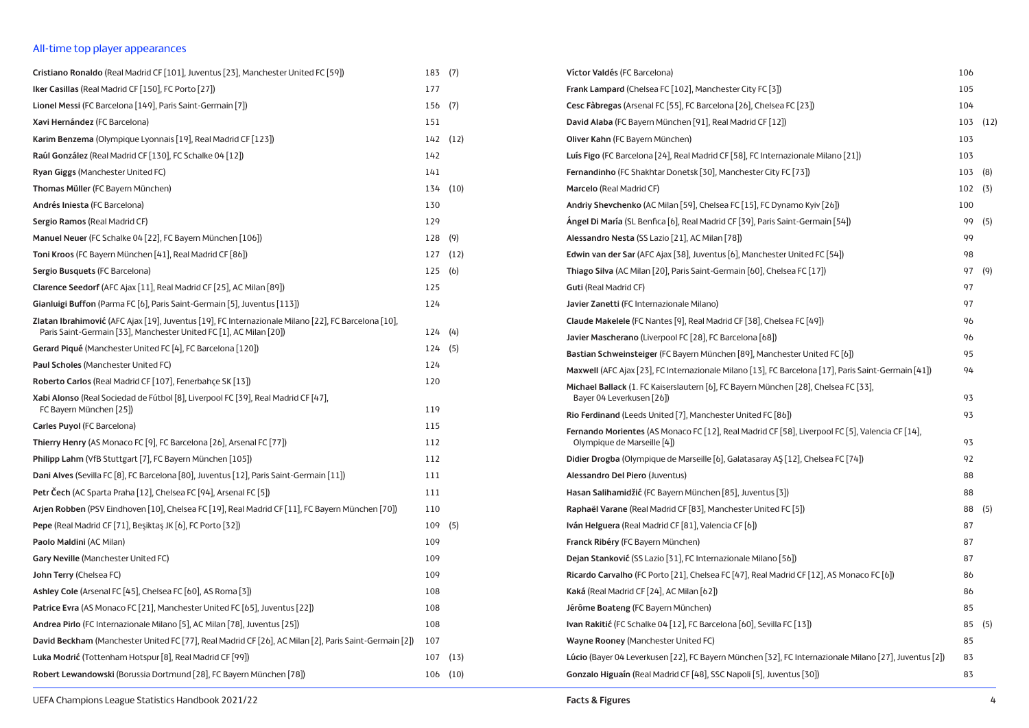## All-time top player appearances

| Cristiano Ronaldo (Real Madrid CF [101], Juventus [23], Manchester United FC [59])                           |        | 183 (7)      | Víctor Valdés (FC Barcelona)                                                                                                                                   | 106          |  |
|--------------------------------------------------------------------------------------------------------------|--------|--------------|----------------------------------------------------------------------------------------------------------------------------------------------------------------|--------------|--|
| Iker Casillas (Real Madrid CF [150], FC Porto [27])                                                          | 177    |              | Frank Lampard (Chelsea FC [102], Manchester City FC [3])                                                                                                       | 105          |  |
| Lionel Messi (FC Barcelona [149], Paris Saint-Germain [7])                                                   | 156(7) |              | Cesc Fàbregas (Arsenal FC [55], FC Barcelona [26], Chelsea FC [23])                                                                                            | 104          |  |
| Xavi Hernández (FC Barcelona)                                                                                | 151    |              | David Alaba (FC Bayern München [91], Real Madrid CF [12])                                                                                                      | $103$ $(12)$ |  |
| Karim Benzema (Olympique Lyonnais [19], Real Madrid CF [123])                                                |        | 142 (12)     | Oliver Kahn (FC Bayern München)                                                                                                                                | 103          |  |
| Raúl González (Real Madrid CF [130], FC Schalke 04 [12])                                                     | 142    |              | Luís Figo (FC Barcelona [24], Real Madrid CF [58], FC Internazionale Milano [21])                                                                              | 103          |  |
| Ryan Giggs (Manchester United FC)                                                                            | 141    |              | Fernandinho (FC Shakhtar Donetsk [30], Manchester City FC [73])                                                                                                | 103 (8)      |  |
| Thomas Müller (FC Bayern München)                                                                            |        | 134 (10)     | Marcelo (Real Madrid CF)                                                                                                                                       | 102(3)       |  |
| Andrés Iniesta (FC Barcelona)                                                                                | 130    |              | Andriy Shevchenko (AC Milan [59], Chelsea FC [15], FC Dynamo Kyiv [26])                                                                                        | 100          |  |
| Sergio Ramos (Real Madrid CF)                                                                                | 129    |              | Angel Di María (SL Benfica [6], Real Madrid CF [39], Paris Saint-Germain [54])                                                                                 | 99 (5)       |  |
| Manuel Neuer (FC Schalke 04 [22], FC Bayern München [106])                                                   | 128(9) |              | Alessandro Nesta (SS Lazio [21], AC Milan [78])                                                                                                                | 99           |  |
| Toni Kroos (FC Bayern München [41], Real Madrid CF [86])                                                     |        | 127(12)      | Edwin van der Sar (AFC Ajax [38], Juventus [6], Manchester United FC [54])                                                                                     | 98           |  |
| Sergio Busquets (FC Barcelona)                                                                               | 125(6) |              | Thiago Silva (AC Milan [20], Paris Saint-Germain [60], Chelsea FC [17])                                                                                        | 97 (9)       |  |
| Clarence Seedorf (AFC Ajax [11], Real Madrid CF [25], AC Milan [89])                                         | 125    |              | <b>Guti (Real Madrid CF)</b>                                                                                                                                   | 97           |  |
| Gianluigi Buffon (Parma FC [6], Paris Saint-Germain [5], Juventus [113])                                     | 124    |              | Javier Zanetti (FC Internazionale Milano)                                                                                                                      | 97           |  |
| Zlatan Ibrahimović (AFC Ajax [19], Juventus [19], FC Internazionale Milano [22], FC Barcelona [10],          |        |              | Claude Makelele (FC Nantes [9], Real Madrid CF [38], Chelsea FC [49])                                                                                          | 96           |  |
| Paris Saint-Germain [33], Manchester United FC [1], AC Milan [20])                                           | 124(4) |              | Javier Mascherano (Liverpool FC [28], FC Barcelona [68])                                                                                                       | 96           |  |
| <b>Gerard Piqué</b> (Manchester United FC [4], FC Barcelona [120])                                           | 124(5) |              | Bastian Schweinsteiger (FC Bayern München [89], Manchester United FC [6])                                                                                      | 95           |  |
| Paul Scholes (Manchester United FC)                                                                          | 124    |              | Maxwell (AFC Ajax [23], FC Internazionale Milano [13], FC Barcelona [17], Paris Saint-Germain [41])                                                            | 94           |  |
| Roberto Carlos (Real Madrid CF [107], Fenerbahçe SK [13])                                                    | 120    |              | Michael Ballack (1. FC Kaiserslautern [6], FC Bayern München [28], Chelsea FC [33],                                                                            |              |  |
| Xabi Alonso (Real Sociedad de Fútbol [8], Liverpool FC [39], Real Madrid CF [47],<br>FC Bayern München [25]) | 119    |              | Bayer 04 Leverkusen [26])                                                                                                                                      | 93<br>93     |  |
| Carles Puyol (FC Barcelona)                                                                                  | 115    |              | Rio Ferdinand (Leeds United [7], Manchester United FC [86])<br>Fernando Morientes (AS Monaco FC [12], Real Madrid CF [58], Liverpool FC [5], Valencia CF [14], |              |  |
| Thierry Henry (AS Monaco FC [9], FC Barcelona [26], Arsenal FC [77])                                         | 112    |              | Olympique de Marseille [4])                                                                                                                                    | 93           |  |
| Philipp Lahm (VfB Stuttgart [7], FC Bayern München [105])                                                    | 112    |              | Didier Drogba (Olympique de Marseille [6], Galatasaray AŞ [12], Chelsea FC [74])                                                                               | 92           |  |
| Dani Alves (Sevilla FC [8], FC Barcelona [80], Juventus [12], Paris Saint-Germain [11])                      | 111    |              | Alessandro Del Piero (Juventus)                                                                                                                                | 88           |  |
| Petr Čech (AC Sparta Praha [12], Chelsea FC [94], Arsenal FC [5])                                            | 111    |              | Hasan Salihamidžić (FC Bayern München [85], Juventus [3])                                                                                                      | 88           |  |
| Arjen Robben (PSV Eindhoven [10], Chelsea FC [19], Real Madrid CF [11], FC Bayern München [70])              | 110    |              | Raphaël Varane (Real Madrid CF [83], Manchester United FC [5])                                                                                                 | 88 (5)       |  |
| Pepe (Real Madrid CF [71], Beşiktaş JK [6], FC Porto [32])                                                   |        | $109$ (5)    | Iván Helguera (Real Madrid CF [81], Valencia CF [6])                                                                                                           | 87           |  |
| Paolo Maldini (AC Milan)                                                                                     | 109    |              | Franck Ribéry (FC Bayern München)                                                                                                                              | 87           |  |
| Gary Neville (Manchester United FC)                                                                          | 109    |              | Dejan Stanković (SS Lazio [31], FC Internazionale Milano [56])                                                                                                 | 87           |  |
| John Terry (Chelsea FC)                                                                                      | 109    |              | Ricardo Carvalho (FC Porto [21], Chelsea FC [47], Real Madrid CF [12], AS Monaco FC [6])                                                                       | 86           |  |
| Ashley Cole (Arsenal FC [45], Chelsea FC [60], AS Roma [3])                                                  | 108    |              | Kaká (Real Madrid CF [24], AC Milan [62])                                                                                                                      | 86           |  |
| Patrice Evra (AS Monaco FC [21], Manchester United FC [65], Juventus [22])                                   | 108    |              | Jérôme Boateng (FC Bayern München)                                                                                                                             | 85           |  |
| Andrea Pirlo (FC Internazionale Milano [5], AC Milan [78], Juventus [25])                                    | 108    |              | Ivan Rakitić (FC Schalke 04 [12], FC Barcelona [60], Sevilla FC [13])                                                                                          | 85 (5)       |  |
| David Beckham (Manchester United FC [77], Real Madrid CF [26], AC Milan [2], Paris Saint-Germain [2])        | 107    |              | Wayne Rooney (Manchester United FC)                                                                                                                            | 85           |  |
| Luka Modrić (Tottenham Hotspur [8], Real Madrid CF [99])                                                     |        | $107$ $(13)$ | Lúcio (Bayer 04 Leverkusen [22], FC Bayern München [32], FC Internazionale Milano [27], Juventus [2])                                                          | 83           |  |
| Robert Lewandowski (Borussia Dortmund [28], FC Bayern München [78])                                          |        | $106$ $(10)$ | Gonzalo Higuaín (Real Madrid CF [48], SSC Napoli [5], Juventus [30])                                                                                           | 83           |  |
|                                                                                                              |        |              |                                                                                                                                                                |              |  |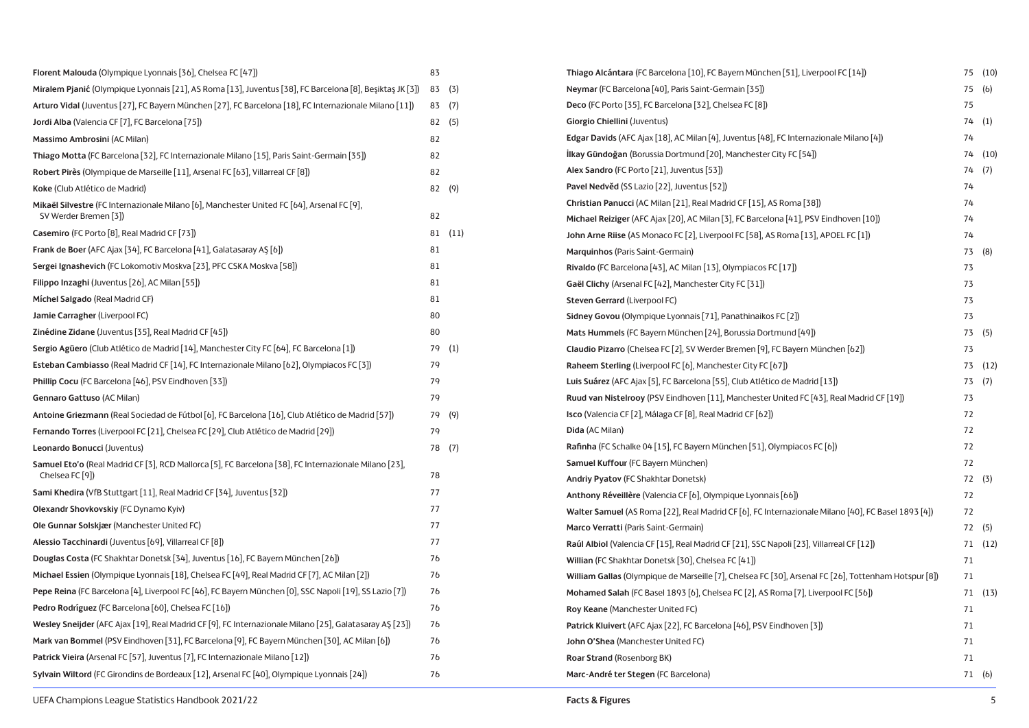| Florent Malouda (Olympique Lyonnais [36], Chelsea FC [47])                                                               | 83 |      |
|--------------------------------------------------------------------------------------------------------------------------|----|------|
| Miralem Pjanić (Olympique Lyonnais [21], AS Roma [13], Juventus [38], FC Barcelona [8], Beşiktaş JK [3])                 | 83 | (3)  |
| Arturo Vidal (Juventus [27], FC Bayern München [27], FC Barcelona [18], FC Internazionale Milano [11])                   | 83 | (7)  |
| Jordi Alba (Valencia CF [7], FC Barcelona [75])                                                                          | 82 | (5)  |
| Massimo Ambrosini (AC Milan)                                                                                             | 82 |      |
| Thiago Motta (FC Barcelona [32], FC Internazionale Milano [15], Paris Saint-Germain [35])                                | 82 |      |
| Robert Pirès (Olympique de Marseille [11], Arsenal FC [63], Villarreal CF [8])                                           | 82 |      |
| Koke (Club Atlético de Madrid)                                                                                           | 82 | (9)  |
| Mikaël Silvestre (FC Internazionale Milano [6], Manchester United FC [64], Arsenal FC [9],<br>SV Werder Bremen [3])      | 82 |      |
| Casemiro (FC Porto [8], Real Madrid CF [73])                                                                             | 81 | (11) |
| Frank de Boer (AFC Ajax [34], FC Barcelona [41], Galatasaray AŞ [6])                                                     | 81 |      |
| Sergei Ignashevich (FC Lokomotiv Moskva [23], PFC CSKA Moskva [58])                                                      | 81 |      |
| Filippo Inzaghi (Juventus [26], AC Milan [55])                                                                           | 81 |      |
| Míchel Salgado (Real Madrid CF)                                                                                          | 81 |      |
| Jamie Carragher (Liverpool FC)                                                                                           | 80 |      |
| Zinédine Zidane (Juventus [35], Real Madrid CF [45])                                                                     | 80 |      |
| Sergio Agüero (Club Atlético de Madrid [14], Manchester City FC [64], FC Barcelona [1])                                  | 79 | (1)  |
| Esteban Cambiasso (Real Madrid CF [14], FC Internazionale Milano [62], Olympiacos FC [3])                                | 79 |      |
| Phillip Cocu (FC Barcelona [46], PSV Eindhoven [33])                                                                     | 79 |      |
| Gennaro Gattuso (AC Milan)                                                                                               | 79 |      |
| Antoine Griezmann (Real Sociedad de Fútbol [6], FC Barcelona [16], Club Atlético de Madrid [57])                         | 79 | (9)  |
| Fernando Torres (Liverpool FC [21], Chelsea FC [29], Club Atlético de Madrid [29])                                       | 79 |      |
| Leonardo Bonucci (Juventus)                                                                                              | 78 | (7)  |
| Samuel Eto'o (Real Madrid CF [3], RCD Mallorca [5], FC Barcelona [38], FC Internazionale Milano [23],<br>Chelsea FC [9]) | 78 |      |
| Sami Khedira (VfB Stuttgart [11], Real Madrid CF [34], Juventus [32])                                                    | 77 |      |
| Olexandr Shovkovskiy (FC Dynamo Kyiv)                                                                                    | 77 |      |
| Ole Gunnar Solskjær (Manchester United FC)                                                                               | 77 |      |
| Alessio Tacchinardi (Juventus [69], Villarreal CF [8])                                                                   | 77 |      |
| Douglas Costa (FC Shakhtar Donetsk [34], Juventus [16], FC Bayern München [26])                                          | 76 |      |
| Michael Essien (Olympique Lyonnais [18], Chelsea FC [49], Real Madrid CF [7], AC Milan [2])                              | 76 |      |
| Pepe Reina (FC Barcelona [4], Liverpool FC [46], FC Bayern München [0], SSC Napoli [19], SS Lazio [7])                   | 76 |      |
| Pedro Rodríguez (FC Barcelona [60], Chelsea FC [16])                                                                     | 76 |      |
| Wesley Sneijder (AFC Ajax [19], Real Madrid CF [9], FC Internazionale Milano [25], Galatasaray AŞ [23])                  | 76 |      |
| Mark van Bommel (PSV Eindhoven [31], FC Barcelona [9], FC Bayern München [30], AC Milan [6])                             | 76 |      |
| Patrick Vieira (Arsenal FC [57], Juventus [7], FC Internazionale Milano [12])                                            | 76 |      |
| Sylvain Wiltord (FC Girondins de Bordeaux [12], Arsenal FC [40], Olympique Lyonnais [24])                                | 76 |      |

| Thiago Alcántara (FC Barcelona [10], FC Bayern München [51], Liverpool FC [14])                      | 75 | (10) |
|------------------------------------------------------------------------------------------------------|----|------|
| Neymar (FC Barcelona [40], Paris Saint-Germain [35])                                                 | 75 | (b)  |
| Deco (FC Porto [35], FC Barcelona [32], Chelsea FC [8])                                              | 75 |      |
| Giorgio Chiellini (Juventus)                                                                         | 74 | (1)  |
| Edgar Davids (AFC Ajax [18], AC Milan [4], Juventus [48], FC Internazionale Milano [4])              | 74 |      |
| <b>İlkay Gündoğan</b> (Borussia Dortmund [20], Manchester City FC [54])                              | 74 | (10) |
| Alex Sandro (FC Porto [21], Juventus [53])                                                           | 74 | (7)  |
| Pavel Nedvěd (SS Lazio [22], Juventus [52])                                                          | 74 |      |
| Christian Panucci (AC Milan [21], Real Madrid CF [15], AS Roma [38])                                 | 74 |      |
| Michael Reiziger (AFC Ajax [20], AC Milan [3], FC Barcelona [41], PSV Eindhoven [10])                | 74 |      |
| John Arne Riise (AS Monaco FC [2], Liverpool FC [58], AS Roma [13], APOEL FC [1])                    | 74 |      |
| Marquinhos (Paris Saint-Germain)                                                                     | 73 | (8)  |
| Rivaldo (FC Barcelona [43], AC Milan [13], Olympiacos FC [17])                                       | 73 |      |
| Gaël Clichy (Arsenal FC [42], Manchester City FC [31])                                               | 73 |      |
| Steven Gerrard (Liverpool FC)                                                                        | 73 |      |
| Sidney Govou (Olympique Lyonnais [71], Panathinaikos FC [2])                                         | 73 |      |
| Mats Hummels (FC Bayern München [24], Borussia Dortmund [49])                                        | 73 | (5)  |
| Claudio Pizarro (Chelsea FC [2], SV Werder Bremen [9], FC Bayern München [62])                       | 73 |      |
| Raheem Sterling (Liverpool FC [6], Manchester City FC [67])                                          | 73 | (12) |
| Luis Suárez (AFC Ajax [5], FC Barcelona [55], Club Atlético de Madrid [13])                          | 73 | (7)  |
| Ruud van Nistelrooy (PSV Eindhoven [11], Manchester United FC [43], Real Madrid CF [19])             | 73 |      |
| Isco (Valencia CF [2], Málaga CF [8], Real Madrid CF [62])                                           | 72 |      |
| Dida (AC Milan)                                                                                      | 72 |      |
| Rafinha (FC Schalke 04 [15], FC Bayern München [51], Olympiacos FC [6])                              | 72 |      |
| Samuel Kuffour (FC Bayern München)                                                                   | 72 |      |
| Andriy Pyatov (FC Shakhtar Donetsk)                                                                  | 72 | (3)  |
| Anthony Réveillère (Valencia CF [6], Olympique Lyonnais [66])                                        | 72 |      |
| Walter Samuel (AS Roma [22], Real Madrid CF [6], FC Internazionale Milano [40], FC Basel 1893 [4])   | 72 |      |
| Marco Verratti (Paris Saint-Germain)                                                                 | 72 | (5)  |
| Raúl Albiol (Valencia CF [15], Real Madrid CF [21], SSC Napoli [23], Villarreal CF [12])             | 71 | (12) |
| Willian (FC Shakhtar Donetsk [30], Chelsea FC [41])                                                  | 71 |      |
| William Gallas (Olympique de Marseille [7], Chelsea FC [30], Arsenal FC [26], Tottenham Hotspur [8]) | 71 |      |
| Mohamed Salah (FC Basel 1893 [6], Chelsea FC [2], AS Roma [7], Liverpool FC [56])                    | 71 | (13) |
| Roy Keane (Manchester United FC)                                                                     | 71 |      |
| Patrick Kluivert (AFC Ajax [22], FC Barcelona [46], PSV Eindhoven [3])                               | 71 |      |
| John O'Shea (Manchester United FC)                                                                   | 71 |      |
| Roar Strand (Rosenborg BK)                                                                           | 71 |      |
| Marc-André ter Stegen (FC Barcelona)                                                                 | 71 | (6)  |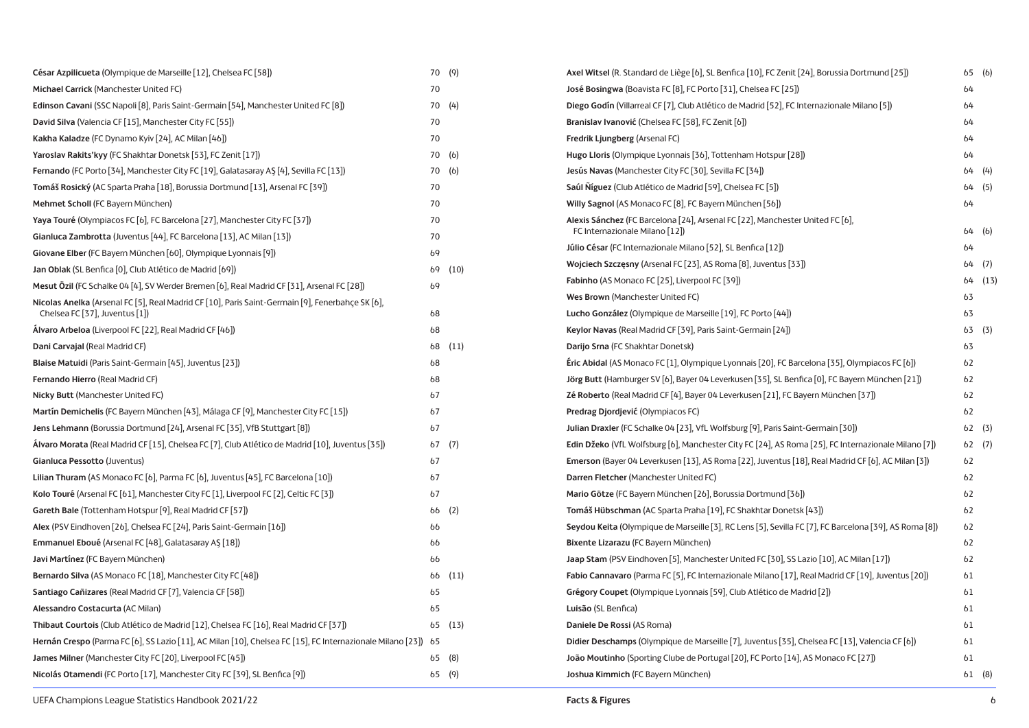| César Azpilicueta (Olympique de Marseille [12], Chelsea FC [58])                                              |    | 70 (9)  | Axel Witsel (R. Standard de Liège [6], SL Benfica [10], FC Zenit [24], Borussia Dortmund [25])         |    | 65(6)   |
|---------------------------------------------------------------------------------------------------------------|----|---------|--------------------------------------------------------------------------------------------------------|----|---------|
| Michael Carrick (Manchester United FC)                                                                        | 70 |         | José Bosingwa (Boavista FC [8], FC Porto [31], Chelsea FC [25])                                        | 64 |         |
| Edinson Cavani (SSC Napoli [8], Paris Saint-Germain [54], Manchester United FC [8])                           |    | 70 (4)  | Diego Godín (Villarreal CF [7], Club Atlético de Madrid [52], FC Internazionale Milano [5])            | 64 |         |
| David Silva (Valencia CF [15], Manchester City FC [55])                                                       | 70 |         | Branislav Ivanović (Chelsea FC [58], FC Zenit [6])                                                     | 64 |         |
| Kakha Kaladze (FC Dynamo Kyiv [24], AC Milan [46])                                                            | 70 |         | Fredrik Ljungberg (Arsenal FC)                                                                         | 64 |         |
| Yaroslav Rakits'kyy (FC Shakhtar Donetsk [53], FC Zenit [17])                                                 |    | 70 (6)  | Hugo Lloris (Olympique Lyonnais [36], Tottenham Hotspur [28])                                          | 64 |         |
| Fernando (FC Porto [34], Manchester City FC [19], Galatasaray AS [4], Sevilla FC [13])                        |    | 70 (6)  | Jesús Navas (Manchester City FC [30], Sevilla FC [34])                                                 |    | 64(4)   |
| Tomáš Rosický (AC Sparta Praha [18], Borussia Dortmund [13], Arsenal FC [39])                                 | 70 |         | Saúl Níguez (Club Atlético de Madrid [59], Chelsea FC [5])                                             |    | 64(5)   |
| Mehmet Scholl (FC Bayern München)                                                                             | 70 |         | Willy Sagnol (AS Monaco FC [8], FC Bayern München [56])                                                | 64 |         |
| Yaya Touré (Olympiacos FC [6], FC Barcelona [27], Manchester City FC [37])                                    | 70 |         | Alexis Sánchez (FC Barcelona [24], Arsenal FC [22], Manchester United FC [6],                          |    |         |
| Gianluca Zambrotta (Juventus [44], FC Barcelona [13], AC Milan [13])                                          | 70 |         | FC Internazionale Milano [12])                                                                         |    | 64(6)   |
| Giovane Elber (FC Bayern München [60], Olympique Lyonnais [9])                                                | 69 |         | Júlio César (FC Internazionale Milano [52], SL Benfica [12])                                           | 64 |         |
| Jan Oblak (SL Benfica [0], Club Atlético de Madrid [69])                                                      | 69 | (10)    | Wojciech Szczęsny (Arsenal FC [23], AS Roma [8], Juventus [33])                                        |    | 64(7)   |
| Mesut Özil (FC Schalke 04 [4], SV Werder Bremen [6], Real Madrid CF [31], Arsenal FC [28])                    | 69 |         | <b>Fabinho</b> (AS Monaco FC [25], Liverpool FC [39])                                                  |    | 64 (13) |
| Nicolas Anelka (Arsenal FC [5], Real Madrid CF [10], Paris Saint-Germain [9], Fenerbahçe SK [6],              |    |         | Wes Brown (Manchester United FC)                                                                       | 63 |         |
| Chelsea FC [37], Juventus [1])                                                                                | 68 |         | Lucho González (Olympique de Marseille [19], FC Porto [44])                                            | 63 |         |
| Álvaro Arbeloa (Liverpool FC [22], Real Madrid CF [46])                                                       | 68 |         | Keylor Navas (Real Madrid CF [39], Paris Saint-Germain [24])                                           |    | 63(3)   |
| Dani Carvajal (Real Madrid CF)                                                                                |    | 68 (11) | Darijo Srna (FC Shakhtar Donetsk)                                                                      | 63 |         |
| Blaise Matuidi (Paris Saint-Germain [45], Juventus [23])                                                      | 68 |         | Eric Abidal (AS Monaco FC [1], Olympique Lyonnais [20], FC Barcelona [35], Olympiacos FC [6])          | 62 |         |
| Fernando Hierro (Real Madrid CF)                                                                              | 68 |         | Jörg Butt (Hamburger SV [6], Bayer 04 Leverkusen [35], SL Benfica [0], FC Bayern München [21])         | 62 |         |
| Nicky Butt (Manchester United FC)                                                                             | 67 |         | Zé Roberto (Real Madrid CF [4], Bayer 04 Leverkusen [21], FC Bayern München [37])                      | 62 |         |
| Martín Demichelis (FC Bayern München [43], Málaga CF [9], Manchester City FC [15])                            | 67 |         | Predrag Djordjević (Olympiacos FC)                                                                     | 62 |         |
| Jens Lehmann (Borussia Dortmund [24], Arsenal FC [35], VfB Stuttgart [8])                                     | 67 |         | Julian Draxler (FC Schalke 04 [23], VfL Wolfsburg [9], Paris Saint-Germain [30])                       |    | 62(3)   |
| Álvaro Morata (Real Madrid CF [15], Chelsea FC [7], Club Atlético de Madrid [10], Juventus [35])              |    | 67(7)   | Edin Džeko (VfL Wolfsburg [6], Manchester City FC [24], AS Roma [25], FC Internazionale Milano [7])    |    | 62(7)   |
| Gianluca Pessotto (Juventus)                                                                                  | 67 |         | Emerson (Bayer 04 Leverkusen [13], AS Roma [22], Juventus [18], Real Madrid CF [6], AC Milan [3])      | 62 |         |
| Lilian Thuram (AS Monaco FC [6], Parma FC [6], Juventus [45], FC Barcelona [10])                              | 67 |         | Darren Fletcher (Manchester United FC)                                                                 | 62 |         |
| Kolo Touré (Arsenal FC [61], Manchester City FC [1], Liverpool FC [2], Celtic FC [3])                         | 67 |         | Mario Götze (FC Bayern München [26], Borussia Dortmund [36])                                           | 62 |         |
| Gareth Bale (Tottenham Hotspur [9], Real Madrid CF [57])                                                      |    | 66(2)   | Tomáš Hübschman (AC Sparta Praha [19], FC Shakhtar Donetsk [43])                                       | 62 |         |
| Alex (PSV Eindhoven [26], Chelsea FC [24], Paris Saint-Germain [16])                                          | 66 |         | Seydou Keita (Olympique de Marseille [3], RC Lens [5], Sevilla FC [7], FC Barcelona [39], AS Roma [8]) | 62 |         |
| Emmanuel Eboué (Arsenal FC [48], Galatasaray AŞ [18])                                                         | 66 |         | Bixente Lizarazu (FC Bayern München)                                                                   | 62 |         |
| Javi Martínez (FC Bayern München)                                                                             | 66 |         | Jaap Stam (PSV Eindhoven [5], Manchester United FC [30], SS Lazio [10], AC Milan [17])                 | 62 |         |
| Bernardo Silva (AS Monaco FC [18], Manchester City FC [48])                                                   |    | 66 (11) | Fabio Cannavaro (Parma FC [5], FC Internazionale Milano [17], Real Madrid CF [19], Juventus [20])      | 61 |         |
| Santiago Cañizares (Real Madrid CF [7], Valencia CF [58])                                                     | 65 |         | Grégory Coupet (Olympique Lyonnais [59], Club Atlético de Madrid [2])                                  | 61 |         |
| Alessandro Costacurta (AC Milan)                                                                              | 65 |         | Luisão (SL Benfica)                                                                                    | 61 |         |
| Thibaut Courtois (Club Atlético de Madrid [12], Chelsea FC [16], Real Madrid CF [37])                         |    | 65(13)  | Daniele De Rossi (AS Roma)                                                                             | 61 |         |
| Hernán Crespo (Parma FC [6], SS Lazio [11], AC Milan [10], Chelsea FC [15], FC Internazionale Milano [23]) 65 |    |         | Didier Deschamps (Olympique de Marseille [7], Juventus [35], Chelsea FC [13], Valencia CF [6])         | 61 |         |
| James Milner (Manchester City FC [20], Liverpool FC [45])                                                     |    | 65(8)   | João Moutinho (Sporting Clube de Portugal [20], FC Porto [14], AS Monaco FC [27])                      | 61 |         |
| Nicolás Otamendi (FC Porto [17], Manchester City FC [39], SL Benfica [9])                                     |    | 65(9)   | Joshua Kimmich (FC Bayern München)                                                                     |    | 61 (8)  |
|                                                                                                               |    |         |                                                                                                        |    |         |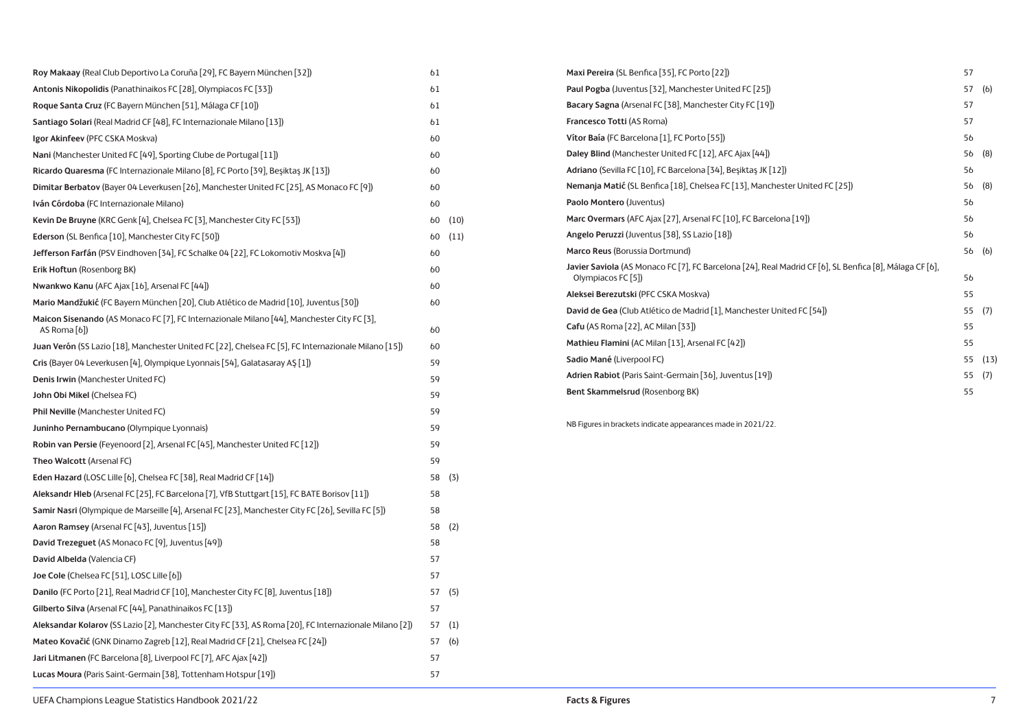| Roy Makaay (Real Club Deportivo La Coruña [29], FC Bayern München [32])                                     | 61 |      |
|-------------------------------------------------------------------------------------------------------------|----|------|
| Antonis Nikopolidis (Panathinaikos FC [28], Olympiacos FC [33])                                             | 61 |      |
| Roque Santa Cruz (FC Bayern München [51], Málaga CF [10])                                                   | 61 |      |
| Santiago Solari (Real Madrid CF [48], FC Internazionale Milano [13])                                        | 61 |      |
| Igor Akinfeev (PFC CSKA Moskva)                                                                             | 60 |      |
| Nani (Manchester United FC [49], Sporting Clube de Portugal [11])                                           | 60 |      |
| Ricardo Quaresma (FC Internazionale Milano [8], FC Porto [39], Beşiktaş JK [13])                            | 60 |      |
| Dimitar Berbatov (Bayer 04 Leverkusen [26], Manchester United FC [25], AS Monaco FC [9])                    | 60 |      |
| Iván Córdoba (FC Internazionale Milano)                                                                     | 60 |      |
| Kevin De Bruyne (KRC Genk [4], Chelsea FC [3], Manchester City FC [53])                                     | 60 | (10) |
| Ederson (SL Benfica [10], Manchester City FC [50])                                                          | 60 | (11) |
| Jefferson Farfán (PSV Eindhoven [34], FC Schalke 04 [22], FC Lokomotiv Moskva [4])                          | 60 |      |
| Erik Hoftun (Rosenborg BK)                                                                                  | 60 |      |
| Nwankwo Kanu (AFC Ajax [16], Arsenal FC [44])                                                               | 60 |      |
| Mario Mandžukić (FC Bayern München [20], Club Atlético de Madrid [10], Juventus [30])                       | 60 |      |
| Maicon Sisenando (AS Monaco FC [7], FC Internazionale Milano [44], Manchester City FC [3],<br>AS Roma $[6]$ | 60 |      |
| Juan Verón (SS Lazio [18], Manchester United FC [22], Chelsea FC [5], FC Internazionale Milano [15])        | 60 |      |
| Cris (Bayer 04 Leverkusen [4], Olympique Lyonnais [54], Galatasaray AŞ [1])                                 | 59 |      |
| Denis Irwin (Manchester United FC)                                                                          | 59 |      |
| John Obi Mikel (Chelsea FC)                                                                                 | 59 |      |
| Phil Neville (Manchester United FC)                                                                         | 59 |      |
| Juninho Pernambucano (Olympique Lyonnais)                                                                   | 59 |      |
| Robin van Persie (Feyenoord [2], Arsenal FC [45], Manchester United FC [12])                                | 59 |      |
| Theo Walcott (Arsenal FC)                                                                                   | 59 |      |
| Eden Hazard (LOSC Lille [6], Chelsea FC [38], Real Madrid CF [14])                                          | 58 | (3)  |
| Aleksandr Hleb (Arsenal FC [25], FC Barcelona [7], VfB Stuttgart [15], FC BATE Borisov [11])                | 58 |      |
| Samir Nasri (Olympique de Marseille [4], Arsenal FC [23], Manchester City FC [26], Sevilla FC [5])          | 58 |      |
| Aaron Ramsey (Arsenal FC [43], Juventus [15])                                                               | 58 | (2)  |
| David Trezeguet (AS Monaco FC [9], Juventus [49])                                                           | 58 |      |
| David Albelda (Valencia CF)                                                                                 | 57 |      |
| Joe Cole (Chelsea FC [51], LOSC Lille [6])                                                                  | 57 |      |
| Danilo (FC Porto [21], Real Madrid CF [10], Manchester City FC [8], Juventus [18])                          | 57 | (5)  |
| Gilberto Silva (Arsenal FC [44], Panathinaikos FC [13])                                                     | 57 |      |
| Aleksandar Kolarov (SS Lazio [2], Manchester City FC [33], AS Roma [20], FC Internazionale Milano [2])      | 57 | (1)  |
| Mateo Kovačić (GNK Dinamo Zagreb [12], Real Madrid CF [21], Chelsea FC [24])                                | 57 | (6)  |
| Jari Litmanen (FC Barcelona [8], Liverpool FC [7], AFC Ajax [42])                                           | 57 |      |
| Lucas Moura (Paris Saint-Germain [38], Tottenham Hotspur [19])                                              | 57 |      |

| Maxi Pereira (SL Benfica [35], FC Porto [22])                                                                                 | 57 |      |
|-------------------------------------------------------------------------------------------------------------------------------|----|------|
| Paul Pogba (Juventus [32], Manchester United FC [25])                                                                         | 57 | (6)  |
| Bacary Sagna (Arsenal FC [38], Manchester City FC [19])                                                                       | 57 |      |
| Francesco Totti (AS Roma)                                                                                                     | 57 |      |
| Vítor Baía (FC Barcelona [1], FC Porto [55])                                                                                  | 56 |      |
| Daley Blind (Manchester United FC [12], AFC Ajax [44])                                                                        | 56 | (8)  |
| Adriano (Sevilla FC [10], FC Barcelona [34], Beşiktaş JK [12])                                                                | 56 |      |
| Nemanja Matić (SL Benfica [18], Chelsea FC [13], Manchester United FC [25])                                                   | 56 | (8)  |
| Paolo Montero (Juventus)                                                                                                      | 56 |      |
| Marc Overmars (AFC Ajax [27], Arsenal FC [10], FC Barcelona [19])                                                             | 56 |      |
| Angelo Peruzzi (Juventus [38], SS Lazio [18])                                                                                 | 56 |      |
| Marco Reus (Borussia Dortmund)                                                                                                | 56 | (b)  |
| Javier Saviola (AS Monaco FC [7], FC Barcelona [24], Real Madrid CF [6], SL Benfica [8], Málaga CF [6],<br>Olympiacos FC [5]) | 56 |      |
| Aleksei Berezutski (PFC CSKA Moskva)                                                                                          | 55 |      |
| David de Gea (Club Atlético de Madrid [1], Manchester United FC [54])                                                         | 55 | (7)  |
| Cafu (AS Roma [22], AC Milan [33])                                                                                            | 55 |      |
| Mathieu Flamini (AC Milan [13], Arsenal FC [42])                                                                              | 55 |      |
| Sadio Mané (Liverpool FC)                                                                                                     | 55 | (13) |
| Adrien Rabiot (Paris Saint-Germain [36], Juventus [19])                                                                       | 55 | (7)  |
| Bent Skammelsrud (Rosenborg BK)                                                                                               | 55 |      |

NB Figures in brackets indicate appearances made in 2021/22.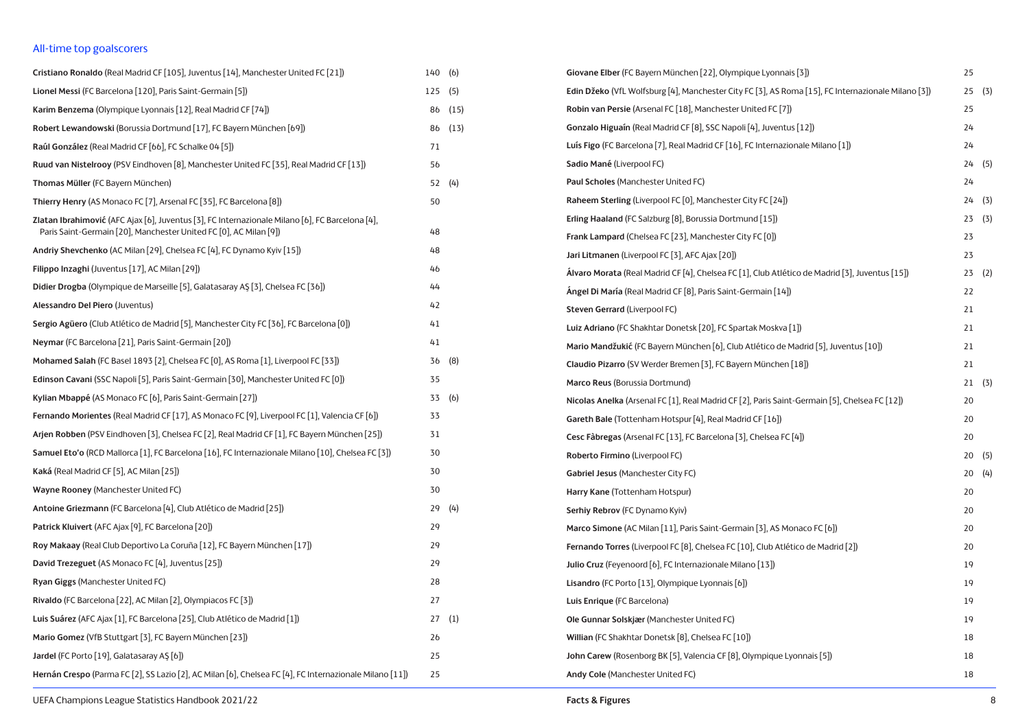## All-time top goalscorers

| Cristiano Ronaldo (Real Madrid CF [105], Juventus [14], Manchester United FC [21])                                                                                   | 140(6)         |         | Giovane Elber (FC Bayern München [22], Olympique Lyonnais [3])                                     | 25    |  |
|----------------------------------------------------------------------------------------------------------------------------------------------------------------------|----------------|---------|----------------------------------------------------------------------------------------------------|-------|--|
| Lionel Messi (FC Barcelona [120], Paris Saint-Germain [5])                                                                                                           | 125(5)         |         | Edin Džeko (VfL Wolfsburg [4], Manchester City FC [3], AS Roma [15], FC Internazionale Milano [3]) | 25(3) |  |
| Karim Benzema (Olympique Lyonnais [12], Real Madrid CF [74])                                                                                                         |                | 86 (15) | Robin van Persie (Arsenal FC [18], Manchester United FC [7])                                       | 25    |  |
| Robert Lewandowski (Borussia Dortmund [17], FC Bayern München [69])                                                                                                  |                | 86 (13) | <b>Gonzalo Higuain (Real Madrid CF [8], SSC Napoli [4], Juventus [12])</b>                         | 24    |  |
| Raúl González (Real Madrid CF [66], FC Schalke 04 [5])                                                                                                               | 71             |         | Luís Figo (FC Barcelona [7], Real Madrid CF [16], FC Internazionale Milano [1])                    | 24    |  |
| Ruud van Nistelrooy (PSV Eindhoven [8], Manchester United FC [35], Real Madrid CF [13])                                                                              | 56             |         | Sadio Mané (Liverpool FC)                                                                          | 24(5) |  |
| Thomas Müller (FC Bayern München)                                                                                                                                    |                | 52(4)   | Paul Scholes (Manchester United FC)                                                                | 24    |  |
| Thierry Henry (AS Monaco FC [7], Arsenal FC [35], FC Barcelona [8])                                                                                                  | 50             |         | Raheem Sterling (Liverpool FC [0], Manchester City FC [24])                                        | 24(3) |  |
| Zlatan Ibrahimović (AFC Ajax [6], Juventus [3], FC Internazionale Milano [6], FC Barcelona [4],<br>Paris Saint-Germain [20], Manchester United FC [0], AC Milan [9]) | 48             |         | Erling Haaland (FC Salzburg [8], Borussia Dortmund [15])                                           | 23(3) |  |
| Andriy Shevchenko (AC Milan [29], Chelsea FC [4], FC Dynamo Kyiv [15])                                                                                               | 48             |         | Frank Lampard (Chelsea FC [23], Manchester City FC [0])                                            | 23    |  |
| Filippo Inzaghi (Juventus [17], AC Milan [29])                                                                                                                       | 46             |         | Jari Litmanen (Liverpool FC [3], AFC Ajax [20])                                                    | 23    |  |
| Didier Drogba (Olympique de Marseille [5], Galatasaray AŞ [3], Chelsea FC [36])                                                                                      | 44             |         | Álvaro Morata (Real Madrid CF [4], Chelsea FC [1], Club Atlético de Madrid [3], Juventus [15])     | 23(2) |  |
| Alessandro Del Piero (Juventus)                                                                                                                                      | 42             |         | Angel Di María (Real Madrid CF [8], Paris Saint-Germain [14])                                      | 22    |  |
| Sergio Agüero (Club Atlético de Madrid [5], Manchester City FC [36], FC Barcelona [0])                                                                               | 41             |         | Steven Gerrard (Liverpool FC)                                                                      | 21    |  |
| Neymar (FC Barcelona [21], Paris Saint-Germain [20])                                                                                                                 | 41             |         | Luiz Adriano (FC Shakhtar Donetsk [20], FC Spartak Moskva [1])                                     | 21    |  |
| Mohamed Salah (FC Basel 1893 [2], Chelsea FC [0], AS Roma [1], Liverpool FC [33])                                                                                    |                | 36 (8)  | Mario Mandžukić (FC Bayern München [6], Club Atlético de Madrid [5], Juventus [10])                | 21    |  |
| <b>Edinson Cavani (SSC Napoli [5], Paris Saint-Germain [30], Manchester United FC [0])</b>                                                                           | 35             |         | Claudio Pizarro (SV Werder Bremen [3], FC Bayern München [18])                                     | 21    |  |
| Kylian Mbappé (AS Monaco FC [6], Paris Saint-Germain [27])                                                                                                           |                | 33 (6)  | Marco Reus (Borussia Dortmund)                                                                     | 21(3) |  |
| <b>Fernando Morientes (Real Madrid CF [17], AS Monaco FC [9], Liverpool FC [1], Valencia CF [6])</b>                                                                 | 33             |         | Nicolas Anelka (Arsenal FC [1], Real Madrid CF [2], Paris Saint-Germain [5], Chelsea FC [12])      | 20    |  |
| Arjen Robben (PSV Eindhoven [3], Chelsea FC [2], Real Madrid CF [1], FC Bayern München [25])                                                                         | 31             |         | Gareth Bale (Tottenham Hotspur [4], Real Madrid CF [16])                                           | 20    |  |
| Samuel Eto'o (RCD Mallorca [1], FC Barcelona [16], FC Internazionale Milano [10], Chelsea FC [3])                                                                    | 30             |         | Cesc Fàbregas (Arsenal FC [13], FC Barcelona [3], Chelsea FC [4])                                  | 20    |  |
| Kaká (Real Madrid CF [5], AC Milan [25])                                                                                                                             | 30             |         | Roberto Firmino (Liverpool FC)                                                                     | 20(5) |  |
| Wayne Rooney (Manchester United FC)                                                                                                                                  | 30             |         | Gabriel Jesus (Manchester City FC)                                                                 | 20(4) |  |
| Antoine Griezmann (FC Barcelona [4], Club Atlético de Madrid [25])                                                                                                   |                | 29(4)   | Harry Kane (Tottenham Hotspur)                                                                     | 20    |  |
|                                                                                                                                                                      | 29             |         | Serhiy Rebrov (FC Dynamo Kyiv)                                                                     | 20    |  |
| Patrick Kluivert (AFC Ajax [9], FC Barcelona [20])                                                                                                                   | 29             |         | Marco Simone (AC Milan [11], Paris Saint-Germain [3], AS Monaco FC [6])                            | 20    |  |
| Roy Makaay (Real Club Deportivo La Coruña [12], FC Bayern München [17])                                                                                              |                |         | Fernando Torres (Liverpool FC [8], Chelsea FC [10], Club Atlético de Madrid [2])                   | 20    |  |
| David Trezeguet (AS Monaco FC [4], Juventus [25])                                                                                                                    | 29             |         | Julio Cruz (Feyenoord [6], FC Internazionale Milano [13])                                          | 19    |  |
| Ryan Giggs (Manchester United FC)                                                                                                                                    | 28             |         | Lisandro (FC Porto [13], Olympique Lyonnais [6])                                                   | 19    |  |
| Rivaldo (FC Barcelona [22], AC Milan [2], Olympiacos FC [3])                                                                                                         | 27             |         | Luis Enrique (FC Barcelona)                                                                        | 19    |  |
| Luis Suárez (AFC Ajax [1], FC Barcelona [25], Club Atlético de Madrid [1])                                                                                           |                | 27(1)   | Ole Gunnar Solskjær (Manchester United FC)                                                         | 19    |  |
| Mario Gomez (VfB Stuttgart [3], FC Bayern München [23])                                                                                                              | 2 <sub>b</sub> |         | Willian (FC Shakhtar Donetsk [8], Chelsea FC [10])                                                 | 18    |  |
| Jardel (FC Porto [19], Galatasaray AS [6])                                                                                                                           | 25             |         | John Carew (Rosenborg BK [5], Valencia CF [8], Olympique Lyonnais [5])                             | 18    |  |
| Hernán Crespo (Parma FC [2], SS Lazio [2], AC Milan [6], Chelsea FC [4], FC Internazionale Milano [11])                                                              | 25             |         | Andy Cole (Manchester United FC)                                                                   | 18    |  |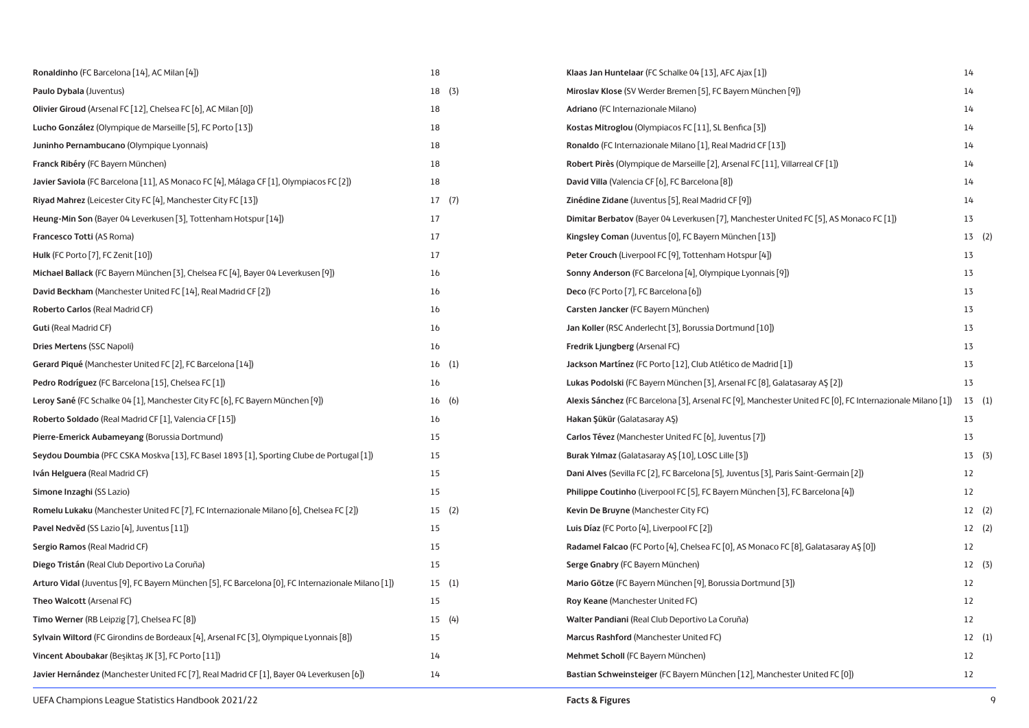| Ronaldinho (FC Barcelona [14], AC Milan [4])                                                       | 18    | Klaas Jan Huntelaar (FC Schalke 04 [13], AFC Ajax [1])                                                    | 14    |
|----------------------------------------------------------------------------------------------------|-------|-----------------------------------------------------------------------------------------------------------|-------|
| Paulo Dybala (Juventus)                                                                            | 18(3) | Miroslav Klose (SV Werder Bremen [5], FC Bayern München [9])                                              | 14    |
| Olivier Giroud (Arsenal FC [12], Chelsea FC [6], AC Milan [0])                                     | 18    | Adriano (FC Internazionale Milano)                                                                        | 14    |
| Lucho González (Olympique de Marseille [5], FC Porto [13])                                         | 18    | Kostas Mitroglou (Olympiacos FC [11], SL Benfica [3])                                                     | 14    |
| Juninho Pernambucano (Olympique Lyonnais)                                                          | 18    | Ronaldo (FC Internazionale Milano [1], Real Madrid CF [13])                                               | 14    |
| Franck Ribéry (FC Bayern München)                                                                  | 18    | Robert Pirès (Olympique de Marseille [2], Arsenal FC [11], Villarreal CF [1])                             | 14    |
| Javier Saviola (FC Barcelona [11], AS Monaco FC [4], Málaga CF [1], Olympiacos FC [2])             | 18    | David Villa (Valencia CF [6], FC Barcelona [8])                                                           | 14    |
| Riyad Mahrez (Leicester City FC [4], Manchester City FC [13])                                      | 17(7) | Zinédine Zidane (Juventus [5], Real Madrid CF [9])                                                        | 14    |
| Heung-Min Son (Bayer 04 Leverkusen [3], Tottenham Hotspur [14])                                    | 17    | Dimitar Berbatov (Bayer 04 Leverkusen [7], Manchester United FC [5], AS Monaco FC [1])                    | 13    |
| Francesco Totti (AS Roma)                                                                          | 17    | Kingsley Coman (Juventus [0], FC Bayern München [13])                                                     | 13(2) |
| <b>Hulk (FC Porto [7], FC Zenit [10])</b>                                                          | 17    | <b>Peter Crouch (Liverpool FC [9], Tottenham Hotspur [4])</b>                                             | 13    |
| Michael Ballack (FC Bayern München [3], Chelsea FC [4], Bayer 04 Leverkusen [9])                   | 16    | Sonny Anderson (FC Barcelona [4], Olympique Lyonnais [9])                                                 | 13    |
| David Beckham (Manchester United FC [14], Real Madrid CF [2])                                      | 16    | Deco (FC Porto [7], FC Barcelona [6])                                                                     | 13    |
| Roberto Carlos (Real Madrid CF)                                                                    | 16    | Carsten Jancker (FC Bayern München)                                                                       | 13    |
| <b>Guti (Real Madrid CF)</b>                                                                       | 16    | Jan Koller (RSC Anderlecht [3], Borussia Dortmund [10])                                                   | 13    |
| <b>Dries Mertens (SSC Napoli)</b>                                                                  | 16    | Fredrik Ljungberg (Arsenal FC)                                                                            | 13    |
| Gerard Piqué (Manchester United FC [2], FC Barcelona [14])                                         | 16(1) | Jackson Martínez (FC Porto [12], Club Atlético de Madrid [1])                                             | 13    |
| Pedro Rodríguez (FC Barcelona [15], Chelsea FC [1])                                                | 16    | Lukas Podolski (FC Bayern München [3], Arsenal FC [8], Galatasaray AŞ [2])                                | 13    |
| Leroy Sané (FC Schalke 04 [1], Manchester City FC [6], FC Bayern München [9])                      | 16(6) | Alexis Sánchez (FC Barcelona [3], Arsenal FC [9], Manchester United FC [0], FC Internazionale Milano [1]) | 13(1) |
| Roberto Soldado (Real Madrid CF [1], Valencia CF [15])                                             | 16    | Hakan Şükür (Galatasaray AŞ)                                                                              | 13    |
| Pierre-Emerick Aubameyang (Borussia Dortmund)                                                      | 15    | Carlos Tévez (Manchester United FC [6], Juventus [7])                                                     | 13    |
| Seydou Doumbia (PFC CSKA Moskva [13], FC Basel 1893 [1], Sporting Clube de Portugal [1])           | 15    | Burak Yılmaz (Galatasaray AŞ [10], LOSC Lille [3])                                                        | 13(3) |
| Iván Helguera (Real Madrid CF)                                                                     | 15    | Dani Alves (Sevilla FC [2], FC Barcelona [5], Juventus [3], Paris Saint-Germain [2])                      | 12    |
| Simone Inzaghi (SS Lazio)                                                                          | 15    | <b>Philippe Coutinho</b> (Liverpool FC [5], FC Bayern München [3], FC Barcelona [4])                      | 12    |
| Romelu Lukaku (Manchester United FC [7], FC Internazionale Milano [6], Chelsea FC [2])             | 15(2) | Kevin De Bruyne (Manchester City FC)                                                                      | 12(2) |
| Pavel Nedvěd (SS Lazio [4], Juventus [11])                                                         | 15    | Luis Díaz (FC Porto [4], Liverpool FC [2])                                                                | 12(2) |
| Sergio Ramos (Real Madrid CF)                                                                      | 15    | Radamel Falcao (FC Porto [4], Chelsea FC [0], AS Monaco FC [8], Galatasaray AŞ [0])                       | 12    |
| Diego Tristán (Real Club Deportivo La Coruña)                                                      | 15    | Serge Gnabry (FC Bayern München)                                                                          | 12(3) |
| Arturo Vidal (Juventus [9], FC Bayern München [5], FC Barcelona [0], FC Internazionale Milano [1]) | 15(1) | Mario Götze (FC Bayern München [9], Borussia Dortmund [3])                                                | 12    |
| Theo Walcott (Arsenal FC)                                                                          | 15    | Roy Keane (Manchester United FC)                                                                          | 12    |
| Timo Werner (RB Leipzig [7], Chelsea FC [8])                                                       | 15(4) | Walter Pandiani (Real Club Deportivo La Coruña)                                                           | 12    |
| Sylvain Wiltord (FC Girondins de Bordeaux [4], Arsenal FC [3], Olympique Lyonnais [8])             | 15    | Marcus Rashford (Manchester United FC)                                                                    | 12(1) |
| Vincent Aboubakar (Beşiktaş JK [3], FC Porto [11])                                                 | 14    | Mehmet Scholl (FC Bayern München)                                                                         | 12    |
| Javier Hernández (Manchester United FC [7], Real Madrid CF [1], Bayer 04 Leverkusen [6])           | 14    | Bastian Schweinsteiger (FC Bayern München [12], Manchester United FC [0])                                 | 12    |
|                                                                                                    |       |                                                                                                           |       |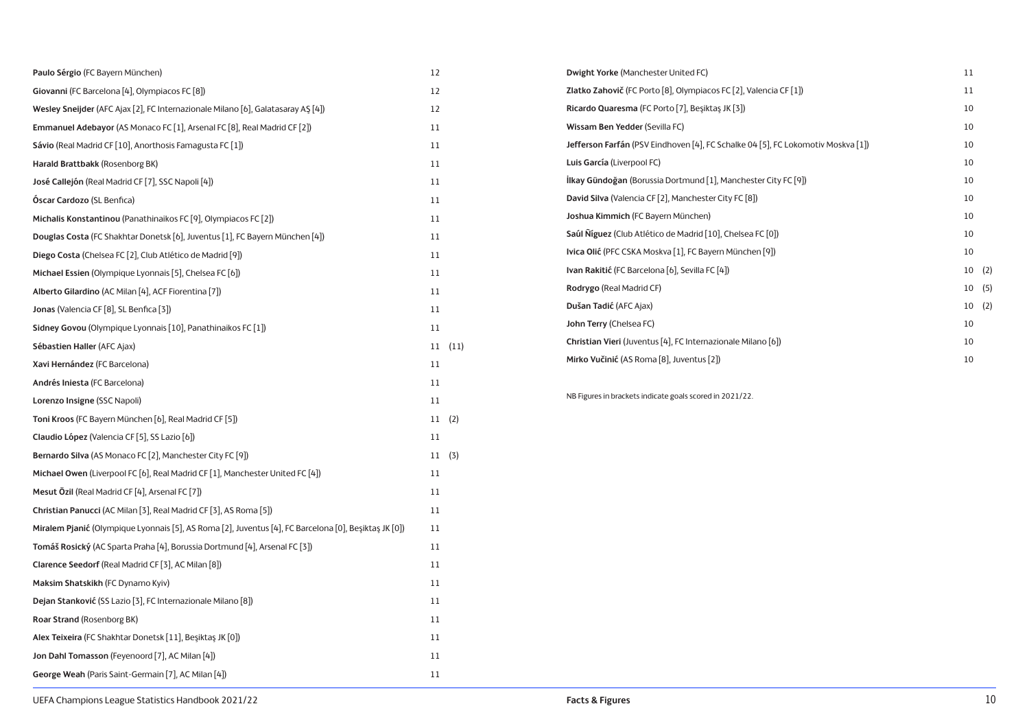| Paulo Sérgio (FC Bayern München)                                                                      | 12     | Dwight Yorke (Manchester United FC)                                              | 11    |
|-------------------------------------------------------------------------------------------------------|--------|----------------------------------------------------------------------------------|-------|
| Giovanni (FC Barcelona [4], Olympiacos FC [8])                                                        | 12     | Zlatko Zahovič (FC Porto [8], Olympiacos FC [2], Valencia CF [1])                | 11    |
| Wesley Sneijder (AFC Ajax [2], FC Internazionale Milano [6], Galatasaray AS [4])                      | 12     | Ricardo Quaresma (FC Porto [7], Beşiktaş JK [3])                                 | 10    |
| Emmanuel Adebayor (AS Monaco FC [1], Arsenal FC [8], Real Madrid CF [2])                              | 11     | Wissam Ben Yedder (Sevilla FC)                                                   | 10    |
| Sávio (Real Madrid CF [10], Anorthosis Famagusta FC [1])                                              | 11     | Jefferson Farfán (PSV Eindhoven [4], FC Schalke 04 [5], FC Lokomotiv Moskva [1]) | 10    |
| Harald Brattbakk (Rosenborg BK)                                                                       | 11     | Luis García (Liverpool FC)                                                       | 10    |
| José Callejón (Real Madrid CF [7], SSC Napoli [4])                                                    | 11     | <b>İlkay Gündoğan</b> (Borussia Dortmund [1], Manchester City FC [9])            | 10    |
| Óscar Cardozo (SL Benfica)                                                                            | 11     | David Silva (Valencia CF [2], Manchester City FC [8])                            | 10    |
| Michalis Konstantinou (Panathinaikos FC [9], Olympiacos FC [2])                                       | 11     | Joshua Kimmich (FC Bayern München)                                               | 10    |
| Douglas Costa (FC Shakhtar Donetsk [6], Juventus [1], FC Bayern München [4])                          | 11     | Saúl Níguez (Club Atlético de Madrid [10], Chelsea FC [0])                       | 10    |
| Diego Costa (Chelsea FC [2], Club Atlético de Madrid [9])                                             | 11     | Ivica Olić (PFC CSKA Moskva [1], FC Bayern München [9])                          | 10    |
| Michael Essien (Olympique Lyonnais [5], Chelsea FC [6])                                               | 11     | Ivan Rakitić (FC Barcelona [6], Sevilla FC [4])                                  | 10(2) |
| Alberto Gilardino (AC Milan [4], ACF Fiorentina [7])                                                  | 11     | Rodrygo (Real Madrid CF)                                                         | 10(5) |
| Jonas (Valencia CF [8], SL Benfica [3])                                                               | 11     | Dušan Tadić (AFC Ajax)                                                           | 10(2) |
| Sidney Govou (Olympique Lyonnais [10], Panathinaikos FC [1])                                          | 11     | John Terry (Chelsea FC)                                                          | 10    |
| Sébastien Haller (AFC Ajax)                                                                           | 11(11) | Christian Vieri (Juventus [4], FC Internazionale Milano [6])                     | 10    |
| Xavi Hernández (FC Barcelona)                                                                         | 11     | Mirko Vučinić (AS Roma [8], Juventus [2])                                        | 10    |
| Andrés Iniesta (FC Barcelona)                                                                         | 11     |                                                                                  |       |
| Lorenzo Insigne (SSC Napoli)                                                                          | 11     | NB Figures in brackets indicate goals scored in 2021/22.                         |       |
| Toni Kroos (FC Bayern München [6], Real Madrid CF [5])                                                | 11(2)  |                                                                                  |       |
| Claudio López (Valencia CF [5], SS Lazio [6])                                                         | 11     |                                                                                  |       |
| Bernardo Silva (AS Monaco FC [2], Manchester City FC [9])                                             | 11(3)  |                                                                                  |       |
| Michael Owen (Liverpool FC [6], Real Madrid CF [1], Manchester United FC [4])                         | 11     |                                                                                  |       |
| Mesut Özil (Real Madrid CF [4], Arsenal FC [7])                                                       | 11     |                                                                                  |       |
| Christian Panucci (AC Milan [3], Real Madrid CF [3], AS Roma [5])                                     | 11     |                                                                                  |       |
| Miralem Pjanić (Olympique Lyonnais [5], AS Roma [2], Juventus [4], FC Barcelona [0], Beşiktaş JK [0]) | 11     |                                                                                  |       |
| Tomáš Rosický (AC Sparta Praha [4], Borussia Dortmund [4], Arsenal FC [3])                            | 11     |                                                                                  |       |
| Clarence Seedorf (Real Madrid CF [3], AC Milan [8])                                                   | 11     |                                                                                  |       |
| Maksim Shatskikh (FC Dynamo Kyiv)                                                                     | 11     |                                                                                  |       |
| Dejan Stanković (SS Lazio [3], FC Internazionale Milano [8])                                          | 11     |                                                                                  |       |
| Roar Strand (Rosenborg BK)                                                                            | 11     |                                                                                  |       |
| Alex Teixeira (FC Shakhtar Donetsk [11], Beşiktaş JK [0])                                             | 11     |                                                                                  |       |
| Jon Dahl Tomasson (Feyenoord [7], AC Milan [4])                                                       | 11     |                                                                                  |       |
| George Weah (Paris Saint-Germain [7], AC Milan [4])                                                   | 11     |                                                                                  |       |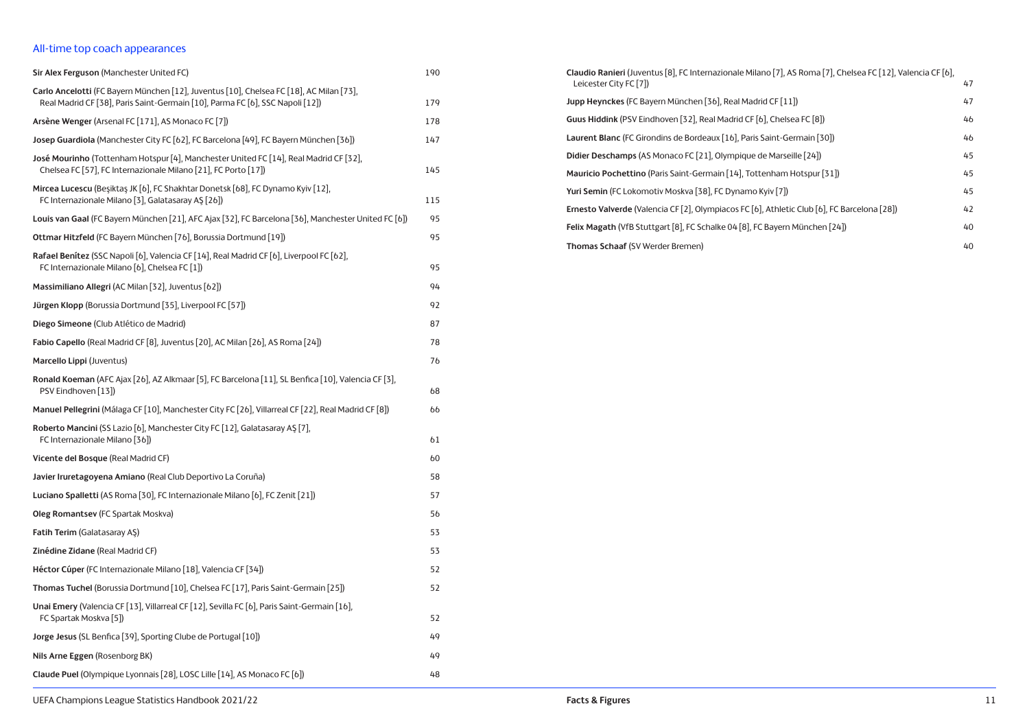## All-time top coach appearances

| Sir Alex Ferguson (Manchester United FC)                                                                                                                                 | 190 |
|--------------------------------------------------------------------------------------------------------------------------------------------------------------------------|-----|
| Carlo Ancelotti (FC Bayern München [12], Juventus [10], Chelsea FC [18], AC Milan [73],<br>Real Madrid CF [38], Paris Saint-Germain [10], Parma FC [6], SSC Napoli [12]) | 179 |
| Arsène Wenger (Arsenal FC [171], AS Monaco FC [7])                                                                                                                       | 178 |
| Josep Guardiola (Manchester City FC [62], FC Barcelona [49], FC Bayern München [36])                                                                                     | 147 |
| José Mourinho (Tottenham Hotspur [4], Manchester United FC [14], Real Madrid CF [32],<br>Chelsea FC [57], FC Internazionale Milano [21], FC Porto [17])                  | 145 |
| Mircea Lucescu (Beşiktaş JK [6], FC Shakhtar Donetsk [68], FC Dynamo Kyiv [12],<br>FC Internazionale Milano [3], Galatasaray AŞ [26])                                    | 115 |
| Louis van Gaal (FC Bayern München [21], AFC Ajax [32], FC Barcelona [36], Manchester United FC [6])                                                                      | 95  |
| Ottmar Hitzfeld (FC Bayern München [76], Borussia Dortmund [19])                                                                                                         | 95  |
| Rafael Benítez (SSC Napoli [6], Valencia CF [14], Real Madrid CF [6], Liverpool FC [62],<br>FC Internazionale Milano [6], Chelsea FC [1])                                | 95  |
| Massimiliano Allegri (AC Milan [32], Juventus [62])                                                                                                                      | 94  |
| Jürgen Klopp (Borussia Dortmund [35], Liverpool FC [57])                                                                                                                 | 92  |
| Diego Simeone (Club Atlético de Madrid)                                                                                                                                  | 87  |
| Fabio Capello (Real Madrid CF [8], Juventus [20], AC Milan [26], AS Roma [24])                                                                                           | 78  |
| Marcello Lippi (Juventus)                                                                                                                                                | 76  |
| Ronald Koeman (AFC Ajax [26], AZ Alkmaar [5], FC Barcelona [11], SL Benfica [10], Valencia CF [3],<br>PSV Eindhoven [13])                                                | 68  |
| Manuel Pellegrini (Málaga CF [10], Manchester City FC [26], Villarreal CF [22], Real Madrid CF [8])                                                                      | 66  |
| Roberto Mancini (SS Lazio [6], Manchester City FC [12], Galatasaray AŞ [7],<br>FC Internazionale Milano [36])                                                            | 61  |
| Vicente del Bosque (Real Madrid CF)                                                                                                                                      | 60  |
| Javier Iruretagoyena Amiano (Real Club Deportivo La Coruña)                                                                                                              | 58  |
| Luciano Spalletti (AS Roma [30], FC Internazionale Milano [6], FC Zenit [21])                                                                                            | 57  |
| Oleg Romantsev (FC Spartak Moskva)                                                                                                                                       | 56  |
| Fatih Terim (Galatasaray AŞ)                                                                                                                                             | 53  |
| Zinédine Zidane (Real Madrid CF)                                                                                                                                         | 53  |
| Héctor Cúper (FC Internazionale Milano [18], Valencia CF [34])                                                                                                           | 52  |
| Thomas Tuchel (Borussia Dortmund [10], Chelsea FC [17], Paris Saint-Germain [25])                                                                                        | 52  |
| Unai Emery (Valencia CF [13], Villarreal CF [12], Sevilla FC [6], Paris Saint-Germain [16],<br>FC Spartak Moskva [5])                                                    | 52  |
| Jorge Jesus (SL Benfica [39], Sporting Clube de Portugal [10])                                                                                                           | 49  |
| Nils Arne Eggen (Rosenborg BK)                                                                                                                                           | 49  |
| Claude Puel (Olympique Lyonnais [28], LOSC Lille [14], AS Monaco FC [6])                                                                                                 | 48  |

| Claudio Ranieri (Juventus [8], FC Internazionale Milano [7], AS Roma [7], Chelsea FC [12], Valencia CF [6],<br>Leicester City FC [7]) | 47 |
|---------------------------------------------------------------------------------------------------------------------------------------|----|
| Jupp Heynckes (FC Bayern München [36], Real Madrid CF [11])                                                                           | 47 |
| Guus Hiddink (PSV Eindhoven [32], Real Madrid CF [6], Chelsea FC [8])                                                                 | 46 |
| Laurent Blanc (FC Girondins de Bordeaux [16], Paris Saint-Germain [30])                                                               | 46 |
| Didier Deschamps (AS Monaco FC [21], Olympique de Marseille [24])                                                                     | 45 |
| Mauricio Pochettino (Paris Saint-Germain [14], Tottenham Hotspur [31])                                                                | 45 |
| Yuri Semin (FC Lokomotiv Moskva [38], FC Dynamo Kyiv [7])                                                                             | 45 |
| Ernesto Valverde (Valencia CF [2], Olympiacos FC [6], Athletic Club [6], FC Barcelona [28])                                           | 42 |
| Felix Magath (VfB Stuttgart [8], FC Schalke 04 [8], FC Bayern München [24])                                                           | 40 |
| Thomas Schaaf (SV Werder Bremen)                                                                                                      | 40 |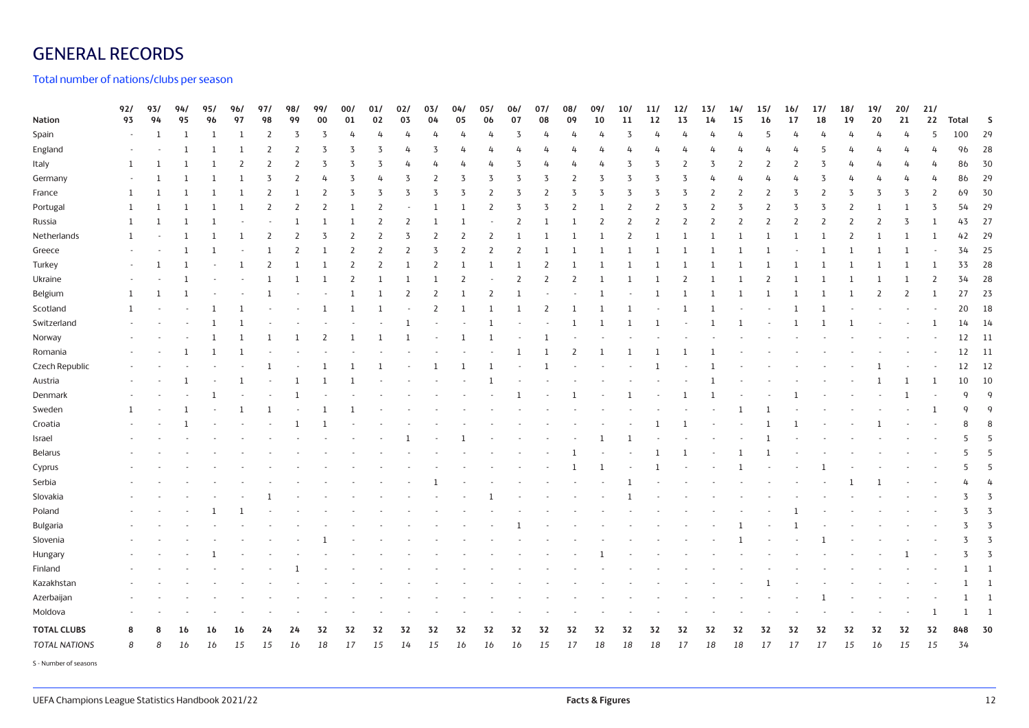# GENERAL RECORDS

Total number of nations/clubs per season

| Nation               | 92/<br>93      | 93/<br>94    | 94/<br>95    | 95/<br>96    | 96/<br>97      | 97/<br>98      | 98/<br>99      | 99/<br>00      | 00/<br>01    | 01/<br>02      | 02/<br>03      | 03/<br>04      | 04/<br>05     | 05/<br>06      | 0 <sub>6</sub><br>07 | 07/<br>08                | 08/<br>09      | 09/<br>10    | 10/<br>11      | 11/<br>12      | 12/<br>13 | 13/<br>14      | 14/<br>15      | 15/<br>16      | 16/<br>17 | 17/<br>18      | 18/<br>19      | 19/<br>20      | 20/<br>21      | 21/<br>22      | <b>Total</b>   | s              |
|----------------------|----------------|--------------|--------------|--------------|----------------|----------------|----------------|----------------|--------------|----------------|----------------|----------------|---------------|----------------|----------------------|--------------------------|----------------|--------------|----------------|----------------|-----------|----------------|----------------|----------------|-----------|----------------|----------------|----------------|----------------|----------------|----------------|----------------|
| Spain                |                | -1           |              |              |                | $\overline{2}$ | 3              | 3              | 4            | 4              | 4              | 4              | 4             | 4              | 3                    | 4                        | 4              |              | 3              | 4              | 4         | Ц              |                | 5              | Д         | Ц              | 4              | 4              | Ц              | -5             | 100            | 29             |
| England              |                |              |              |              |                | 2              | $\overline{2}$ | 3              | 3            | 3              | 4              | 3              | 4             | 4              | 4                    |                          |                |              |                |                | 4         |                |                | 4              | 4         | 5              | 4              | 4              | 4              |                | 96             | 28             |
| Italy                |                |              |              |              |                |                | $\overline{2}$ | 3              | 3            | 3              | 4              | Ц              |               | 4              | 3                    |                          | Ц              | 4            | 3              | 3              | 2         | 3              | 2              | $\overline{2}$ | 2         | 3              | 4              | 4              | 4              | 4              | 86             | 30             |
| Germany              |                |              |              |              |                |                | $\overline{2}$ | 4              | 3            | 4              | 3              | $\overline{2}$ | 3             | 3              | 3                    | 3                        | $\overline{2}$ | 3            | 3              | 3              | 3         | 4              |                | 4              | 4         | 3              | 4              | 4              | 4              |                | 86             | 29             |
| France               | -1             | -1           |              |              |                |                | 1              | 2              | 3            | 3              | 3              | 3              | 3             | $\overline{2}$ | 3                    | $\overline{\phantom{a}}$ | 3              | 3            | 3              | 3              | 3         | $\overline{2}$ | 2              | $\overline{2}$ | 3         | $\overline{2}$ | 3              | 3              | -3             | 2              | 69             | 30             |
| Portugal             |                | $\mathbf{1}$ |              |              |                |                | $\overline{2}$ | $\overline{2}$ | $\mathbf{1}$ | $\overline{2}$ |                |                |               | $\overline{2}$ | 3                    | 3                        | $\overline{2}$ |              | $\overline{2}$ | $\overline{2}$ | 3         | $\overline{2}$ | 3              | $\overline{2}$ | 3         | 3              | $\overline{2}$ | $\mathbf{1}$   | -1             | 3              | 54             | 29             |
| Russia               | 1              | -1           | $\mathbf{1}$ |              |                |                | 1              | -1             | $\mathbf{1}$ | $\overline{2}$ | 2              |                |               |                | 2                    |                          | -1             | 2            | $\overline{2}$ | $\overline{2}$ | 2         | $\overline{2}$ | 2              | $\overline{2}$ | 2         | $\overline{2}$ | $\overline{2}$ | $\overline{2}$ | 3              | 1              | 43             | 27             |
| Netherlands          | 1              |              | -1           | $\mathbf{1}$ | $\overline{1}$ | 2              | $\overline{a}$ | 3              | 2            | $\overline{2}$ | 3              | $\overline{2}$ | $\mathcal{L}$ | $\overline{2}$ | $\overline{1}$       | $\mathbf{1}$             | -1             | $\mathbf{1}$ | $\overline{2}$ |                | 1         | -1             | $\overline{1}$ | 1              | -1        | $\mathbf{1}$   | $\overline{2}$ | $\mathbf{1}$   | -1             | 1              | 42             | 29             |
| Greece               |                |              | -1           | -1           |                |                | $\overline{2}$ | -1             | 2            | $\overline{2}$ | $\overline{2}$ | 3              | 2             | $\overline{2}$ | 2                    | -1                       | 1              |              |                |                | 1         | 1              |                | 1              |           | $\mathbf{1}$   |                |                | -1             |                | 34             | 25             |
| Turkey               |                | $\mathbf{1}$ |              |              | -1             |                |                |                | 2            | $\overline{2}$ | $\overline{1}$ | $\overline{2}$ |               | 1              |                      | 2                        | -1             |              |                |                | 1         |                |                | $\mathbf{1}$   |           | $\mathbf{1}$   |                |                | -1             | $\overline{1}$ | 33             | 28             |
| Ukraine              |                |              |              |              |                |                |                | -1             | 2            | -1             | -1             | - 1            | 2             |                | $\overline{2}$       | 2                        | $\overline{2}$ | -1           | 1              |                | 2         |                | -1             | $\overline{2}$ | 1         | -1             |                | -1             | -1             | 2              | 34             | 28             |
| Belgium              | $\overline{1}$ | -1           |              |              |                |                |                |                | $\mathbf{1}$ | 1              | $\overline{2}$ | $\overline{2}$ |               | 2              |                      |                          |                |              |                |                |           |                |                | 1              | -1        | -1             |                | 2              | $\overline{2}$ | 1              | 27             | 23             |
| Scotland             | $\overline{1}$ |              |              |              |                |                |                | -1             |              |                |                | $\overline{2}$ |               |                |                      | 2                        | $\mathbf{1}$   |              |                |                |           |                |                |                |           |                |                |                |                |                | 20             | 18             |
| Switzerland          |                |              |              |              |                |                |                |                |              |                | -1             |                |               |                |                      |                          |                |              |                |                |           |                |                |                |           |                |                |                |                |                | 14             | 14             |
| Norway               |                |              |              |              |                |                |                | $\overline{2}$ |              |                |                |                |               |                |                      |                          |                |              |                |                |           |                |                |                |           |                |                |                |                |                | 12             | 11             |
| Romania              |                |              |              |              |                |                |                |                |              |                |                |                |               |                |                      |                          | 2              |              |                |                |           |                |                |                |           |                |                |                |                |                |                | $12 \qquad 11$ |
| Czech Republic       |                |              |              |              |                |                |                |                |              |                |                |                |               |                |                      |                          |                |              |                |                |           |                |                |                |           |                |                |                |                |                | 12             | 12             |
| Austria              |                |              |              |              |                |                |                |                |              |                |                |                |               |                |                      |                          |                |              |                |                |           |                |                |                |           |                |                |                |                |                | 10             | 10             |
| Denmark              |                |              |              |              |                |                |                |                |              |                |                |                |               |                |                      |                          |                |              |                |                |           |                |                |                |           |                |                |                |                |                | $\mathsf{Q}$   | $\mathsf{q}$   |
| Sweden               |                |              |              |              |                |                |                |                |              |                |                |                |               |                |                      |                          |                |              |                |                |           |                |                |                |           |                |                |                |                |                | $\mathbf Q$    | $\mathsf{q}$   |
| Croatia              |                |              |              |              |                |                |                |                |              |                |                |                |               |                |                      |                          |                |              |                |                |           |                |                |                |           |                |                |                |                |                | 8              | 8              |
| Israel               |                |              |              |              |                |                |                |                |              |                |                |                |               |                |                      |                          |                |              |                |                |           |                |                |                |           |                |                |                |                |                | -5             | 5              |
| Belarus              |                |              |              |              |                |                |                |                |              |                |                |                |               |                |                      |                          |                |              |                |                |           |                |                |                |           |                |                |                |                |                | 5              | 5              |
| Cyprus               |                |              |              |              |                |                |                |                |              |                |                |                |               |                |                      |                          |                |              |                |                |           |                |                |                |           |                |                |                |                |                | 5              | 5              |
| Serbia               |                |              |              |              |                |                |                |                |              |                |                |                |               |                |                      |                          |                |              |                |                |           |                |                |                |           |                |                |                |                |                | Щ              | $\overline{4}$ |
| Slovakia             |                |              |              |              |                |                |                |                |              |                |                |                |               |                |                      |                          |                |              |                |                |           |                |                |                |           |                |                |                |                |                | 3              | 3              |
| Poland               |                |              |              |              |                |                |                |                |              |                |                |                |               |                |                      |                          |                |              |                |                |           |                |                |                |           |                |                |                |                |                | $\overline{3}$ | 3              |
| Bulgaria             |                |              |              |              |                |                |                |                |              |                |                |                |               |                |                      |                          |                |              |                |                |           |                |                |                |           |                |                |                |                |                | 3              | 3              |
| Slovenia             |                |              |              |              |                |                |                |                |              |                |                |                |               |                |                      |                          |                |              |                |                |           |                |                |                |           |                |                |                |                |                | 3              | 3              |
| Hungary              |                |              |              |              |                |                |                |                |              |                |                |                |               |                |                      |                          |                |              |                |                |           |                |                |                |           |                |                |                |                |                | 3              | $\overline{3}$ |
| Finland              |                |              |              |              |                |                |                |                |              |                |                |                |               |                |                      |                          |                |              |                |                |           |                |                |                |           |                |                |                |                |                | $\overline{1}$ | $\mathbf{1}$   |
| Kazakhstan           |                |              |              |              |                |                |                |                |              |                |                |                |               |                |                      |                          |                |              |                |                |           |                |                |                |           |                |                |                |                |                | $\overline{1}$ | <sup>1</sup>   |
| Azerbaijan           |                |              |              |              |                |                |                |                |              |                |                |                |               |                |                      |                          |                |              |                |                |           |                |                |                |           |                |                |                |                |                | $\mathbf{1}$   | $\mathbf{1}$   |
| Moldova              |                |              |              |              |                |                |                |                |              |                |                |                |               |                |                      |                          |                |              |                |                |           |                |                |                |           |                |                |                |                |                | 1              | $\overline{1}$ |
| <b>TOTAL CLUBS</b>   | 8              | 8            | 16           | 16           | 16             | 24             | 24             | 32             | 32           | 32             | 32             | 32             | 32            | 32             | 32                   | 32                       | 32             | 32           | 32             | 32             | 32        | 32             | 32             | 32             | 32        | 32             | 32             | 32             | 32             | 32             | 848            | 30             |
| <b>TOTAL NATIONS</b> | 8              | 8            | 16           | 16           | 15             | 15             | 16             | 18             | 17           | 15             | 14             | 15             | 16            | 16             | 16                   | 15                       | 17             | 18           | 18             | 18             | 17        | 18             | 18             | 17             | 17        | 17             | 15             | 16             | 15             | 15             | 34             |                |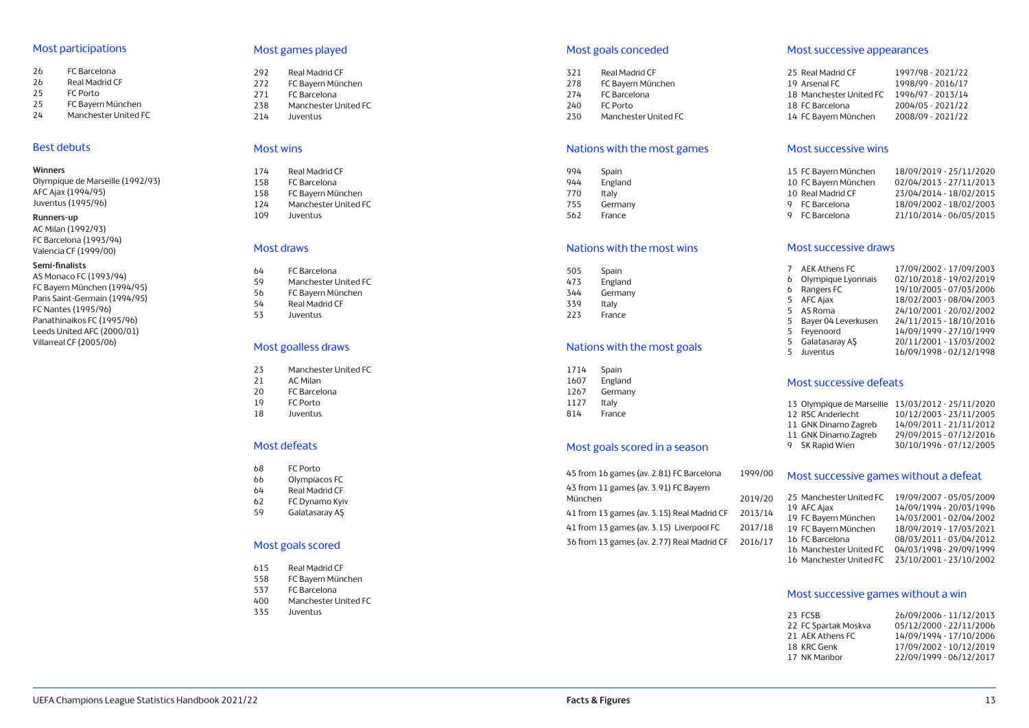#### Most participations

- 26 FC Barcelona<br>26 Real Madrid C
- 26 Real Madrid CF<br>25 FC Porto
- 25 FC Porto<br>25 FC Baven
- 25 FC Bayern München
- 24 Manchester United FC

#### Best debuts

#### **Winners**

Olympique de Marseille (1992/93) AFC Ajax (1994/95) Juventus (1995/96)

#### **Runners-up**

AC Milan (1992/93) FC Barcelona (1993/94) Valencia CF (1999/00)

#### **Semi-finalists**

AS Monaco FC (1993/94) FC Bayern München (1994/95) Paris Saint-Germain (1994/95) FC Nantes (1995/96) Panathinaikos FC (1995/96) Leeds United AFC (2000/01) Villarreal CF (2005/06)

#### Most games played

- 292 Real Madrid CF<br>272 FC Bavern Mün
- FC Bayern München
- 271 FC Barcelona
- 238 Manchester United FC 214 Juventus
- 

#### Most wins

- 174 Real Madrid CF
- 158 FC Barcelona
- 158 FC Bayern München
- 124 Manchester United FC
- 109 Juventus

#### Most draws

- 64 FC Barcelona
- 59 Manchester United FC<br>56 FC Bayern München
- 56 FC Bayern München<br>54 Real Madrid CF
- 54 Real Madrid CF<br>53 Juventus **Juventus**
- Most goalless draws
- 23 Manchester United FC<br>21 AC Milan
- 21 AC Milan<br>20 FC Barcel
- FC Barcelona
- 19 FC Porto<br>18 Juventus
- **Juventus**

#### Most defeats

- 68 FC Porto
- 66 Olympiacos FC
- 64 Real Madrid CF
- 62 FC Dynamo Kyiv
- 59 Galatasaray AŞ

#### Most goals scored

- 615 Real Madrid CF
- 558 FC Bayern München
- 537 FC Barcelona
- 400 Manchester United FC<br>335 Juventus
- **Juventus**

#### Most goals conceded

- 321 Real Madrid CF<br>278 FC Bavern Mün FC Bayern München 274 FC Barcelona 240 FC Porto
- 230 Manchester United FC

#### Nations with the most games

| 994 | Spain   |  |
|-----|---------|--|
| 944 | England |  |
| 770 | Italy   |  |
| 755 | Germany |  |
| 562 | France  |  |

#### Nations with the most wins

505 Spain 473 England 344 Germany 339 Italy 223 France

#### Nations with the most goals

1714 Spain 1607 England 1267 Germany 1127 Italy

## 814 France

#### Most goals scored in a season

45 from 16 games (av. 2.81) FC Barcelona 1999/00 43 from 11 games (av. 3.91) FC Bayern München 2019/20 41 from 13 games (av. 3.15) Real Madrid CF 2013/14 41 from 13 games (av. 3.15) Liverpool FC 2017/18 36 from 13 games (av. 2.77) Real Madrid CF 2016/17

#### Most successive appearances

| 25 Real Madrid CF       | 1997/98 - 2021/22 |
|-------------------------|-------------------|
| 19 Arsenal FC           | 1998/99 - 2016/17 |
| 18 Manchester United FC | 1996/97 - 2013/14 |
| 18 FC Barcelona         | 2004/05 - 2021/22 |
| 14 FC Bayern München    | 2008/09 - 2021/22 |

#### Most successive wins

| 15 FC Bayern München | 18/09/2019 - 25/11/2020 |
|----------------------|-------------------------|
| 10 FC Bayern München | 02/04/2013 - 27/11/2013 |
| 10 Real Madrid CF    | 23/04/2014 - 18/02/2015 |
| 9 FC Barcelona       | 18/09/2002 - 18/02/2003 |
| 9 FC Barcelona       | 21/10/2014 - 06/05/2015 |

#### Most successive draws

|    | AEK Athens FC       | 17/09/2002 - 17/09/2003 |
|----|---------------------|-------------------------|
|    |                     |                         |
| b  | Olympique Lyonnais  | 02/10/2018 - 19/02/2019 |
| 6  | Rangers FC          | 19/10/2005 - 07/03/2006 |
|    | 5 AFC Ajax          | 18/02/2003 - 08/04/2003 |
|    | 5 AS Roma           | 24/10/2001 - 20/02/2002 |
| 5  | Bayer 04 Leverkusen | 24/11/2015 - 18/10/2016 |
| 5  | Feyenoord           | 14/09/1999 - 27/10/1999 |
|    | 5 Galatasaray AS    | 20/11/2001 - 13/03/2002 |
| 5. | Juventus            | 16/09/1998 - 02/12/1998 |
|    |                     |                         |

## Most successive defeats

| 13/03/2012 - 25/11/2020 |
|-------------------------|
| 10/12/2003 - 23/11/2005 |
| 14/09/2011 - 21/11/2012 |
| 29/09/2015 - 07/12/2016 |
| 30/10/1996 - 07/12/2005 |
|                         |

#### Most successive games without a defeat

| 25 Manchester United FC | 19/09/2007 - 05/05/2009 |
|-------------------------|-------------------------|
| 19 AFC Ajax             | 14/09/1994 - 20/03/1996 |
| 19 FC Bayern München    | 14/03/2001 - 02/04/2002 |
| 19 FC Bayern München    | 18/09/2019 - 17/03/2021 |
| 16 FC Barcelona         | 08/03/2011 - 03/04/2012 |
| 16 Manchester United FC | 04/03/1998 - 29/09/1999 |
| 16 Manchester United FC | 23/10/2001 - 23/10/2002 |

#### Most successive games without a win

| 23 FCSB              | 26/09/2006 - 11/12/2013 |
|----------------------|-------------------------|
| 22 FC Spartak Moskva | 05/12/2000 - 22/11/2006 |
| 21 AEK Athens FC     | 14/09/1994 - 17/10/2006 |
| 18 KRC Genk          | 17/09/2002 - 10/12/2019 |
| 17 NK Maribor        | 22/09/1999 - 06/12/2017 |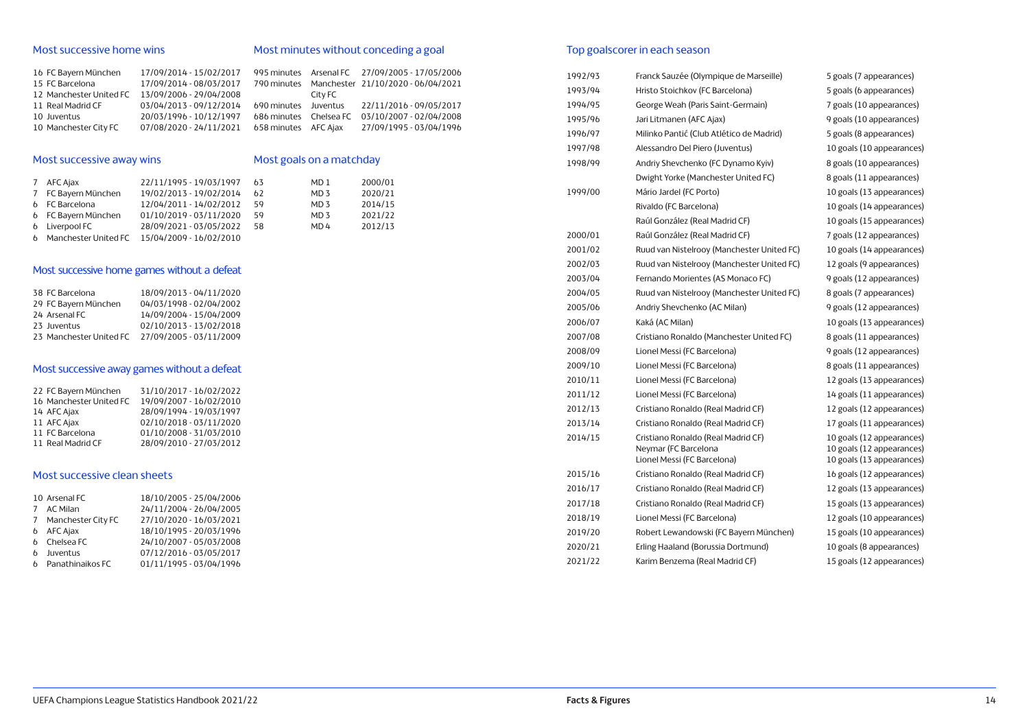#### Most successive home wins

## Most minutes without conceding a goal

| 16 FC Bayern München    | 17/09/2014 - 15/02/2017 |                        |         | 995 minutes Arsenal FC 27/09/2005 - 17/05/2006 |
|-------------------------|-------------------------|------------------------|---------|------------------------------------------------|
| 15 FC Barcelona         | 17/09/2014 - 08/03/2017 |                        |         | 790 minutes Manchester 21/10/2020 - 06/04/2021 |
| 12 Manchester United FC | 13/09/2006 - 29/04/2008 |                        | City FC |                                                |
| 11 Real Madrid CF       | 03/04/2013 - 09/12/2014 | 690 minutes Juventus   |         | 22/11/2016 - 09/05/2017                        |
| 10 Juventus             | 20/03/1996 - 10/12/1997 | 686 minutes Chelsea FC |         | 03/10/2007 - 02/04/2008                        |
| 10 Manchester City FC   | 07/08/2020 - 24/11/2021 | 658 minutes AFC Aiax   |         | 27/09/1995 - 03/04/1996                        |

## Most successive away wins

## Most goals on a matchday

| 7 AFC Ajax             | 22/11/1995 - 19/03/1997 63 |    | MD <sub>1</sub> | 2000/01 |
|------------------------|----------------------------|----|-----------------|---------|
| 7 FC Bayern München    | 19/02/2013 - 19/02/2014    | 62 | MD <sub>3</sub> | 2020/21 |
| 6 FC Barcelona         | 12/04/2011 - 14/02/2012    | 59 | MD <sub>3</sub> | 2014/15 |
| 6 FC Bayern München    | 01/10/2019 - 03/11/2020    | 59 | MD <sub>3</sub> | 2021/22 |
| 6 Liverpool FC         | 28/09/2021 - 03/05/2022    | 58 | MD <sub>4</sub> | 2012/13 |
| 6 Manchester United FC | 15/04/2009 - 16/02/2010    |    |                 |         |

## Most successive home games without a defeat

| 38 FC Barcelona         | 18/09/2013 - 04/11/2020 |
|-------------------------|-------------------------|
| 29 FC Bayern München    | 04/03/1998 - 02/04/2002 |
| 24 Arsenal FC           | 14/09/2004 - 15/04/2009 |
| 23 Juventus             | 02/10/2013 - 13/02/2018 |
| 23 Manchester United FC | 27/09/2005 - 03/11/2009 |

## Most successive away games without a defeat

| 22 FC Bayern München    | 31/10/2017 - 16/02/2022 |
|-------------------------|-------------------------|
| 16 Manchester United FC | 19/09/2007 - 16/02/2010 |
| 14 AFC Ajax             | 28/09/1994 - 19/03/1997 |
| 11 AFC Ajax             | 02/10/2018 - 03/11/2020 |
| 11 FC Barcelona         | 01/10/2008 - 31/03/2010 |
| 11 Real Madrid CF       | 28/09/2010 - 27/03/2012 |

#### Most successive clean sheets

| 10 Arsenal FC        | 18/10/2005 - 25/04/2006 |
|----------------------|-------------------------|
| 7 AC Milan           | 24/11/2004 - 26/04/2005 |
| 7 Manchester City FC | 27/10/2020 - 16/03/2021 |
| <b>6</b> AFC Ajax    | 18/10/1995 - 20/03/1996 |
| 6 Chelsea FC         | 24/10/2007 - 05/03/2008 |
| 6 Juventus           | 07/12/2016 - 03/05/2017 |
| 6 Panathinaikos FC   | 01/11/1995 - 03/04/1996 |

## Top goalscorer in each season

| 1992/93 | Franck Sauzée (Olympique de Marseille)                                                    | 5 goals (7 appearances)                                                             |
|---------|-------------------------------------------------------------------------------------------|-------------------------------------------------------------------------------------|
| 1993/94 | Hristo Stoichkov (FC Barcelona)                                                           | 5 goals (6 appearances)                                                             |
| 1994/95 | George Weah (Paris Saint-Germain)                                                         | 7 goals (10 appearances)                                                            |
| 1995/96 | Jari Litmanen (AFC Ajax)                                                                  | 9 goals (10 appearances)                                                            |
| 1996/97 | Milinko Pantić (Club Atlético de Madrid)                                                  | 5 goals (8 appearances)                                                             |
| 1997/98 | Alessandro Del Piero (Juventus)                                                           | 10 goals (10 appearances)                                                           |
| 1998/99 | Andriy Shevchenko (FC Dynamo Kyiv)                                                        | 8 goals (10 appearances)                                                            |
|         | Dwight Yorke (Manchester United FC)                                                       | 8 goals (11 appearances)                                                            |
| 1999/00 | Mário Jardel (FC Porto)                                                                   | 10 goals (13 appearances)                                                           |
|         | Rivaldo (FC Barcelona)                                                                    | 10 goals (14 appearances)                                                           |
|         | Raúl González (Real Madrid CF)                                                            | 10 goals (15 appearances)                                                           |
| 2000/01 | Raúl González (Real Madrid CF)                                                            | 7 goals (12 appearances)                                                            |
| 2001/02 | Ruud van Nistelrooy (Manchester United FC)                                                | 10 goals (14 appearances)                                                           |
| 2002/03 | Ruud van Nistelrooy (Manchester United FC)                                                | 12 goals (9 appearances)                                                            |
| 2003/04 | Fernando Morientes (AS Monaco FC)                                                         | 9 goals (12 appearances)                                                            |
| 2004/05 | Ruud van Nistelrooy (Manchester United FC)                                                | 8 goals (7 appearances)                                                             |
| 2005/06 | Andriy Shevchenko (AC Milan)                                                              | 9 goals (12 appearances)                                                            |
| 2006/07 | Kaká (AC Milan)                                                                           | 10 goals (13 appearances)                                                           |
| 2007/08 | Cristiano Ronaldo (Manchester United FC)                                                  | 8 goals (11 appearances)                                                            |
| 2008/09 | Lionel Messi (FC Barcelona)                                                               | 9 goals (12 appearances)                                                            |
| 2009/10 | Lionel Messi (FC Barcelona)                                                               | 8 goals (11 appearances)                                                            |
| 2010/11 | Lionel Messi (FC Barcelona)                                                               | 12 goals (13 appearances)                                                           |
| 2011/12 | Lionel Messi (FC Barcelona)                                                               | 14 goals (11 appearances)                                                           |
| 2012/13 | Cristiano Ronaldo (Real Madrid CF)                                                        | 12 goals (12 appearances)                                                           |
| 2013/14 | Cristiano Ronaldo (Real Madrid CF)                                                        | 17 goals (11 appearances)                                                           |
| 2014/15 | Cristiano Ronaldo (Real Madrid CF)<br>Neymar (FC Barcelona<br>Lionel Messi (FC Barcelona) | 10 goals (12 appearances)<br>10 goals (12 appearances)<br>10 goals (13 appearances) |
| 2015/16 | Cristiano Ronaldo (Real Madrid CF)                                                        | 16 goals (12 appearances)                                                           |
| 2016/17 | Cristiano Ronaldo (Real Madrid CF)                                                        | 12 goals (13 appearances)                                                           |
| 2017/18 | Cristiano Ronaldo (Real Madrid CF)                                                        | 15 goals (13 appearances)                                                           |
| 2018/19 | Lionel Messi (FC Barcelona)                                                               | 12 goals (10 appearances)                                                           |
| 2019/20 | Robert Lewandowski (FC Bayern München)                                                    | 15 goals (10 appearances)                                                           |
| 2020/21 | Erling Haaland (Borussia Dortmund)                                                        | 10 goals (8 appearances)                                                            |
| 2021/22 | Karim Benzema (Real Madrid CF)                                                            | 15 goals (12 appearances)                                                           |
|         |                                                                                           |                                                                                     |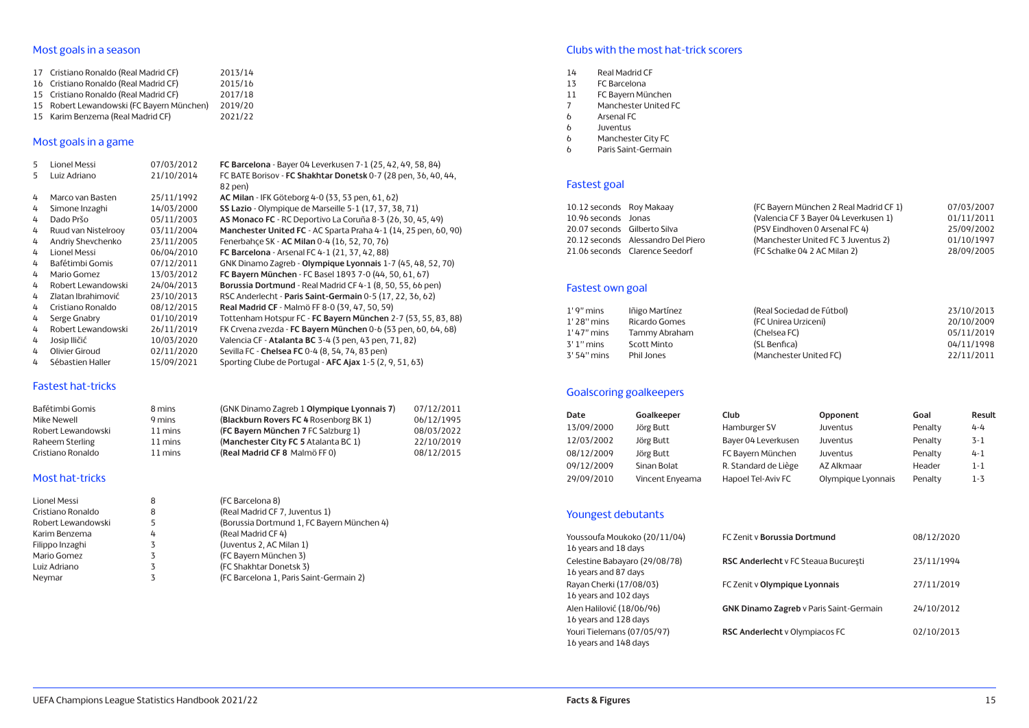## Most goals in a season

| 17 Cristiano Ronaldo (Real Madrid CF)     | 2013/14 |
|-------------------------------------------|---------|
| 16 Cristiano Ronaldo (Real Madrid CF)     | 2015/16 |
| 15 Cristiano Ronaldo (Real Madrid CF)     | 2017/18 |
| 15 Robert Lewandowski (FC Bayern München) | 2019/20 |
| 15 Karim Benzema (Real Madrid CF)         | 2021/22 |
|                                           |         |

## Most goals in a game

| 5 | Lionel Messi        | 07/03/2012 | FC Barcelona - Bayer 04 Leverkusen 7-1 (25, 42, 49, 58, 84)     |
|---|---------------------|------------|-----------------------------------------------------------------|
| 5 | Luiz Adriano        | 21/10/2014 | FC BATE Borisov - FC Shakhtar Donetsk 0-7 (28 pen, 36, 40, 44,  |
|   |                     |            | 82 pen)                                                         |
| 4 | Marco van Basten    | 25/11/1992 | AC Milan - IFK Göteborg 4-0 (33, 53 pen, 61, 62)                |
| 4 | Simone Inzaghi      | 14/03/2000 | SS Lazio - Olympique de Marseille 5-1 (17, 37, 38, 71)          |
| 4 | Dado Pršo           | 05/11/2003 | AS Monaco FC - RC Deportivo La Coruña 8-3 (26, 30, 45, 49)      |
| 4 | Ruud van Nistelrooy | 03/11/2004 | Manchester United FC - AC Sparta Praha 4-1 (14, 25 pen, 60, 90) |
| 4 | Andriy Shevchenko   | 23/11/2005 | Fenerbahce SK - AC Milan 0-4 (16, 52, 70, 76)                   |
| 4 | Lionel Messi        | 06/04/2010 | <b>FC Barcelona</b> - Arsenal FC 4-1 (21, 37, 42, 88)           |
| 4 | Bafétimbi Gomis     | 07/12/2011 | GNK Dinamo Zagreb - Olympique Lyonnais 1-7 (45, 48, 52, 70)     |
| 4 | Mario Gomez         | 13/03/2012 | FC Bayern München - FC Basel 1893 7-0 (44, 50, 61, 67)          |
| 4 | Robert Lewandowski  | 24/04/2013 | Borussia Dortmund - Real Madrid CF 4-1 (8, 50, 55, 66 pen)      |
| 4 | Zlatan Ibrahimović  | 23/10/2013 | RSC Anderlecht - Paris Saint-Germain 0-5 (17, 22, 36, 62)       |
| 4 | Cristiano Ronaldo   | 08/12/2015 | Real Madrid CF - Malmö FF 8-0 (39, 47, 50, 59)                  |
| 4 | Serge Gnabry        | 01/10/2019 | Tottenham Hotspur FC - FC Bayern München 2-7 (53, 55, 83, 88)   |
| 4 | Robert Lewandowski  | 26/11/2019 | FK Crvena zvezda - FC Bayern München 0-6 (53 pen, 60, 64, 68)   |
| 4 | Josip Iličić        | 10/03/2020 | Valencia CF - Atalanta BC 3-4 (3 pen, 43 pen, 71, 82)           |
| 4 | Olivier Giroud      | 02/11/2020 | Sevilla FC - Chelsea FC 0-4 (8, 54, 74, 83 pen)                 |
| 4 | Sébastien Haller    | 15/09/2021 | Sporting Clube de Portugal - AFC Ajax 1-5 (2, 9, 51, 63)        |

#### Fastest hat-tricks

| Bafétimbi Gomis    | 8 mins  | (GNK Dinamo Zagreb 1 Olympique Lyonnais 7) | 07/12/2011 |
|--------------------|---------|--------------------------------------------|------------|
| Mike Newell        | 9 mins  | (Blackburn Rovers FC 4 Rosenborg BK 1)     | 06/12/1995 |
| Robert Lewandowski | 11 mins | (FC Bavern München 7 FC Salzburg 1)        | 08/03/2022 |
| Raheem Sterling    | 11 mins | (Manchester City FC 5 Atalanta BC 1)       | 22/10/2019 |
| Cristiano Ronaldo  | 11 mins | (Real Madrid CF 8 Malmö FF 0)              | 08/12/2015 |

## Most hat-tricks

| Lionel Messi       | 8 | (FC Barcelona 8)                           |
|--------------------|---|--------------------------------------------|
| Cristiano Ronaldo  | 8 | (Real Madrid CF 7, Juventus 1)             |
| Robert Lewandowski | 5 | (Borussia Dortmund 1, FC Bayern München 4) |
| Karim Benzema      | 4 | (Real Madrid CF 4)                         |
| Filippo Inzaghi    |   | (Juventus 2, AC Milan 1)                   |
| Mario Gomez        |   | (FC Bayern München 3)                      |
| Luiz Adriano       |   | (FC Shakhtar Donetsk 3)                    |
| Neymar             |   | (FC Barcelona 1, Paris Saint-Germain 2)    |
|                    |   |                                            |

## Clubs with the most hat-trick scorers

- 14 Real Madrid CF
- 13 FC Barcelona
- 11 FC Bayern München<br>7 Manchester United F
- Manchester United FC
- 6 Arsenal FC
- 6 Juventus
- Manchester City FC
- 6 Paris Saint-Germain

## Fastest goal

| 10.12 seconds Roy Makaay     |                                    | (FC Bayern München 2 Real Madrid CF 1) | 07/03/2007 |
|------------------------------|------------------------------------|----------------------------------------|------------|
| 10.96 seconds Jonas          |                                    | (Valencia CF 3 Bayer 04 Leverkusen 1)  | 01/11/2011 |
| 20.07 seconds Gilberto Silva |                                    | (PSV Eindhoven 0 Arsenal FC 4)         | 25/09/2002 |
|                              | 20.12 seconds Alessandro Del Piero | (Manchester United FC 3 Juventus 2)    | 01/10/1997 |
|                              | 21.06 seconds Clarence Seedorf     | (FC Schalke 04 2 AC Milan 2)           | 28/09/2005 |

## Fastest own goal

| $1'$ 9" mins  | lñigo Martínez | (Real Sociedad de Fútbol) | 23/10/2013 |
|---------------|----------------|---------------------------|------------|
| $1'$ 28" mins | Ricardo Gomes  | (FC Unirea Urziceni)      | 20/10/2009 |
| 1' 47" mins   | Tammy Abraham  | (Chelsea FC)              | 05/11/2019 |
| $3'$ 1" mins  | Scott Minto    | (SL Benfica)              | 04/11/1998 |
| 3' 54" mins   | Phil Jones     | (Manchester United FC)    | 22/11/2011 |

## Goalscoring goalkeepers

| Date       | Goalkeeper      | Club                 | Opponent           | Goal    | Result  |
|------------|-----------------|----------------------|--------------------|---------|---------|
| 13/09/2000 | Jörg Butt       | Hamburger SV         | Juventus           | Penalty | $4 - 4$ |
| 12/03/2002 | Jörg Butt       | Bayer 04 Leverkusen  | Juventus           | Penalty | $3 - 1$ |
| 08/12/2009 | Jörg Butt       | FC Bayern München    | Juventus           | Penalty | $4 - 1$ |
| 09/12/2009 | Sinan Bolat     | R. Standard de Liège | AZ Alkmaar         | Header  | $1 - 1$ |
| 29/09/2010 | Vincent Enyeama | Hapoel Tel-Aviv FC   | Olympique Lyonnais | Penalty | 1-3     |

## Youngest debutants

| Youssoufa Moukoko (20/11/04)<br>16 years and 18 days  | FC Zenit v Borussia Dortmund                   | 08/12/2020 |
|-------------------------------------------------------|------------------------------------------------|------------|
| Celestine Babayaro (29/08/78)<br>16 years and 87 days | RSC Anderlecht v FC Steaua București           | 23/11/1994 |
| Rayan Cherki (17/08/03)<br>16 years and 102 days      | FC Zenit v Olympique Lyonnais                  | 27/11/2019 |
| Alen Halilović (18/06/96)<br>16 years and 128 days    | <b>GNK Dinamo Zagreb</b> v Paris Saint-Germain | 24/10/2012 |
| Youri Tielemans (07/05/97)<br>16 years and 148 days   | RSC Anderlecht v Olympiacos FC                 | 02/10/2013 |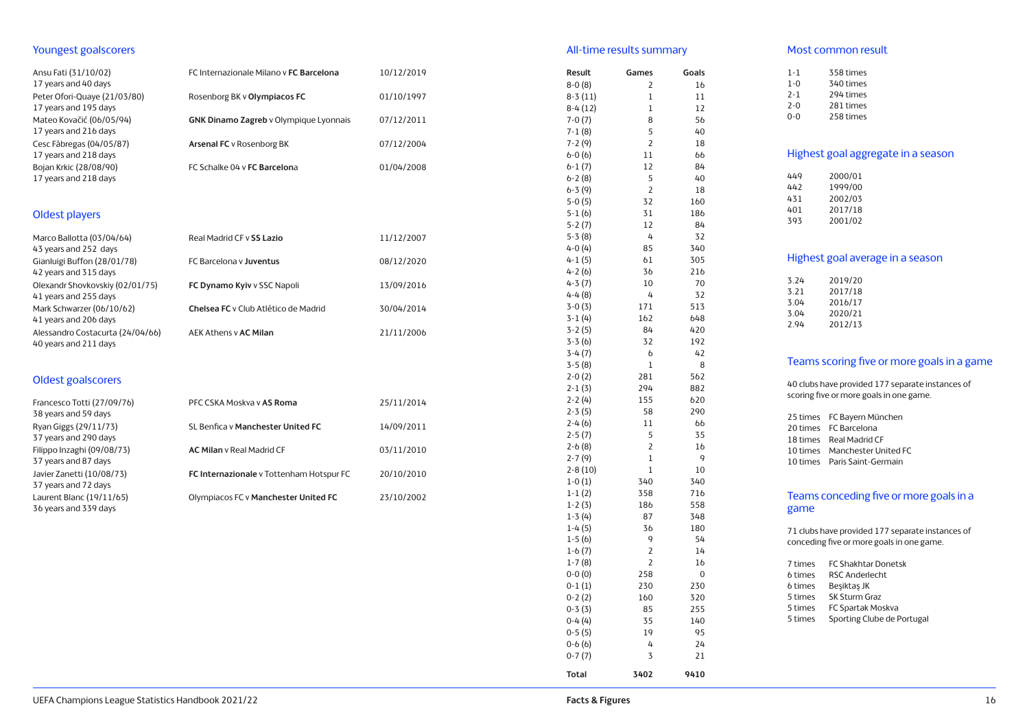#### Youngest goalscorers

| Ansu Fati (31/10/02)<br>17 years and 40 days              | FC Internazionale Milano v FC Barcelona       | 10/12/2019 |
|-----------------------------------------------------------|-----------------------------------------------|------------|
| Peter Ofori-Quaye (21/03/80)<br>17 years and 195 days     | Rosenborg BK v Olympiacos FC                  | 01/10/1997 |
| Mateo Kovačić (06/05/94)<br>17 years and 216 days         | <b>GNK Dinamo Zagreb v Olympique Lyonnais</b> | 07/12/2011 |
| Cesc Fàbregas (04/05/87)<br>17 years and 218 days         | Arsenal FC v Rosenborg BK                     | 07/12/2004 |
| Bojan Krkic (28/08/90)<br>17 years and 218 days           | FC Schalke 04 v FC Barcelona                  | 01/04/2008 |
| Oldest players                                            |                                               |            |
| Marco Ballotta (03/04/64)<br>43 years and 252 days        | Real Madrid CF v SS Lazio                     | 11/12/2007 |
| Gianluigi Buffon (28/01/78)<br>42 years and 315 days      | FC Barcelona y Juventus                       | 08/12/2020 |
| Olexandr Shovkovskiy (02/01/75)<br>41 years and 255 days  | FC Dynamo Kyiv v SSC Napoli                   | 13/09/2016 |
| Mark Schwarzer (06/10/62)<br>41 years and 206 days        | Chelsea FC y Club Atlético de Madrid          | 30/04/2014 |
| Alessandro Costacurta (24/04/66)<br>40 years and 211 days | AEK Athens v <b>AC Milan</b>                  | 21/11/2006 |
| <b>Oldest goalscorers</b>                                 |                                               |            |
| Francesco Totti (27/09/76)<br>38 years and 59 days        | PFC CSKA Moskva v AS Roma                     | 25/11/2014 |
| Ryan Giggs (29/11/73)<br>37 years and 290 days            | SL Benfica v Manchester United FC             | 14/09/2011 |
| Filippo Inzaghi (09/08/73)<br>37 years and 87 days        | <b>AC Milan</b> v Real Madrid CF              | 03/11/2010 |
| Javier Zanetti (10/08/73)<br>37 years and 72 days         | FC Internazionale v Tottenham Hotspur FC      | 20/10/2010 |
| Laurent Blanc (19/11/65)<br>36 years and 339 days         | Olympiacos FC v Manchester United FC          | 23/10/2002 |
|                                                           |                                               |            |

#### All-time results summary

8-0 (8)

8-3 (11)

8-4 (12)

7-0 (7)

7-1 (8)

7-2 (9)

 $6-1(7)$ 6-2 (8)

6-3 (9)

5-3 (8)

 $4-0(4)$ 

 $4-3(7)$ 4-4 (8)

3-4 (7)

3-5 (8)

2-5 (7)

2-6 (8)

2-7 (9)

2-8 (10)

1-5 (6)

1-6 (7)

1-7 (8)

0-6 (6)

0-7 (7)

0-0 (0) 258

1

1

3 21

**Total 3402 9410**

#### **Result Games Goals** 2 16 1 11 1 12 8 56<br>5 40  $40$ 2 18  $6-0 (6)$  11  $66$ <br> $6-1 (7)$  12 84 5 40 2 18 5-0 (5) 32 160 5-1 (6) 31 186 5-2 (7) 12 84 4 32<br>85 340 4-1 (5) 61 305  $4-2(6)$   $36$   $216$ <br> $4-3(7)$   $10$   $70$ 4 32 3-0 (3) 171 513 3-1 (4) 162 648 3-2 (5) 84 420 3-3 (6) 32 192 6 42 8 2-0 (2) 281 562 2-1 (3) 294 882 2-2 (4) 155 620 2-3 (5) 58 290 2-4 (6) 11 66 5 35 2 16 9 1 10 1-0 (1) 340 340 1-1 (2) 358 716 1-2 (3) 186 558 1-3 (4) 87 348 1-4 (5) 36 180 9 54 2 14 2 16  $\Omega$ 0-1 (1) 230 230 0-2 (2) 160 320 0-3 (3) 85 255 0-4 (4) 35 140 0-5 (5) 19 95 4 24 Most common result 1-1 358 times<br>1-0 340 times 340 times 2-1 294 times 2-0 281 times 0-0 258 times Highest goal aggregate in a season 449 2000/01<br>442 1999/00 442 1999/00<br>431 2002/03 431 2002/03<br>401 2017/18 2017/18 393 2001/02 Highest goal average in a season 3.24 2019/20 3.21 2017/18 2016/17 3.04 2020/21 2012/13 Teams scoring five or more goals in a game 40 clubs have provided 177 separate instances of scoring five or more goals in one game. 25 times FC Bayern München 20 times FC Barcelona 18 times Real Madrid CF 10 times Manchester United FC 10 times Paris Saint-Germain Teams conceding five or more goals in a game 71 clubs have provided 177 separate instances of conceding five or more goals in one game. 7 times FC Shakhtar Donetsk 6 times RSC Anderlecht<br>6 times Beşiktaş JK Beşiktaş JK 5 times SK Sturm Graz 5 times FC Spartak Moskva 5 times Sporting Clube de Portugal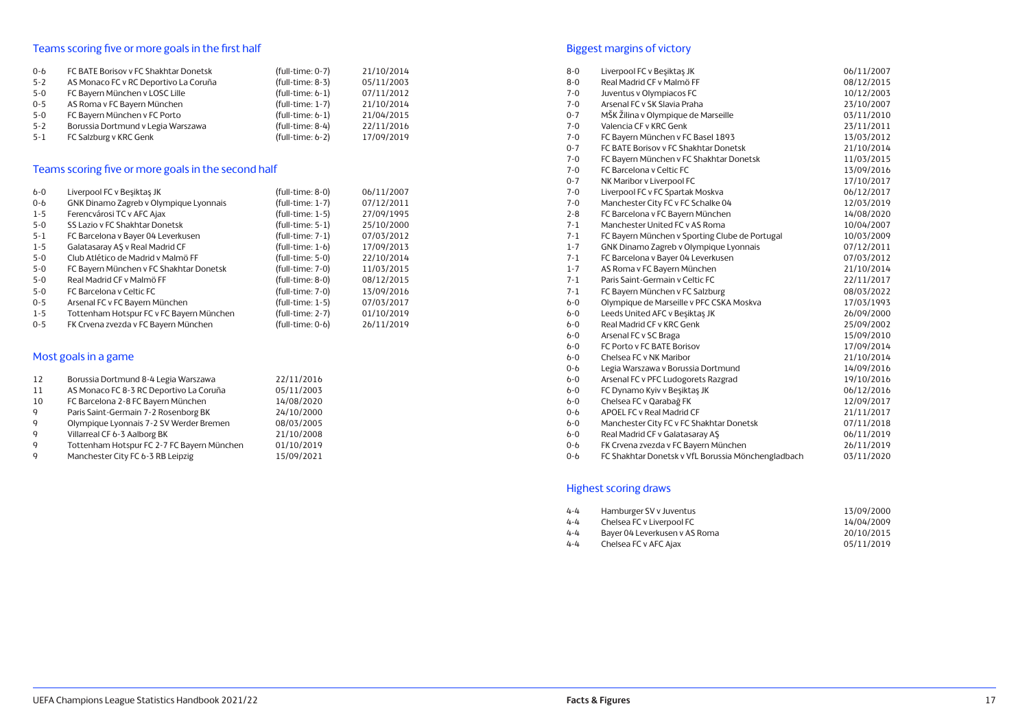## Teams scoring five or more goals in the first half

| $0 - 6$ | FC BATE Borisov v FC Shakhtar Donetsk | $(full-time: 0-7)$ | 21/10/2014 |
|---------|---------------------------------------|--------------------|------------|
| $5 - 2$ | AS Monaco FC v RC Deportivo La Coruña | $(full-time: 8-3)$ | 05/11/2003 |
| $5-0$   | FC Bayern München v LOSC Lille        | $(full-time: 6-1)$ | 07/11/2012 |
| $0 - 5$ | AS Roma v FC Bayern München           | $(full-time: 1-7)$ | 21/10/2014 |
| $5-0$   | FC Bayern München v FC Porto          | $(full-time: 6-1)$ | 21/04/2015 |
| $5 - 2$ | Borussia Dortmund v Legia Warszawa    | $(full-time: 8-4)$ | 22/11/2016 |
| $5 - 1$ | FC Salzburg v KRC Genk                | $(full-time: 6-2)$ | 17/09/2019 |

## Teams scoring five or more goals in the second half

| $6-0$   | Liverpool FC v Besiktas JK               | $(full-time: 8-0)$ | 06/11/2007 |
|---------|------------------------------------------|--------------------|------------|
| $0 - 6$ | GNK Dinamo Zagreb v Olympique Lyonnais   | $(full-time: 1-7)$ | 07/12/2011 |
| $1 - 5$ | Ferencvárosi TC v AFC Ajax               | $(full-time: 1-5)$ | 27/09/1995 |
| $5 - 0$ | SS Lazio v FC Shakhtar Donetsk           | $(full-time: 5-1)$ | 25/10/2000 |
| $5 - 1$ | FC Barcelona v Bayer 04 Leverkusen       | $(full-time: 7-1)$ | 07/03/2012 |
| $1 - 5$ | Galatasaray AS v Real Madrid CF          | $(full-time: 1-6)$ | 17/09/2013 |
| $5 - 0$ | Club Atlético de Madrid y Malmö FF       | (full-time: 5-0)   | 22/10/2014 |
| $5 - 0$ | FC Bayern München v FC Shakhtar Donetsk  | (full-time: 7-0)   | 11/03/2015 |
| $5 - 0$ | Real Madrid CF v Malmö FF                | (full-time: 8-0)   | 08/12/2015 |
| $5 - 0$ | FC Barcelona y Celtic FC                 | $(full-time: 7-0)$ | 13/09/2016 |
| $0 - 5$ | Arsenal FC v FC Bayern München           | $(full-time: 1-5)$ | 07/03/2017 |
| $1 - 5$ | Tottenham Hotspur FC v FC Bayern München | $(full-time: 2-7)$ | 01/10/2019 |
| $0 - 5$ | FK Crvena zvezda v FC Bayern München     | (full-time: 0-6)   | 26/11/2019 |

## Most goals in a game

| 12           | Borussia Dortmund 8-4 Legia Warszawa       | 22/11/2016 |
|--------------|--------------------------------------------|------------|
| 11           | AS Monaco FC 8-3 RC Deportivo La Coruña    | 05/11/2003 |
| 10           | FC Barcelona 2-8 FC Bayern München         | 14/08/2020 |
| $\mathsf{Q}$ | Paris Saint-Germain 7-2 Rosenborg BK       | 24/10/2000 |
| $\mathbf{Q}$ | Olympique Lyonnais 7-2 SV Werder Bremen    | 08/03/2005 |
| $\mathsf{Q}$ | Villarreal CF 6-3 Aalborg BK               | 21/10/2008 |
| $\mathsf{Q}$ | Tottenham Hotspur FC 2-7 FC Bayern München | 01/10/2019 |
| $\mathsf{Q}$ | Manchester City FC 6-3 RB Leipzig          | 15/09/2021 |

## Biggest margins of victory

| $8 - 0$ | Liverpool FC v Besiktas JK                         | 06/11/2007 |
|---------|----------------------------------------------------|------------|
| $8 - 0$ | Real Madrid CF v Malmö FF                          | 08/12/2015 |
| $7 - 0$ | Juventus v Olympiacos FC                           | 10/12/2003 |
| $7 - 0$ | Arsenal FC v SK Slavia Praha                       | 23/10/2007 |
| $0 - 7$ | MŠK Žilina v Olympique de Marseille                | 03/11/2010 |
| $7 - 0$ | Valencia CF v KRC Genk                             | 23/11/2011 |
| $7 - 0$ | FC Bayern München v FC Basel 1893                  | 13/03/2012 |
| $0 - 7$ | FC BATE Borisov v FC Shakhtar Donetsk              | 21/10/2014 |
| $7 - 0$ | FC Bayern München v FC Shakhtar Donetsk            | 11/03/2015 |
| $7 - 0$ | FC Barcelona y Celtic FC                           | 13/09/2016 |
| $0 - 7$ | NK Maribor v Liverpool FC                          | 17/10/2017 |
| $7 - 0$ | Liverpool FC v FC Spartak Moskva                   | 06/12/2017 |
| $7 - 0$ | Manchester City FC v FC Schalke 04                 | 12/03/2019 |
| $2 - 8$ | FC Barcelona v FC Bayern München                   | 14/08/2020 |
| $7 - 1$ | Manchester United FC v AS Roma                     | 10/04/2007 |
| $7 - 1$ | FC Bayern München v Sporting Clube de Portugal     | 10/03/2009 |
| $1 - 7$ | GNK Dinamo Zagreb v Olympique Lyonnais             | 07/12/2011 |
| $7 - 1$ | FC Barcelona v Bayer 04 Leverkusen                 | 07/03/2012 |
| $1 - 7$ | AS Roma v FC Bayern München                        | 21/10/2014 |
| $7 - 1$ | Paris Saint-Germain y Celtic FC                    | 22/11/2017 |
| $7 - 1$ | FC Bayern München v FC Salzburg                    | 08/03/2022 |
| $6-0$   | Olympique de Marseille v PFC CSKA Moskva           | 17/03/1993 |
| $b-0$   | Leeds United AFC v Besiktas JK                     | 26/09/2000 |
| $6-0$   | Real Madrid CF v KRC Genk                          | 25/09/2002 |
| $b-0$   | Arsenal FC v SC Braga                              | 15/09/2010 |
| $6-0$   | FC Porto v FC BATE Borisov                         | 17/09/2014 |
| $6-0$   | Chelsea FC v NK Maribor                            | 21/10/2014 |
| $0 - b$ | Legia Warszawa v Borussia Dortmund                 | 14/09/2016 |
| $b-0$   | Arsenal FC v PFC Ludogorets Razgrad                | 19/10/2016 |
| $b-0$   | FC Dynamo Kyiv v Beşiktaş JK                       | 06/12/2016 |
| $b-0$   | Chelsea FC v Qarabağ FK                            | 12/09/2017 |
| $0 - 6$ | APOEL FC v Real Madrid CF                          | 21/11/2017 |
| $6-0$   | Manchester City FC v FC Shakhtar Donetsk           | 07/11/2018 |
| $b-0$   | Real Madrid CF v Galatasaray AŞ                    | 06/11/2019 |
| $0 - b$ | FK Crvena zvezda v FC Bayern München               | 26/11/2019 |
| $0 - 6$ | FC Shakhtar Donetsk v VfL Borussia Mönchengladbach | 03/11/2020 |

## Highest scoring draws

| $4 - 4$ | Hamburger SV v Juventus       | 13/09/2000 |
|---------|-------------------------------|------------|
| $4 - 4$ | Chelsea FC v Liverpool FC     | 14/04/2009 |
| $4 - 4$ | Bayer 04 Leverkusen v AS Roma | 20/10/2015 |
| $4 - 4$ | Chelsea FC v AFC Ajax         | 05/11/2019 |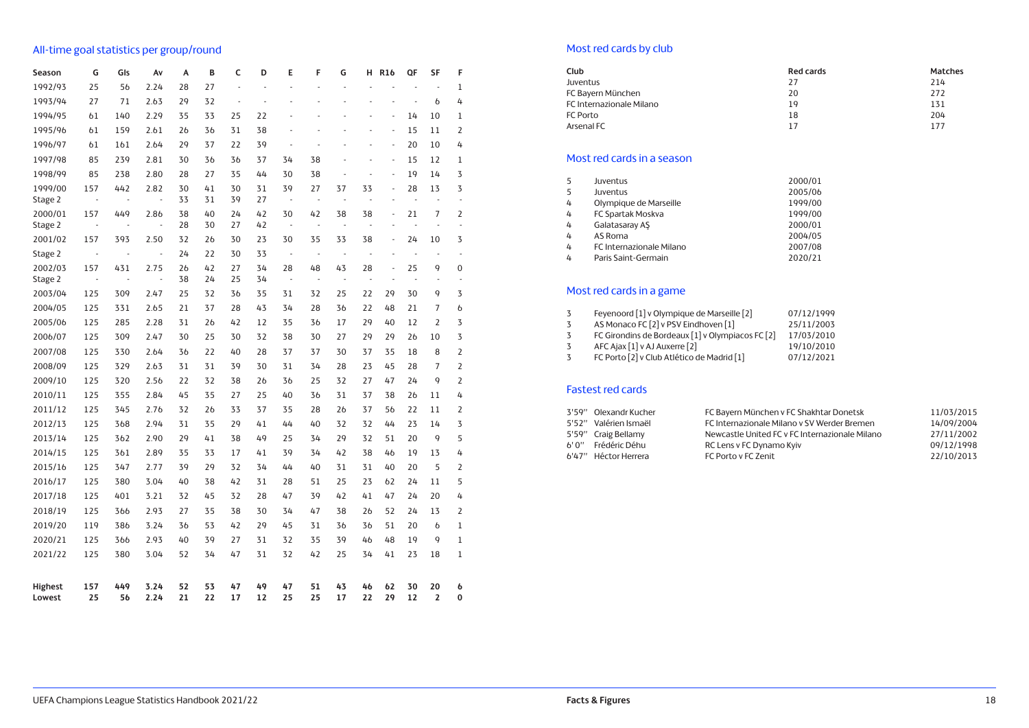## All-time goal statistics per group/round

| Season             | G                     | GIs                   | A٧                     | А              | B        | C              | D        | E                              | F                    | G                              | н                              | <b>R16</b>         | QF                       | SF                       | F                                |  |
|--------------------|-----------------------|-----------------------|------------------------|----------------|----------|----------------|----------|--------------------------------|----------------------|--------------------------------|--------------------------------|--------------------|--------------------------|--------------------------|----------------------------------|--|
| 1992/93            | 25                    | 56                    | 2.24                   | 28             | 27       | $\overline{a}$ | ÷,       | J.                             | $\overline{a}$       | ÷,                             | $\overline{a}$                 | ÷,                 | ÷,                       | $\overline{\phantom{a}}$ | 1                                |  |
| 1993/94            | 27                    | 71                    | 2.63                   | 29             | 32       | ÷              | ÷,       | ÷.                             | $\overline{a}$       | L.                             | L,                             | $\overline{a}$     | $\overline{\phantom{a}}$ | $\mathbf b$              | 4                                |  |
| 1994/95            | 61                    | 140                   | 2.29                   | 35             | 33       | 25             | 22       |                                | $\overline{a}$       | $\overline{a}$                 | L,                             | L,                 | 14                       | 10                       | $\mathbf 1$                      |  |
| 1995/96            | 61                    | 159                   | 2.61                   | 2 <sub>b</sub> | 36       | 31             | 38       | ÷.                             | L,                   | L.                             | L,                             | L,                 | 15                       | 11                       | $\overline{2}$                   |  |
| 1996/97            | 61                    | 161                   | 2.64                   | 29             | 37       | 22             | 39       | ÷.                             | $\overline{a}$       | ÷,                             | $\overline{a}$                 | $\overline{a}$     | 20                       | 10                       | 4                                |  |
| 1997/98            | 85                    | 239                   | 2.81                   | 30             | 36       | 36             | 37       | 34                             | 38                   | ÷,                             | ÷,                             | L,                 | 15                       | 12                       | $\mathbf 1$                      |  |
| 1998/99            | 85                    | 238                   | 2.80                   | 28             | 27       | 35             | 44       | 30                             | 38                   | ÷,                             | $\frac{1}{2}$                  | L,                 | 19                       | 14                       | 3                                |  |
| 1999/00<br>Stage 2 | 157<br>÷,             | 442<br>$\blacksquare$ | 2.82<br>$\overline{a}$ | 30<br>33       | 41<br>31 | 30<br>39       | 31<br>27 | 39<br>$\overline{\phantom{a}}$ | 27<br>$\overline{a}$ | 37<br>$\overline{\phantom{a}}$ | 33<br>$\frac{1}{2}$            | L,<br>$\centerdot$ | 28<br>L,                 | 13<br>Ĭ,                 | 3<br>Ĭ,                          |  |
| 2000/01            | 157                   | 449                   | 2.86                   | 38             | 40       | 24             | 42       | 30                             | 42                   | 38                             | 38                             | L,                 | 21                       | 7                        | $\overline{2}$                   |  |
| Stage 2            | $\overline{a}$        | J.                    | $\centerdot$           | 28             | 30       | 27             | 42       | $\overline{\phantom{a}}$       | $\overline{a}$       | ÷,                             | $\overline{\phantom{a}}$       | $\overline{a}$     | ÷,                       | ÷,                       | ÷,                               |  |
| 2001/02            | 157                   | 393                   | 2.50                   | 32             | 26       | 30             | 23       | 30                             | 35                   | 33                             | 38                             | L,                 | 24                       | 10                       | 3                                |  |
| Stage 2            | $\overline{a}$        | Ĭ.                    | l,                     | 24             | 22       | 30             | 33       | ÷,                             | $\centerdot$         | $\overline{\phantom{a}}$       | $\overline{\phantom{a}}$       | L,                 | $\frac{1}{2}$            | ÷,                       | $\overline{a}$                   |  |
| 2002/03<br>Stage 2 | 157<br>$\blacksquare$ | 431<br>L,             | 2.75<br>l,             | 26<br>38       | 42<br>24 | 27<br>25       | 34<br>34 | 28<br>$\overline{\phantom{a}}$ | 48<br>$\overline{a}$ | 43<br>$\overline{\phantom{a}}$ | 28<br>$\overline{\phantom{a}}$ | L,<br>÷,           | 25<br>÷,                 | 9<br>÷,                  | $\overline{0}$<br>$\overline{a}$ |  |
| 2003/04            | 125                   | 309                   | 2.47                   | 25             | 32       | 36             | 35       | 31                             | 32                   | 25                             | 22                             | 29                 | 30                       | 9                        | 3                                |  |
| 2004/05            | 125                   | 331                   | 2.65                   | 21             | 37       | 28             | 43       | 34                             | 28                   | 36                             | 22                             | 48                 | 21                       | 7                        | $\mathfrak b$                    |  |
| 2005/06            | 125                   | 285                   | 2.28                   | 31             | 26       | 42             | 12       | 35                             | 36                   | 17                             | 29                             | 40                 | 12                       | $\overline{2}$           | 3                                |  |
| 2006/07            | 125                   | 309                   | 2.47                   | 30             | 25       | 30             | 32       | 38                             | 30                   | 27                             | 29                             | 29                 | 26                       | 10                       | 3                                |  |
| 2007/08            | 125                   | 330                   | 2.64                   | 36             | 22       | 40             | 28       | 37                             | 37                   | 30                             | 37                             | 35                 | 18                       | 8                        | $\overline{2}$                   |  |
| 2008/09            | 125                   | 329                   | 2.63                   | 31             | 31       | 39             | 30       | 31                             | 34                   | 28                             | 23                             | 45                 | 28                       | 7                        | $\overline{2}$                   |  |
| 2009/10            | 125                   | 320                   | 2.56                   | 22             | 32       | 38             | 26       | 36                             | 25                   | 32                             | 27                             | 47                 | 24                       | 9                        | $\overline{2}$                   |  |
| 2010/11            | 125                   | 355                   | 2.84                   | 45             | 35       | 27             | 25       | 40                             | 36                   | 31                             | 37                             | 38                 | 26                       | 11                       | 4                                |  |
| 2011/12            | 125                   | 345                   | 2.76                   | 32             | 26       | 33             | 37       | 35                             | 28                   | 26                             | 37                             | 56                 | 22                       | 11                       | $\overline{2}$                   |  |
| 2012/13            | 125                   | 368                   | 2.94                   | 31             | 35       | 29             | 41       | 44                             | 40                   | 32                             | 32                             | 44                 | 23                       | 14                       | 3                                |  |
| 2013/14            | 125                   | 362                   | 2.90                   | 29             | 41       | 38             | 49       | 25                             | 34                   | 29                             | 32                             | 51                 | 20                       | 9                        | 5                                |  |
| 2014/15            | 125                   | 361                   | 2.89                   | 35             | 33       | 17             | 41       | 39                             | 34                   | 42                             | 38                             | 46                 | 19                       | 13                       | 4                                |  |
| 2015/16            | 125                   | 347                   | 2.77                   | 39             | 29       | 32             | 34       | 44                             | 40                   | 31                             | 31                             | 40                 | 20                       | 5                        | $\overline{2}$                   |  |
| 2016/17            | 125                   | 380                   | 3.04                   | 40             | 38       | 42             | 31       | 28                             | 51                   | 25                             | 23                             | 62                 | 24                       | 11                       | 5                                |  |
| 2017/18            | 125                   | 401                   | 3.21                   | 32             | 45       | 32             | 28       | 47                             | 39                   | 42                             | 41                             | 47                 | 24                       | 20                       | 4                                |  |
| 2018/19            | 125                   | 366                   | 2.93                   | 27             | 35       | 38             | 30       | 34                             | 47                   | 38                             | 26                             | 52                 | 24                       | 13                       | $\overline{2}$                   |  |
| 2019/20            | 119                   | 386                   | 3.24                   | 36             | 53       | 42             | 29       | 45                             | 31                   | 36                             | 36                             | 51                 | 20                       | $\mathfrak b$            | $\mathbf{1}$                     |  |
| 2020/21            | 125                   | 366                   | 2.93                   | 40             | 39       | 27             | 31       | 32                             | 35                   | 39                             | 46                             | 48                 | 19                       | 9                        | $\mathbf{1}$                     |  |
| 2021/22            | 125                   | 380                   | 3.04                   | 52             | 34       | 47             | 31       | 32                             | 42                   | 25                             | 34                             | 41                 | 23                       | 18                       | 1                                |  |
| Highest<br>Lowest  | 157<br>25             | 449<br>56             | 3.24<br>2.24           | 52<br>21       | 53<br>22 | 47<br>17       | 49<br>12 | 47<br>25                       | 51<br>25             | 43<br>17                       | 46<br>22                       | 62<br>29           | 30<br>12                 | 20<br>2                  | 6<br>0                           |  |

## Most red cards by club

| Club                     | <b>Red cards</b> | Matches |
|--------------------------|------------------|---------|
| Juventus                 | 27               | 214     |
| FC Bayern München        | 20               | 272     |
| FC Internazionale Milano | 19               | 131     |
| FC Porto                 | 18               | 204     |
| Arsenal FC               | 17               | 177     |

## Most red cards in a season

| 5 | Juventus                        | 2000/01 |
|---|---------------------------------|---------|
| 5 | Juventus                        | 2005/06 |
| 4 | Olympique de Marseille          | 1999/00 |
| 4 | FC Spartak Moskva               | 1999/00 |
| 4 | Galatasaray AŞ                  | 2000/01 |
| 4 | AS Roma                         | 2004/05 |
| 4 | <b>FC Internazionale Milano</b> | 2007/08 |
| 4 | Paris Saint-Germain             | 2020/21 |

## Most red cards in a game

|   | Feyenoord [1] v Olympique de Marseille [2]       | 07/12/1999 |
|---|--------------------------------------------------|------------|
| 3 | AS Monaco FC [2] v PSV Eindhoven [1]             | 25/11/2003 |
| 3 | FC Girondins de Bordeaux [1] v Olympiacos FC [2] | 17/03/2010 |
|   | AFC Ajax [1] v AJ Auxerre [2]                    | 19/10/2010 |
| 3 | FC Porto [2] v Club Atlético de Madrid [1]       | 07/12/2021 |

## Fastest red cards

| 3'59" Olexandr Kucher | FC Bayern München v FC Shakhtar Donetsk        | 11/03/2015 |
|-----------------------|------------------------------------------------|------------|
| 5'52" Valérien Ismaël | FC Internazionale Milano y SV Werder Bremen    | 14/09/2004 |
| 5'59" Craig Bellamy   | Newcastle United FC v FC Internazionale Milano | 27/11/2002 |
| 6' 0" Frédéric Déhu   | RC Lens v FC Dynamo Kyiv                       | 09/12/1998 |
| 6'47" Héctor Herrera  | FC Porto y FC Zenit                            | 22/10/2013 |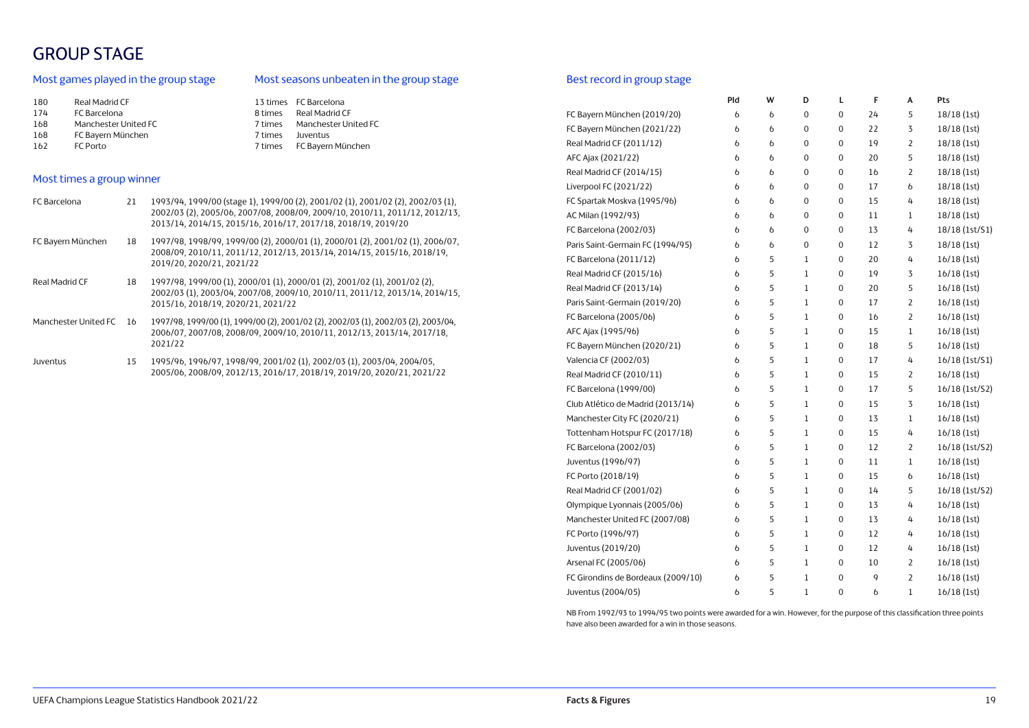## GROUP STAGE

## Most games played in the group stage

## Most seasons unbeaten in the group stage

| 13 times FC Barcelona           |
|---------------------------------|
| Real Madrid CF<br>8 times       |
| Manchester United FC<br>7 times |
| Juventus<br>7 times             |
| 7 times FC Bayern München       |
|                                 |

## Most times a group winner

| FC Barcelona         | 21 | 1993/94, 1999/00 (stage 1), 1999/00 (2), 2001/02 (1), 2001/02 (2), 2002/03 (1),<br>2002/03 (2), 2005/06, 2007/08, 2008/09, 2009/10, 2010/11, 2011/12, 2012/13,<br>2013/14, 2014/15, 2015/16, 2016/17, 2017/18, 2018/19, 2019/20 |
|----------------------|----|---------------------------------------------------------------------------------------------------------------------------------------------------------------------------------------------------------------------------------|
| FC Bayern München    | 18 | 1997/98, 1998/99, 1999/00 (2), 2000/01 (1), 2000/01 (2), 2001/02 (1), 2006/07,<br>2008/09, 2010/11, 2011/12, 2012/13, 2013/14, 2014/15, 2015/16, 2018/19,<br>2019/20.2020/21.2021/22                                            |
| Real Madrid CF       | 18 | 1997/98, 1999/00 (1), 2000/01 (1), 2000/01 (2), 2001/02 (1), 2001/02 (2),<br>2002/03 (1), 2003/04, 2007/08, 2009/10, 2010/11, 2011/12, 2013/14, 2014/15,<br>2015/16, 2018/19, 2020/21, 2021/22                                  |
| Manchester United FC | 16 | 1997/98, 1999/00 (1), 1999/00 (2), 2001/02 (2), 2002/03 (1), 2002/03 (2), 2003/04,<br>2006/07, 2007/08, 2008/09, 2009/10, 2010/11, 2012/13, 2013/14, 2017/18,<br>2021/22                                                        |
| Juventus             | 15 | 1995/96, 1996/97, 1998/99, 2001/02 (1), 2002/03 (1), 2003/04, 2004/05,<br>2005/06, 2008/09, 2012/13, 2016/17, 2018/19, 2019/20, 2020/21, 2021/22                                                                                |

## Best record in group stage

|                                    | Pld           | W             | D                | L                | F      | A              | Pts            |
|------------------------------------|---------------|---------------|------------------|------------------|--------|----------------|----------------|
| FC Bayern München (2019/20)        | 6             | 6             | 0                | 0                | 24     | 5              | 18/18 (1st)    |
| FC Bayern München (2021/22)        | 6             | $\mathfrak b$ | 0                | 0                | 22     | 3              | 18/18 (1st)    |
| Real Madrid CF (2011/12)           | 6             | 6             | $\boldsymbol{0}$ | $\boldsymbol{0}$ | 19     | $\overline{2}$ | 18/18 (1st)    |
| AFC Ajax (2021/22)                 | 6             | 6             | 0                | 0                | 20     | 5              | 18/18 (1st)    |
| Real Madrid CF (2014/15)           | 6             | 6             | 0                | $\boldsymbol{0}$ | 16     | 2              | 18/18(1st)     |
| Liverpool FC (2021/22)             | 6             | 6             | 0                | 0                | 17     | 6              | 18/18 (1st)    |
| FC Spartak Moskva (1995/96)        | 6             | 6             | 0                | 0                | 15     | 4              | 18/18 (1st)    |
| AC Milan (1992/93)                 | 6             | 6             | 0                | 0                | 11     | 1              | 18/18 (1st)    |
| FC Barcelona (2002/03)             | 6             | 6             | 0                | 0                | 13     | 4              | 18/18 (1st/S1) |
| Paris Saint-Germain FC (1994/95)   | 6             | 6             | 0                | 0                | 12     | 3              | 18/18 (1st)    |
| FC Barcelona (2011/12)             | 6             | 5             | 1                | 0                | 20     | 4              | 16/18 (1st)    |
| Real Madrid CF (2015/16)           | 6             | 5             | $\,1$            | $\mathbf 0$      | 19     | 3              | 16/18(1st)     |
| Real Madrid CF (2013/14)           | 6             | 5             | 1                | $\mathbf 0$      | 20     | 5              | 16/18(1st)     |
| Paris Saint-Germain (2019/20)      | 6             | 5             | $\mathbf{1}$     | $\mathbf 0$      | 17     | $\overline{2}$ | 16/18(1st)     |
| FC Barcelona (2005/06)             | 6             | 5             | $\mathbf{1}$     | $\mathbf 0$      | 16     | $\overline{2}$ | 16/18(1st)     |
| AFC Ajax (1995/96)                 | $\mathfrak b$ | 5             | 1                | 0                | 15     | 1              | 16/18(1st)     |
| FC Bayern München (2020/21)        | $\mathfrak b$ | 5             | $\mathbf{1}$     | 0                | 18     | 5              | 16/18(1st)     |
| Valencia CF (2002/03)              | 6             | 5             | 1                | $\mathbf 0$      | 17     | 4              | 16/18 (1st/S1) |
| Real Madrid CF (2010/11)           | 6             | 5             | 1                | 0                | 15     | 2              | 16/18(1st)     |
| FC Barcelona (1999/00)             | 6             | 5             | 1                | $\pmb{0}$        | 17     | 5              | 16/18 (1st/S2) |
| Club Atlético de Madrid (2013/14)  | 6             | 5             | 1                | 0                | 15     | 3              | 16/18(1st)     |
| Manchester City FC (2020/21)       | 6             | 5             | 1                | $\pmb{0}$        | 13     | 1              | 16/18(1st)     |
| Tottenham Hotspur FC (2017/18)     | 6             | 5             | 1                | $\boldsymbol{0}$ | 15     | 4              | 16/18(1st)     |
| FC Barcelona (2002/03)             | 6             | 5             | 1                | $\boldsymbol{0}$ | 12     | $\overline{2}$ | 16/18 (1st/S2) |
| Juventus (1996/97)                 | 6             | 5             | 1                | $\pmb{0}$        | $11\,$ | $\mathbf 1$    | 16/18(1st)     |
| FC Porto (2018/19)                 | 6             | 5             | 1                | $\pmb{0}$        | 15     | 6              | 16/18(1st)     |
| Real Madrid CF (2001/02)           | 6             | 5             | $\mathbf 1$      | $\boldsymbol{0}$ | 14     | 5              | 16/18 (1st/S2) |
| Olympique Lyonnais (2005/06)       | 6             | 5             | 1                | $\pmb{0}$        | 13     | 4              | 16/18(1st)     |
| Manchester United FC (2007/08)     | 6             | 5             | $\,1$            | $\pmb{0}$        | 13     | 4              | 16/18(1st)     |
| FC Porto (1996/97)                 | 6             | 5             | $\mathbf 1$      | $\boldsymbol{0}$ | 12     | 4              | 16/18(1st)     |
| Juventus (2019/20)                 | 6             | 5             | 1                | $\pmb{0}$        | 12     | 4              | 16/18(1st)     |
| Arsenal FC (2005/06)               | 6             | 5             | 1                | $\boldsymbol{0}$ | 10     | 2              | 16/18(1st)     |
| FC Girondins de Bordeaux (2009/10) | 6             | 5             | 1                | $\boldsymbol{0}$ | 9      | 2              | 16/18(1st)     |
| Juventus (2004/05)                 | 6             | 5             | 1                | 0                | 6      | 1              | 16/18(1st)     |

NB From 1992/93 to 1994/95 two points were awarded for a win. However, for the purpose of this classification three points have also been awarded for a win in those seasons.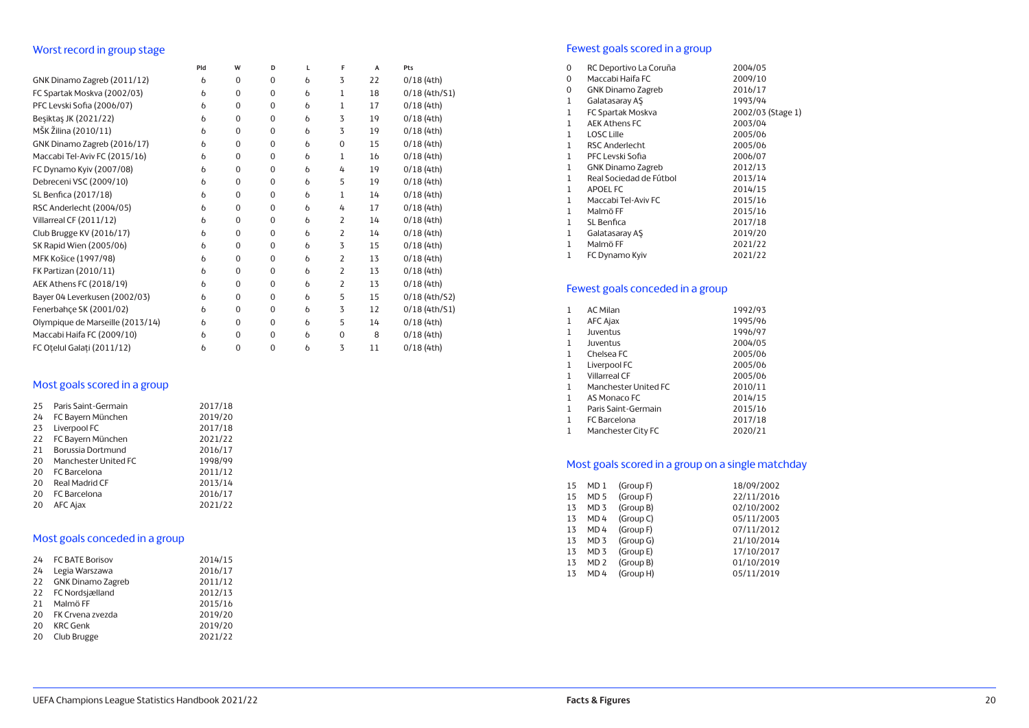## Worst record in group stage

|                                  | Pld           | W            | D            | L             | F              | A  | Pts             |
|----------------------------------|---------------|--------------|--------------|---------------|----------------|----|-----------------|
| GNK Dinamo Zagreb (2011/12)      | b             | $\mathbf 0$  | $\mathbf 0$  | b             | 3              | 22 | 0/18(4th)       |
| FC Spartak Moskva (2002/03)      | $\mathfrak b$ | $\mathbf{0}$ | $\mathbf{0}$ | $\mathfrak b$ | 1              | 18 | $0/18$ (4th/S1) |
| PFC Levski Sofia (2006/07)       | $\mathfrak b$ | $\mathbf 0$  | $\mathbf 0$  | $\mathfrak b$ | 1              | 17 | 0/18(4th)       |
| Beşiktaş JK (2021/22)            | $\mathfrak b$ | $\mathbf 0$  | $\mathbf 0$  | $\mathfrak b$ | 3              | 19 | 0/18(4th)       |
| MŠK Žilina (2010/11)             | $\mathbf b$   | $\mathbf{0}$ | $\mathbf{0}$ | $\mathfrak b$ | 3              | 19 | 0/18(4th)       |
| GNK Dinamo Zagreb (2016/17)      | $\mathfrak b$ | $\mathbf 0$  | $\mathbf 0$  | $\mathfrak b$ | $\mathbf 0$    | 15 | 0/18(4th)       |
| Maccabi Tel-Aviv FC (2015/16)    | $\mathfrak b$ | $\mathbf 0$  | $\mathbf 0$  | $\mathfrak b$ | 1              | 16 | 0/18(4th)       |
| FC Dynamo Kyiv (2007/08)         | 6             | $\mathbf 0$  | $\mathbf 0$  | b             | 4              | 19 | 0/18(4th)       |
| Debreceni VSC (2009/10)          | $\mathfrak b$ | $\mathbf 0$  | $\mathbf 0$  | $\mathfrak b$ | 5              | 19 | 0/18(4th)       |
| SL Benfica (2017/18)             | $\mathfrak b$ | $\mathbf 0$  | $\mathbf 0$  | $\mathfrak b$ | 1              | 14 | 0/18(4th)       |
| RSC Anderlecht (2004/05)         | $\mathfrak b$ | $\mathbf 0$  | $\mathbf 0$  | $\mathfrak b$ | 4              | 17 | 0/18(4th)       |
| Villarreal CF (2011/12)          | $\mathbf b$   | $\mathbf 0$  | $\mathbf 0$  | $\mathfrak b$ | 2              | 14 | 0/18(4th)       |
| Club Brugge KV (2016/17)         | $\mathfrak b$ | $\mathbf 0$  | $\mathbf 0$  | $\mathfrak b$ | 2              | 14 | $0/18$ (4th)    |
| SK Rapid Wien (2005/06)          | $\mathbf b$   | $\mathbf 0$  | $\mathbf 0$  | b             | 3              | 15 | 0/18(4th)       |
| MFK Košice (1997/98)             | b             | $\mathbf 0$  | 0            | b             | 2              | 13 | $0/18$ (4th)    |
| FK Partizan (2010/11)            | $\mathfrak b$ | $\mathbf{0}$ | $\mathbf{0}$ | $\mathfrak b$ | $\overline{2}$ | 13 | 0/18(4th)       |
| AEK Athens FC (2018/19)          | $\mathbf b$   | $\mathbf 0$  | $\mathbf 0$  | $\mathfrak b$ | 2              | 13 | 0/18(4th)       |
| Bayer 04 Leverkusen (2002/03)    | b             | $\mathbf 0$  | $\mathbf 0$  | b             | 5              | 15 | $0/18$ (4th/S2) |
| Fenerbahce SK (2001/02)          | $\mathbf b$   | $\mathbf 0$  | $\mathbf{0}$ | b             | 3              | 12 | $0/18$ (4th/S1) |
| Olympique de Marseille (2013/14) | $\mathfrak b$ | $\mathbf 0$  | $\mathbf{0}$ | $\mathfrak b$ | 5              | 14 | 0/18(4th)       |
| Maccabi Haifa FC (2009/10)       | $\mathfrak b$ | $\mathbf 0$  | $\mathbf{0}$ | $\mathfrak b$ | $\mathbf 0$    | 8  | 0/18(4th)       |
| FC Otelul Galati (2011/12)       | b             | 0            | 0            | 6             | 3              | 11 | $0/18$ (4th)    |

## Most goals scored in a group

| 25 | Paris Saint-Germain  | 2017/18 |
|----|----------------------|---------|
| 24 | FC Bayern München    | 2019/20 |
| 23 | Liverpool FC         | 2017/18 |
| 22 | FC Bayern München    | 2021/22 |
| 21 | Borussia Dortmund    | 2016/17 |
| 20 | Manchester United FC | 1998/99 |
| 20 | <b>FC Barcelona</b>  | 2011/12 |
| 20 | Real Madrid CF       | 2013/14 |
| 20 | <b>FC Barcelona</b>  | 2016/17 |
| 20 | AFC Aiax             | 2021/22 |

## Most goals conceded in a group

| 24 | FC BATE Borisov          | 2014/15 |
|----|--------------------------|---------|
| 24 | Legia Warszawa           | 2016/17 |
| 22 | <b>GNK Dinamo Zagreb</b> | 2011/12 |
| 22 | FC Nordsjælland          | 2012/13 |
| 21 | Malmö FF                 | 2015/16 |
| 20 | FK Crvena zvezda         | 2019/20 |
| 20 | <b>KRC Genk</b>          | 2019/20 |
| 20 | Club Brugge              | 2021/22 |

## Fewest goals scored in a group

| 0 | RC Deportivo La Coruña   | 2004/05           |
|---|--------------------------|-------------------|
| 0 | Maccabi Haifa FC         | 2009/10           |
| 0 | <b>GNK Dinamo Zagreb</b> | 2016/17           |
| 1 | Galatasaray AS           | 1993/94           |
| 1 | FC Spartak Moskva        | 2002/03 (Stage 1) |
| 1 | <b>AEK Athens FC</b>     | 2003/04           |
| 1 | <b>LOSC Lille</b>        | 2005/06           |
| 1 | <b>RSC Anderlecht</b>    | 2005/06           |
| 1 | PFC Levski Sofia         | 2006/07           |
| 1 | <b>GNK Dinamo Zagreb</b> | 2012/13           |
| 1 | Real Sociedad de Fútbol  | 2013/14           |
| 1 | <b>APOEL FC</b>          | 2014/15           |
| 1 | Maccabi Tel-Aviv FC      | 2015/16           |
| 1 | Malmö FF                 | 2015/16           |
| 1 | SL Benfica               | 2017/18           |
| 1 | Galatasaray AS           | 2019/20           |
| 1 | Malmö FF                 | 2021/22           |
| 1 | FC Dynamo Kyiv           | 2021/22           |

## Fewest goals conceded in a group

|   | <b>AC Milan</b>      | 1992/93 |
|---|----------------------|---------|
| 1 | <b>AFC Ajax</b>      | 1995/96 |
| 1 | Juventus             | 1996/97 |
| 1 | Juventus             | 2004/05 |
| 1 | Chelsea FC           | 2005/06 |
| 1 | Liverpool FC         | 2005/06 |
| 1 | <b>Villarreal CF</b> | 2005/06 |
| 1 | Manchester United FC | 2010/11 |
| 1 | AS Monaco FC         | 2014/15 |
| 1 | Paris Saint-Germain  | 2015/16 |
| 1 | FC Barcelona         | 2017/18 |
| 1 | Manchester City FC   | 2020/21 |

## Most goals scored in a group on a single matchday

| 15 | MD <sub>1</sub> | (Group F) | 18/09/2002 |
|----|-----------------|-----------|------------|
| 15 | MD <sub>5</sub> | (Group F) | 22/11/2016 |
| 13 | MD <sub>3</sub> | (Group B) | 02/10/2002 |
| 13 | MD <sub>4</sub> | (Group C) | 05/11/2003 |
| 13 | MD <sub>4</sub> | (Group F) | 07/11/2012 |
| 13 | MD <sub>3</sub> | (Group G) | 21/10/2014 |
| 13 | MD <sub>3</sub> | (Group E) | 17/10/2017 |
| 13 | MD <sub>2</sub> | (Group B) | 01/10/2019 |
| 13 | MD 4            | (Group H) | 05/11/2019 |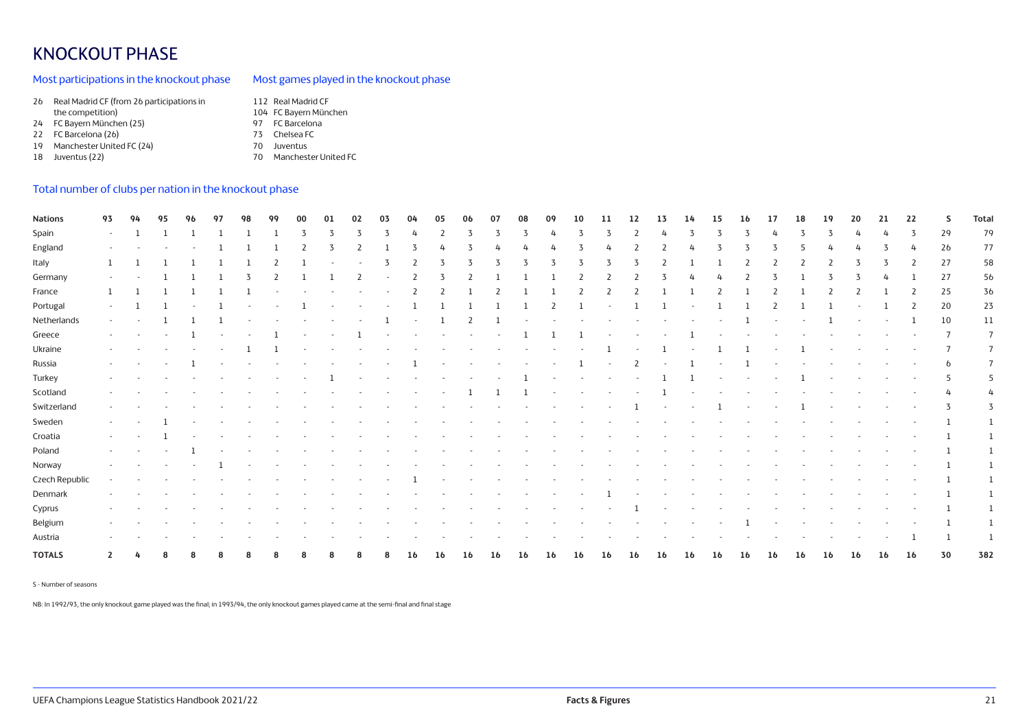# KNOCKOUT PHASE

## Most participations in the knockout phase

## Most games played in the knockout phase

| 26 | Real Madrid CF (from 26 participations in | 112 Real Madrid CF    |
|----|-------------------------------------------|-----------------------|
|    | the competition)                          | 104 FC Bayern München |

- 24 FC Bayern München (25)
- 22 FC Barcelona (26)
- 19 Manchester United FC (24)
- 18 Juventus (22)
- 97 FC Barcelona 73 Chelsea FC 70 Juventus
- 70 Manchester United FC

## Total number of clubs per nation in the knockout phase

| <b>Nations</b> | 93           |  |  | 98 | 99 | 00 | 01 | 02                       | 03     |                          | 05     |                          | 07     | 08     |                          |                |                          |    | 13 | 14 | 15 | 16 | 17 | 18 | 19     | -20                      |                          | 22           | s              | <b>Total</b>   |
|----------------|--------------|--|--|----|----|----|----|--------------------------|--------|--------------------------|--------|--------------------------|--------|--------|--------------------------|----------------|--------------------------|----|----|----|----|----|----|----|--------|--------------------------|--------------------------|--------------|----------------|----------------|
| Spain          | $\sim$       |  |  |    |    |    |    |                          |        |                          |        |                          |        |        |                          |                |                          |    |    |    |    |    |    |    |        |                          |                          | 3            | 29             | 79             |
| England        |              |  |  |    |    |    |    |                          |        |                          |        |                          |        |        |                          |                |                          |    |    |    |    |    |    |    |        |                          |                          |              | 2 <sub>b</sub> | 77             |
| Italy          |              |  |  |    |    |    |    |                          |        |                          |        |                          | 3      | 3      | 3                        | 3              | 3                        |    |    |    |    |    |    |    |        | 3                        | 3                        | 2            | 27             | 58             |
| Germany        |              |  |  |    |    |    |    |                          |        |                          |        | $\overline{\phantom{a}}$ |        |        |                          | 2              |                          |    |    |    |    |    |    |    |        |                          |                          |              | 27             | 56             |
| France         |              |  |  |    |    |    |    |                          |        | $\overline{z}$           |        |                          |        |        |                          | $\overline{2}$ | 2                        |    |    |    |    |    |    |    |        |                          |                          | 2            | 25             | 36             |
| Portugal       | $\sim$       |  |  |    |    |    |    |                          |        |                          |        |                          |        |        |                          |                |                          |    |    |    |    |    |    |    |        |                          |                          | <sup>2</sup> | 20             | 23             |
| Netherlands    | $\sim$       |  |  |    |    |    |    |                          |        |                          |        |                          |        |        |                          |                |                          |    |    |    |    |    |    |    |        | $\overline{\phantom{a}}$ |                          |              | 10             | 11             |
| Greece         |              |  |  |    |    |    |    |                          |        |                          |        |                          |        |        |                          |                |                          |    |    |    |    |    |    |    |        |                          |                          |              | $\mathcal{L}$  | $\overline{7}$ |
| Ukraine        | $\sim$       |  |  |    |    |    |    |                          |        |                          |        |                          |        |        | $\sim$                   |                |                          |    |    |    |    |    |    |    |        |                          |                          |              |                | $7^{\circ}$    |
| Russia         | $\sim$       |  |  |    |    |    |    | $\sim$                   |        |                          | $\sim$ | $\sim$                   | $\sim$ | $\sim$ | $\overline{\phantom{a}}$ |                |                          |    |    |    |    |    |    |    |        |                          |                          |              | b              | -7             |
| Turkey         | $\sim$       |  |  |    |    |    |    | $\overline{\phantom{a}}$ | $\sim$ |                          |        | $\sim$                   |        |        | $\overline{\phantom{a}}$ |                | $\sim$                   |    |    |    |    |    |    |    | $\sim$ | $\sim$                   | $\overline{\phantom{a}}$ |              | 5              | -5             |
| Scotland       | $\sim$       |  |  |    |    |    |    |                          |        | $\overline{\phantom{a}}$ |        |                          |        |        |                          |                | $\overline{\phantom{a}}$ |    |    |    |    |    |    |    |        |                          |                          |              | 4              |                |
| Switzerland    | $\sim$       |  |  |    |    |    |    |                          |        |                          |        |                          |        |        |                          |                |                          |    |    |    |    |    |    |    |        |                          |                          |              |                | 3              |
| Sweden         | $\sim$       |  |  |    |    |    |    |                          |        |                          |        |                          |        |        |                          |                |                          |    |    |    |    |    |    |    |        |                          |                          |              |                |                |
| Croatia        | $\sim$       |  |  |    |    |    |    |                          |        |                          |        |                          |        |        |                          |                |                          |    |    |    |    |    |    |    |        |                          |                          |              |                | -1             |
| Poland         |              |  |  |    |    |    |    |                          |        |                          |        |                          |        |        |                          |                |                          |    |    |    |    |    |    |    |        |                          |                          |              |                | -1             |
| Norway         |              |  |  |    |    |    |    |                          |        |                          |        |                          |        |        |                          |                |                          |    |    |    |    |    |    |    |        |                          |                          |              |                |                |
| Czech Republic | $\sim$       |  |  |    |    |    |    |                          |        |                          |        |                          |        |        |                          |                |                          |    |    |    |    |    |    |    |        |                          |                          |              |                | <sup>1</sup>   |
| Denmark        |              |  |  |    |    |    |    |                          |        |                          |        |                          |        |        |                          |                |                          |    |    |    |    |    |    |    |        |                          |                          |              |                |                |
| Cyprus         |              |  |  |    |    |    |    |                          |        |                          |        |                          |        |        |                          |                |                          |    |    |    |    |    |    |    |        |                          |                          |              |                | -1             |
| Belgium        |              |  |  |    |    |    |    |                          |        |                          |        |                          |        |        |                          |                |                          |    |    |    |    |    |    |    |        |                          |                          |              |                |                |
| Austria        |              |  |  |    |    |    |    |                          |        |                          |        |                          |        |        |                          |                |                          |    |    |    |    |    |    |    |        |                          |                          |              |                |                |
| <b>TOTALS</b>  | $\mathbf{2}$ |  |  |    |    |    |    |                          |        | 16                       | 16     | 16                       | 16     | 16     | 16                       | 16             | 16                       | 16 | 16 | 16 | 16 | 16 | 16 | 16 | 16     | 16                       | 16                       | 16           | 30             | 382            |

S - Number of seasons

NB: In 1992/93, the only knockout game played was the final; in 1993/94, the only knockout games played came at the semi-final and final stage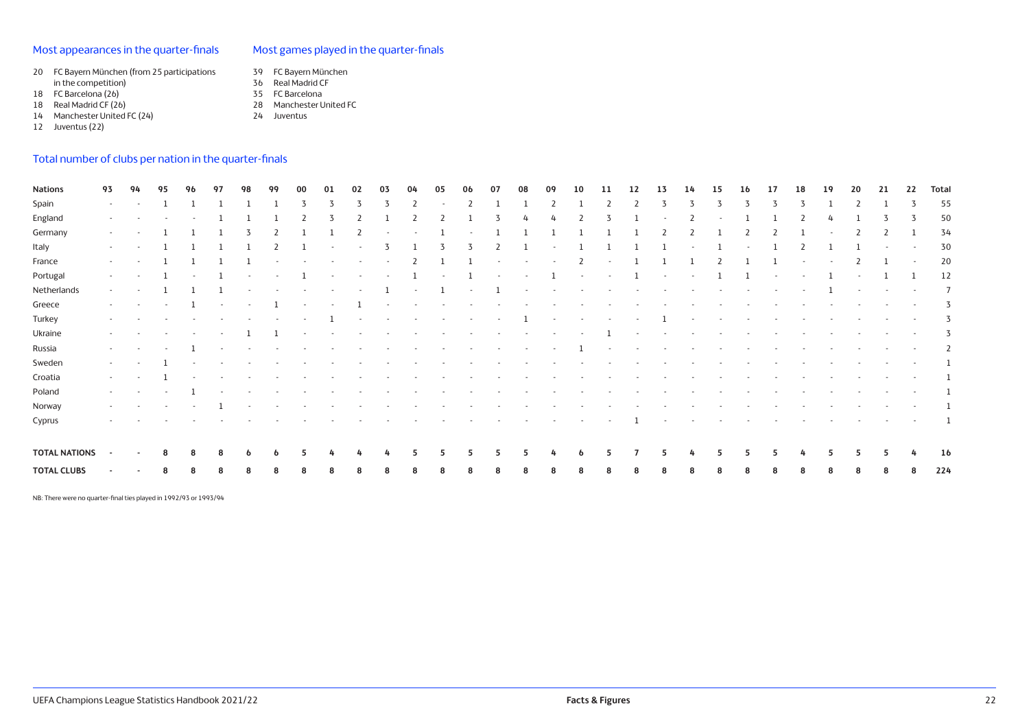## Most appearances in the quarter-finals

## Most games played in the quarter-finals

- 20 FC Bayern München (from 25 participations
- in the competition) 18 FC Barcelona (26)
- 
- 18 Real Madrid CF (26)
- 14 Manchester United FC (24)
- 12 Juventus (22)
- 36 Real Madrid CF 35 FC Barcelona
- 28 Manchester United FC 24 Juventus

39 FC Bayern München

## Total number of clubs per nation in the quarter-finals

| <b>Nations</b>       | 93               | 94                       | 95     | 96                       | 97                       | 98                       | 99                       | 00     | 01                       | 02     | 03                       | 04                       | 05                       | 06                       | 07                       | 08     | 09     | 10                       | 11     | 12                       | 13     | 14                       | 15                       | 16                       | 17                       | 18                       | 19                       | 20                       | 21                       | 22                       | <b>Total</b> |
|----------------------|------------------|--------------------------|--------|--------------------------|--------------------------|--------------------------|--------------------------|--------|--------------------------|--------|--------------------------|--------------------------|--------------------------|--------------------------|--------------------------|--------|--------|--------------------------|--------|--------------------------|--------|--------------------------|--------------------------|--------------------------|--------------------------|--------------------------|--------------------------|--------------------------|--------------------------|--------------------------|--------------|
| Spain                | $\sim$           |                          |        |                          |                          |                          |                          |        |                          |        |                          | 2                        |                          |                          |                          |        |        |                          |        |                          |        |                          |                          |                          |                          |                          |                          |                          |                          |                          | 55           |
| England              | $\sim$           |                          |        |                          |                          |                          |                          |        |                          | 2      |                          | 2                        | 2                        |                          |                          |        |        |                          | 3      |                          |        |                          |                          |                          |                          |                          |                          |                          | 3                        |                          | 50           |
| Germany              | $\sim$           |                          |        |                          |                          |                          |                          |        |                          |        |                          |                          |                          |                          |                          |        |        |                          |        |                          |        |                          |                          |                          |                          |                          |                          |                          |                          |                          | 34           |
| Italy                | $\sim$           |                          |        |                          |                          |                          |                          |        | $\sim$                   | $\sim$ | 3                        |                          | 3                        | 3                        | 2                        |        | $\sim$ |                          |        |                          |        |                          |                          |                          |                          | 2                        |                          |                          | $\sim$                   | $\sim$                   | 30           |
| France               | $\sim$           |                          |        |                          |                          |                          | $\sim$                   | $\sim$ | $\sim$                   | $\sim$ | $\sim$                   | 2                        |                          |                          | $\sim$                   | $\sim$ | $\sim$ | 2                        | $\sim$ |                          |        |                          |                          |                          |                          | $\sim$                   | $\sim$                   |                          |                          | $\sim$                   | 20           |
| Portugal             | $\sim$           |                          |        |                          |                          |                          | $\sim$                   |        | $\sim$                   | $\sim$ | $\sim$                   |                          | $\sim$                   |                          | $\sim$                   | $\sim$ |        | $\sim$                   | $\sim$ |                          | $\sim$ | $\sim$                   |                          |                          | $\sim$                   | $\overline{\phantom{a}}$ |                          | $\overline{\phantom{a}}$ |                          |                          | 12           |
| Netherlands          | $\sim$           |                          |        |                          |                          |                          |                          |        |                          |        |                          |                          |                          |                          |                          | $\sim$ | $\sim$ | $\overline{\phantom{a}}$ | $\sim$ | $\sim$                   |        | $\overline{\phantom{a}}$ | $\overline{\phantom{a}}$ | $\sim$                   | $\sim$                   | $\sim$                   |                          | $\sim$                   | $\sim$                   | $\overline{\phantom{a}}$ | - 7          |
| Greece               | $\sim$           | $\sim$                   | $\sim$ |                          | $\sim$                   | $\sim$                   |                          | $\sim$ | $\sim$                   |        | $\sim$                   | $\sim$                   | $\sim$                   | $\sim$                   | $\sim$                   | $\sim$ |        |                          | $\sim$ | $\overline{\phantom{a}}$ | $\sim$ |                          | $\overline{\phantom{a}}$ | $\sim$                   | $\sim$                   | $\sim$                   | $\sim$                   | $\sim$                   | $\sim$ $-$               |                          | -3           |
| Turkey               | $\sim$           |                          |        |                          |                          |                          |                          | $\sim$ |                          | $\sim$ | $\sim$                   | $\overline{\phantom{a}}$ |                          | $\overline{\phantom{a}}$ | $\overline{\phantom{a}}$ |        | $\sim$ | $\sim$                   | $\sim$ | $\sim$                   |        | $\overline{\phantom{a}}$ | $\sim$                   | $\sim$                   |                          |                          | $\sim$                   | $\overline{\phantom{a}}$ | $\sim$                   | $\overline{\phantom{a}}$ | 3            |
| Ukraine              | $\sim$           |                          |        | $\sim$                   |                          |                          |                          | $\sim$ |                          | $\sim$ | $\sim$                   | $\sim$                   | $\overline{\phantom{a}}$ | $\sim$                   | $\sim$                   | $\sim$ | $\sim$ | $\sim$                   |        | $\sim$                   | $\sim$ | $\sim$                   | $\sim$                   | $\sim$                   | $\overline{\phantom{a}}$ | $\sim$                   | $\sim$                   | $\sim$                   | $\sim$                   | $\overline{\phantom{a}}$ | 3            |
| Russia               | $\sim$           |                          |        |                          | $\overline{\phantom{a}}$ |                          |                          |        |                          |        |                          |                          |                          | $\overline{\phantom{a}}$ | $\sim$                   | $\sim$ | $\sim$ |                          | $\sim$ | $\sim$                   | $\sim$ |                          |                          |                          |                          |                          | $\overline{\phantom{a}}$ | $\overline{\phantom{a}}$ | $\sim$                   |                          |              |
| Sweden               | $\sim$           |                          |        |                          |                          |                          |                          |        |                          |        |                          |                          |                          |                          |                          |        |        |                          |        | $\sim$                   |        |                          |                          |                          |                          |                          | $\overline{\phantom{a}}$ | $\sim$                   | $\overline{\phantom{a}}$ | $\overline{\phantom{a}}$ |              |
| Croatia              | $\sim$           | $\overline{\phantom{a}}$ |        | $\overline{\phantom{a}}$ |                          |                          |                          |        |                          |        |                          |                          |                          |                          |                          |        |        |                          |        |                          |        |                          |                          |                          |                          |                          | $\overline{\phantom{a}}$ | $\overline{\phantom{a}}$ | $\overline{\phantom{a}}$ |                          |              |
| Poland               | $\sim$ 100 $\mu$ | $\sim$                   | $\sim$ |                          | $\sim$                   | $\overline{\phantom{a}}$ | $\overline{\phantom{a}}$ | $\sim$ | $\overline{\phantom{a}}$ | $\sim$ | $\overline{\phantom{a}}$ | $\sim$                   | $\sim$                   | $\sim$                   | $\sim$                   | $\sim$ | $\sim$ | $\overline{\phantom{a}}$ | $\sim$ | $\overline{\phantom{a}}$ | $\sim$ | $\overline{\phantom{a}}$ | $\sim$                   | $\overline{\phantom{a}}$ | $\overline{\phantom{a}}$ | $\sim$                   | $\sim$                   | $\sim$                   | $\sim$                   | $\sim$                   |              |
| Norway               | $\sim 100$       |                          | $\sim$ |                          |                          |                          | $\sim$                   | $\sim$ | $\overline{\phantom{a}}$ | $\sim$ | $\overline{\phantom{a}}$ | $\overline{\phantom{a}}$ | $\sim$                   | $\sim$                   | $\sim$                   | $\sim$ | $\sim$ | $\overline{\phantom{a}}$ | $\sim$ | $\sim$                   | $\sim$ | $\sim$                   | $\overline{\phantom{a}}$ | $\sim$                   | $\overline{\phantom{a}}$ | $\sim$                   | $\overline{\phantom{a}}$ | $\sim$                   | $\sim$                   | $\sim$                   |              |
| Cyprus               | $\sim$           |                          |        |                          |                          |                          |                          |        |                          |        |                          |                          |                          |                          | $\sim$                   | $\sim$ | $\sim$ | $\sim$                   | $\sim$ |                          | $\sim$ |                          |                          | $\overline{\phantom{a}}$ |                          |                          | $\sim$                   | $\sim$                   | $\sim$                   | $\overline{\phantom{a}}$ |              |
| <b>TOTAL NATIONS</b> |                  |                          |        | 8                        | 8                        | o                        |                          |        |                          |        |                          |                          |                          |                          |                          |        |        | o                        |        |                          | ь      |                          |                          |                          |                          |                          |                          |                          | 5                        |                          | 16           |
| <b>TOTAL CLUBS</b>   |                  |                          |        | 8                        | 8                        | 8                        |                          |        | 8                        | 8      |                          | 8                        | 8                        | 8                        |                          |        | 8      | 8                        |        |                          | 8      |                          |                          | 8                        | 8                        |                          |                          |                          | 8                        | 8                        | 224          |

NB: There were no quarter-final ties played in 1992/93 or 1993/94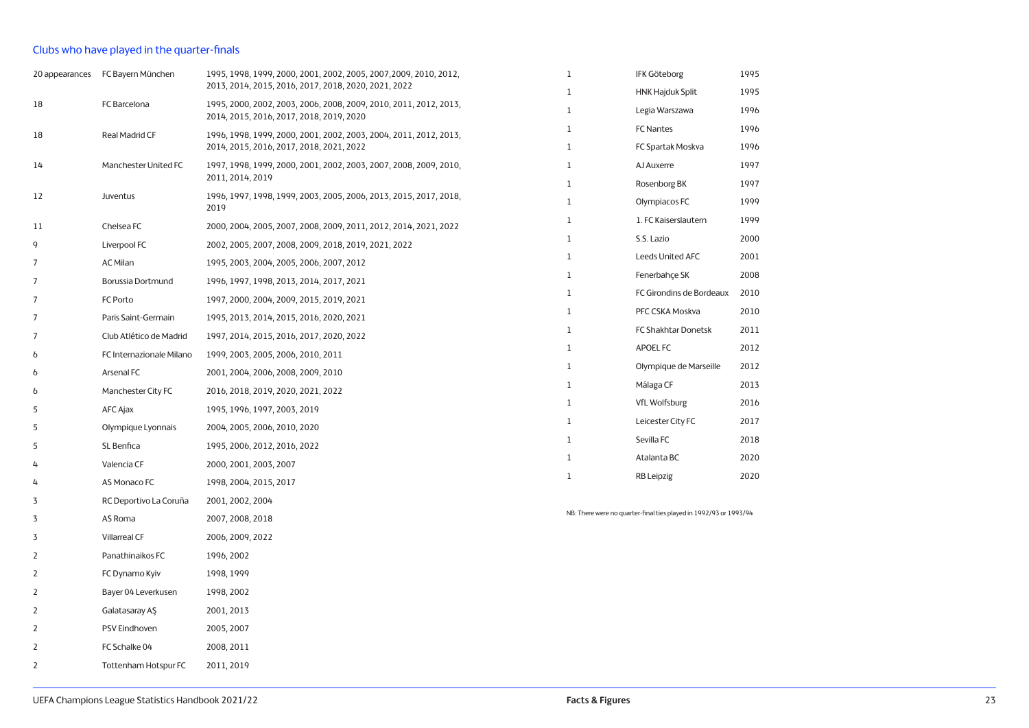## Clubs who have played in the quarter-finals

|                | 20 appearances FC Bayern München | 1995, 1998, 1999, 2000, 2001, 2002, 2005, 2007, 2009, 2010, 2012,                                             | $\mathbf{1}$ | <b>IFK Göteborg</b>                                               | 1995 |
|----------------|----------------------------------|---------------------------------------------------------------------------------------------------------------|--------------|-------------------------------------------------------------------|------|
|                |                                  | 2013, 2014, 2015, 2016, 2017, 2018, 2020, 2021, 2022                                                          | $\mathbf 1$  | <b>HNK Hajduk Split</b>                                           | 1995 |
| 18             | FC Barcelona                     | 1995, 2000, 2002, 2003, 2006, 2008, 2009, 2010, 2011, 2012, 2013,<br>2014, 2015, 2016, 2017, 2018, 2019, 2020 | $\mathbf{1}$ | Legia Warszawa                                                    | 1996 |
| 18             | Real Madrid CF                   | 1996, 1998, 1999, 2000, 2001, 2002, 2003, 2004, 2011, 2012, 2013,                                             | 1            | <b>FC Nantes</b>                                                  | 1996 |
|                |                                  | 2014, 2015, 2016, 2017, 2018, 2021, 2022                                                                      | $\mathbf{1}$ | FC Spartak Moskva                                                 | 1996 |
| 14             | Manchester United FC             | 1997, 1998, 1999, 2000, 2001, 2002, 2003, 2007, 2008, 2009, 2010,                                             | 1            | AJ Auxerre                                                        | 1997 |
|                |                                  | 2011, 2014, 2019                                                                                              | $\mathbf 1$  | Rosenborg BK                                                      | 1997 |
| 12             | Juventus                         | 1996, 1997, 1998, 1999, 2003, 2005, 2006, 2013, 2015, 2017, 2018,<br>2019                                     | 1            | Olympiacos FC                                                     | 1999 |
| 11             | Chelsea FC                       | 2000, 2004, 2005, 2007, 2008, 2009, 2011, 2012, 2014, 2021, 2022                                              | 1            | 1. FC Kaiserslautern                                              | 1999 |
| 9              | Liverpool FC                     | 2002, 2005, 2007, 2008, 2009, 2018, 2019, 2021, 2022                                                          | $\mathbf{1}$ | S.S. Lazio                                                        | 2000 |
| 7              | <b>AC Milan</b>                  | 1995, 2003, 2004, 2005, 2006, 2007, 2012                                                                      | $\mathbf{1}$ | Leeds United AFC                                                  | 2001 |
| 7              | Borussia Dortmund                | 1996, 1997, 1998, 2013, 2014, 2017, 2021                                                                      | 1            | Fenerbahçe SK                                                     | 2008 |
| 7              | FC Porto                         | 1997, 2000, 2004, 2009, 2015, 2019, 2021                                                                      | 1            | FC Girondins de Bordeaux                                          | 2010 |
| 7              | Paris Saint-Germain              | 1995, 2013, 2014, 2015, 2016, 2020, 2021                                                                      | $\mathbf{1}$ | PFC CSKA Moskva                                                   | 2010 |
| 7              | Club Atlético de Madrid          | 1997, 2014, 2015, 2016, 2017, 2020, 2022                                                                      | $\mathbf{1}$ | FC Shakhtar Donetsk                                               | 2011 |
| 6              | FC Internazionale Milano         | 1999, 2003, 2005, 2006, 2010, 2011                                                                            | 1            | APOEL FC                                                          | 2012 |
| 6              | Arsenal FC                       | 2001, 2004, 2006, 2008, 2009, 2010                                                                            | 1            | Olympique de Marseille                                            | 2012 |
| 6              | Manchester City FC               | 2016, 2018, 2019, 2020, 2021, 2022                                                                            | 1            | Málaga CF                                                         | 2013 |
| 5              | AFC Ajax                         | 1995, 1996, 1997, 2003, 2019                                                                                  | $\mathbf{1}$ | <b>VfL Wolfsburg</b>                                              | 2016 |
| 5              | Olympique Lyonnais               | 2004, 2005, 2006, 2010, 2020                                                                                  | 1            | Leicester City FC                                                 | 2017 |
| 5              | SL Benfica                       | 1995, 2006, 2012, 2016, 2022                                                                                  | 1            | Sevilla FC                                                        | 2018 |
| 4              | Valencia CF                      | 2000, 2001, 2003, 2007                                                                                        | 1            | Atalanta BC                                                       | 2020 |
| 4              | AS Monaco FC                     | 1998, 2004, 2015, 2017                                                                                        | $1\,$        | <b>RB</b> Leipzig                                                 | 2020 |
| 3              | RC Deportivo La Coruña           | 2001, 2002, 2004                                                                                              |              |                                                                   |      |
| 3              | AS Roma                          | 2007, 2008, 2018                                                                                              |              | NB: There were no quarter-final ties played in 1992/93 or 1993/94 |      |
| 3              | <b>Villarreal CF</b>             | 2006, 2009, 2022                                                                                              |              |                                                                   |      |
| 2              | Panathinaikos FC                 | 1996, 2002                                                                                                    |              |                                                                   |      |
| $\overline{2}$ | FC Dynamo Kyiv                   | 1998, 1999                                                                                                    |              |                                                                   |      |
| 2              | Bayer 04 Leverkusen              | 1998, 2002                                                                                                    |              |                                                                   |      |
| 2              | Galatasaray AŞ                   | 2001, 2013                                                                                                    |              |                                                                   |      |
| 2              | <b>PSV Eindhoven</b>             | 2005, 2007                                                                                                    |              |                                                                   |      |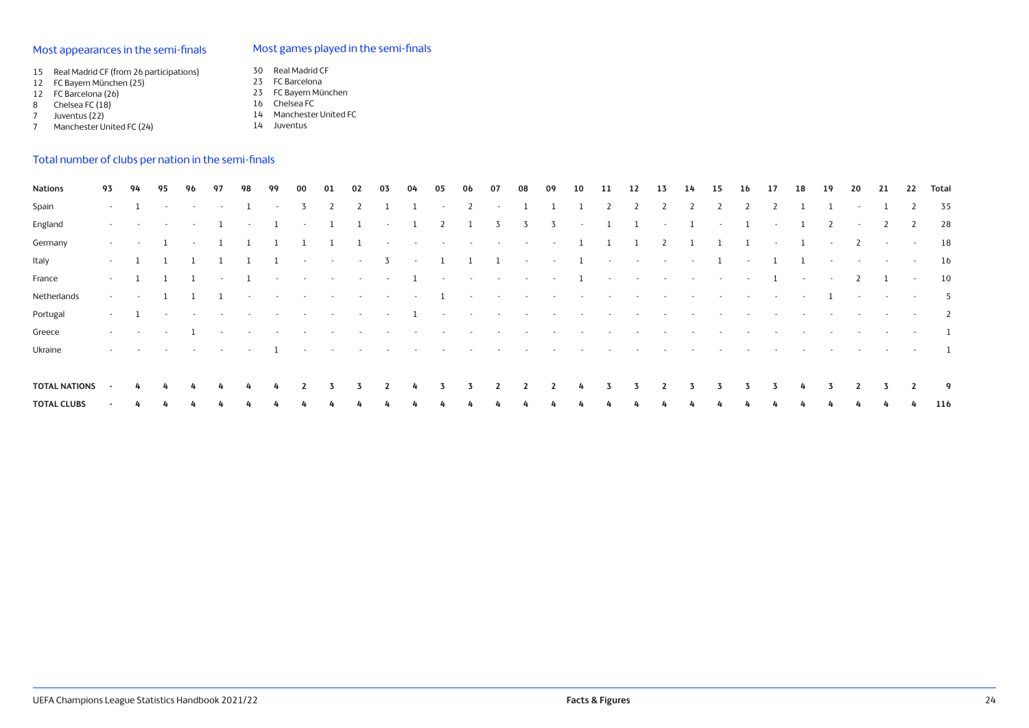## Most appearances in the semi-finals

## Most games played in the semi-finals

- 15 Real Madrid CF (from 26 participations)
- 12 FC Bayern München (25)
- 12 FC Barcelona (26)
- 8 Chelsea FC (18)
- 7 Juventus (22) 7 Manchester United FC (24)

23 FC Barcelona 23 FC Bayern München 16 Chelsea FC

30 Real Madrid CF

- 14 Manchester United FC
- 14 Juventus

## Total number of clubs per nation in the semi-finals

| <b>Nations</b>       | 93                       | 94     | 95     | 96                    | 97              | 98                | 99                   | 00                | 01                   | 02                                                             | 03                | 04                | 05           | 06                                                            | 07                | 08                       | 09                       | 10                       | 11                                                                              | 12                       | 13                       | 14                       | 15                              | 16           | 17                | 18             | 19               | 20                       | 21                      | 22                    | Total          |
|----------------------|--------------------------|--------|--------|-----------------------|-----------------|-------------------|----------------------|-------------------|----------------------|----------------------------------------------------------------|-------------------|-------------------|--------------|---------------------------------------------------------------|-------------------|--------------------------|--------------------------|--------------------------|---------------------------------------------------------------------------------|--------------------------|--------------------------|--------------------------|---------------------------------|--------------|-------------------|----------------|------------------|--------------------------|-------------------------|-----------------------|----------------|
| Spain                | $\sim$                   |        | $\sim$ | <b>Contract</b>       | $\sim$          |                   | $\sim$               | 3                 | 2                    |                                                                |                   |                   | $\sim$       | 2                                                             | $\sim$            |                          |                          |                          |                                                                                 |                          |                          |                          |                                 |              |                   |                |                  | $\sim$                   |                         |                       | 35             |
| England              | <b>Service</b>           | $\sim$ | $\sim$ | $\sim$                |                 | $\sim$            | 1                    | $\sim$            | <sup>1</sup>         |                                                                | $\sim$            |                   | 2            |                                                               | 3                 | 3                        | $\overline{3}$           | $\sim$                   | -1                                                                              |                          | $\sim$                   |                          | $\sim$                          | 1            | $\sim$            | 1              | 2                | $\sim$                   | 2                       | 2                     | 28             |
| Germany              | <b>Service</b>           | $\sim$ |        | $\sim$ $-$            |                 |                   |                      |                   |                      | - 1                                                            | $\sim$            |                   |              | the second control of the second control of the second second |                   |                          |                          |                          |                                                                                 | 1                        | 2                        |                          |                                 | $\mathbf{1}$ | $\sim$            | $\overline{1}$ | $\sim$           | $\overline{2}$           | $\sim$                  | $\sim$                | 18             |
| Italy                | $\sim$                   |        |        |                       |                 |                   | $\overline{1}$       | $\sim$ $-$        | $\sim$ $-$           | $\sim$                                                         | $\overline{3}$    | <b>Contractor</b> | $\mathbf{1}$ |                                                               | $1 \quad 1$       | $\sim$ $-$               | $\sim 10^{11}$ m $^{-1}$ |                          | $1 \cdot \cdot \cdot$                                                           | $\sim 100$ km s $^{-1}$  | <b>Contractor</b>        | <b>Contractor</b>        |                                 | $1 -$        |                   | 1 1            | $\sim$           | <b>Contractor</b>        | <b>Contract</b>         | <b>Contract State</b> | 16             |
| France               | $\sim$                   |        |        |                       | $\sim$          | <sup>1</sup>      | $\sim 100$           | <b>Contractor</b> |                      | . The contract of the contract of the contract of $\mathbf{1}$ |                   |                   |              |                                                               |                   |                          |                          |                          | the contract of the contract of the contract of the contract of the contract of |                          |                          |                          |                                 |              | $\mathbf{1}$      | $\sim$         | $\sim$           | $\overline{2}$           | $\mathbf{1}$            | $\sim$                | 10             |
| Netherlands          | $\sim$                   |        |        |                       |                 | $\sim$            | $\sim 100$ m $^{-1}$ | <b>Contractor</b> | and the state of the | $\sim$                                                         | <b>Contractor</b> | $\sim$            |              | $\sim$                                                        | <b>Contractor</b> | <b>Contract</b>          | <b>Contractor</b>        | $\sim$                   | $\sim$ $-$                                                                      | <b>Contract</b>          | <b>Contract Contract</b> |                          | the company's company's service |              | <b>Contractor</b> | $\sim$         |                  | $\sim$                   | and the control of the  |                       | 5              |
| Portugal             | $\sim$ 100 $\mu$         |        | $\sim$ | <b>Contract</b>       | <b>Contract</b> | <b>Contract</b>   | $\sim 100$           | <b>Contract</b>   | $\sim$               | $\sim$                                                         | $\sim$ $-$        | $\mathbf{1}$      |              | the company's company's                                       | <b>Contract</b>   | <b>Contract</b>          | $\sim$                   | $\sim$                   | $\sim$                                                                          | $\sim$                   | $\sim$                   | $\sim$                   | $\sim$                          | $\sim$       | $\sim$            | $\sim$         | $\sim$ 100 $\mu$ | <b>Contract Contract</b> | and the control of the  |                       | $\overline{2}$ |
| Greece               | the control of           | $\sim$ | $\sim$ |                       | $\sim$ $-$      | <b>Contractor</b> | <b>Contract</b>      | <b>Contract</b>   | $\sim$               | $\sim$                                                         | $\sim$            | <b>Contract</b>   | $\sim$       | $\sim$                                                        | $\sim$            | $\overline{\phantom{a}}$ | $\sim$                   | $\overline{\phantom{a}}$ | $\sim$                                                                          | $\overline{\phantom{a}}$ | $\sim$                   | $\overline{\phantom{a}}$ | $\sim$                          | $\sim$       | $\sim$            | $\sim$         | $\sim$           | <b>Contractor</b>        | and the control of the  |                       | $\mathbf{1}$   |
| Ukraine              | $\sim$ 100 $\mu$         | $\sim$ | $\sim$ | <b>Contract State</b> | and the control | $\sim$            |                      | $\sim$            | $\sim$               | $\sim$                                                         | $\sim$            | $\sim$            | $\sim$       | $\overline{\phantom{a}}$                                      |                   |                          |                          |                          |                                                                                 |                          |                          |                          |                                 |              | $\sim$            | $\sim$         | $\sim$           | $\sim$ 100 $\pm$         | and the contract of the |                       | - 1            |
|                      |                          |        |        |                       |                 |                   |                      |                   |                      |                                                                |                   |                   |              |                                                               |                   |                          |                          |                          |                                                                                 |                          |                          |                          |                                 |              |                   |                |                  |                          |                         |                       |                |
| <b>TOTAL NATIONS</b> | $\sim$                   | 4      | 4      | 4                     | 4               | 4                 | 4                    | 2                 | 3                    | 3                                                              |                   | 4                 | 3            | 3                                                             |                   | 2                        | $\overline{2}$           | 4                        | 3                                                                               | 3.                       | 2                        | 3                        | 3                               | 3.           | 3                 | 4              | 3                | 2                        | 3                       |                       | $\overline{9}$ |
| <b>TOTAL CLUBS</b>   | $\overline{\phantom{a}}$ | 4      | 4      | 4                     | 4               |                   |                      | 4                 | 4                    | 4                                                              | 4                 | 4                 |              |                                                               |                   | 4                        | 4                        | 4                        | 4                                                                               | 4                        | 4                        |                          |                                 |              | 4                 | 4              | 4                | 4                        |                         |                       | 116            |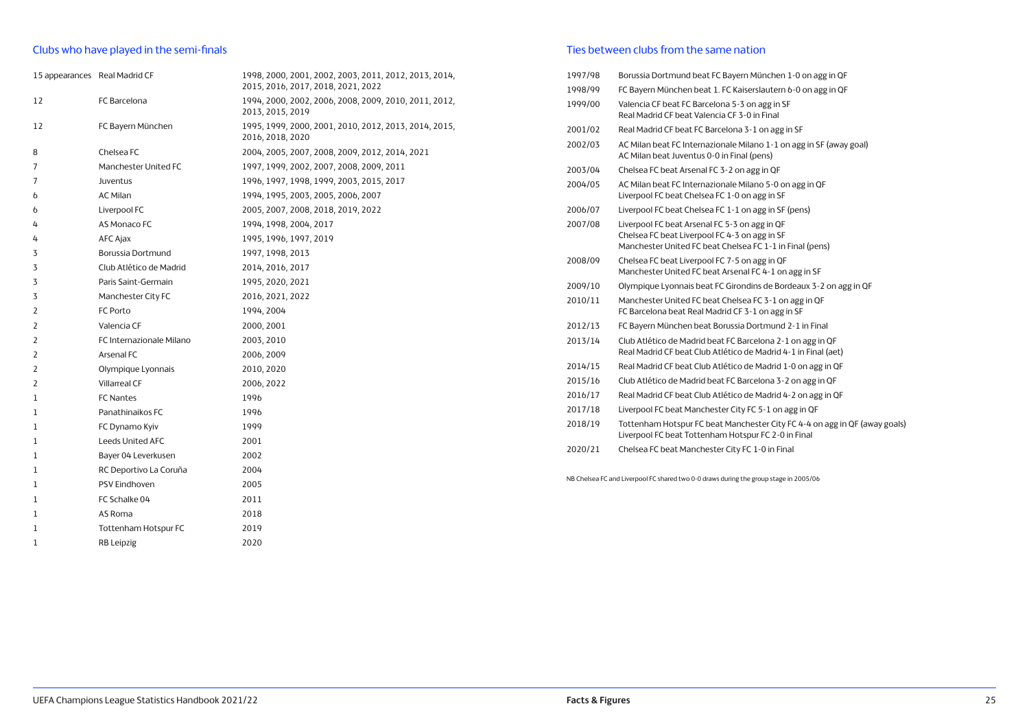## Clubs who have played in the semi-finals

| 15 appearances Real Madrid CF |                             | 1998, 2000, 2001, 2002, 2003, 2011, 2012, 2013, 2014,<br>2015, 2016, 2017, 2018, 2021, 2022 |
|-------------------------------|-----------------------------|---------------------------------------------------------------------------------------------|
| 12                            | FC Barcelona                | 1994, 2000, 2002, 2006, 2008, 2009, 2010, 2011, 2012,<br>2013, 2015, 2019                   |
| 12                            | FC Bayern München           | 1995, 1999, 2000, 2001, 2010, 2012, 2013, 2014, 2015,<br>2016, 2018, 2020                   |
| 8                             | Chelsea FC                  | 2004, 2005, 2007, 2008, 2009, 2012, 2014, 2021                                              |
| 7                             | Manchester United FC        | 1997, 1999, 2002, 2007, 2008, 2009, 2011                                                    |
| 7                             | Juventus                    | 1996, 1997, 1998, 1999, 2003, 2015, 2017                                                    |
| 6                             | <b>AC Milan</b>             | 1994, 1995, 2003, 2005, 2006, 2007                                                          |
| 6                             | Liverpool FC                | 2005, 2007, 2008, 2018, 2019, 2022                                                          |
| 4                             | AS Monaco FC                | 1994, 1998, 2004, 2017                                                                      |
| 4                             | AFC Ajax                    | 1995, 1996, 1997, 2019                                                                      |
| 3                             | Borussia Dortmund           | 1997, 1998, 2013                                                                            |
| 3                             | Club Atlético de Madrid     | 2014, 2016, 2017                                                                            |
| 3                             | Paris Saint-Germain         | 1995, 2020, 2021                                                                            |
| 3                             | Manchester City FC          | 2016, 2021, 2022                                                                            |
| 2                             | FC Porto                    | 1994, 2004                                                                                  |
| 2                             | Valencia CF                 | 2000, 2001                                                                                  |
| 2                             | FC Internazionale Milano    | 2003, 2010                                                                                  |
| 2                             | Arsenal FC                  | 2006, 2009                                                                                  |
| 2                             | Olympique Lyonnais          | 2010, 2020                                                                                  |
| 2                             | <b>Villarreal CF</b>        | 2006, 2022                                                                                  |
| $\mathbf{1}$                  | <b>FC Nantes</b>            | 1996                                                                                        |
| 1                             | Panathinaikos FC            | 1996                                                                                        |
| $\mathbf{1}$                  | FC Dynamo Kyiv              | 1999                                                                                        |
| 1                             | <b>Leeds United AFC</b>     | 2001                                                                                        |
| 1                             | Bayer 04 Leverkusen         | 2002                                                                                        |
| 1                             | RC Deportivo La Coruña      | 2004                                                                                        |
| 1                             | PSV Eindhoven               | 2005                                                                                        |
| 1                             | FC Schalke 04               | 2011                                                                                        |
| 1                             | AS Roma                     | 2018                                                                                        |
| 1                             | <b>Tottenham Hotspur FC</b> | 2019                                                                                        |
| 1                             | RB Leipzig                  | 2020                                                                                        |
|                               |                             |                                                                                             |

## Ties between clubs from the same nation

| 1997/98 | Borussia Dortmund beat FC Bayern München 1-0 on agg in QF                                                                                                  |
|---------|------------------------------------------------------------------------------------------------------------------------------------------------------------|
| 1998/99 | FC Bayern München beat 1. FC Kaiserslautern 6-0 on agg in QF                                                                                               |
| 1999/00 | Valencia CF beat FC Barcelona 5-3 on agg in SF<br>Real Madrid CF beat Valencia CF 3-0 in Final                                                             |
| 2001/02 | Real Madrid CF beat FC Barcelona 3-1 on agg in SF                                                                                                          |
| 2002/03 | AC Milan beat FC Internazionale Milano 1-1 on agg in SF (away goal)<br>AC Milan beat Juventus 0-0 in Final (pens)                                          |
| 2003/04 | Chelsea FC beat Arsenal FC 3-2 on agg in QF                                                                                                                |
| 2004/05 | AC Milan beat FC Internazionale Milano 5-0 on agg in QF<br>Liverpool FC beat Chelsea FC 1-0 on agg in SF                                                   |
| 2006/07 | Liverpool FC beat Chelsea FC 1-1 on agg in SF (pens)                                                                                                       |
| 2007/08 | Liverpool FC beat Arsenal FC 5-3 on agg in QF<br>Chelsea FC beat Liverpool FC 4-3 on agg in SF<br>Manchester United FC beat Chelsea FC 1-1 in Final (pens) |
| 2008/09 | Chelsea FC beat Liverpool FC 7-5 on agg in QF<br>Manchester United FC beat Arsenal FC 4-1 on agg in SF                                                     |
| 2009/10 | Olympique Lyonnais beat FC Girondins de Bordeaux 3-2 on agg in QF                                                                                          |
| 2010/11 | Manchester United FC beat Chelsea FC 3-1 on agg in QF<br>FC Barcelona beat Real Madrid CF 3-1 on agg in SF                                                 |
| 2012/13 | FC Bayern München beat Borussia Dortmund 2-1 in Final                                                                                                      |
| 2013/14 | Club Atlético de Madrid beat FC Barcelona 2-1 on agg in QF<br>Real Madrid CF beat Club Atlético de Madrid 4-1 in Final (aet)                               |
| 2014/15 | Real Madrid CF beat Club Atlético de Madrid 1-0 on agg in QF                                                                                               |
| 2015/16 | Club Atlético de Madrid beat FC Barcelona 3-2 on agg in QF                                                                                                 |
| 2016/17 | Real Madrid CF beat Club Atlético de Madrid 4-2 on agg in QF                                                                                               |
| 2017/18 | Liverpool FC beat Manchester City FC 5-1 on agg in QF                                                                                                      |
| 2018/19 | Tottenham Hotspur FC beat Manchester City FC 4-4 on agg in QF (away goals)<br>Liverpool FC beat Tottenham Hotspur FC 2-0 in Final                          |
| 2020/21 | Chelsea FC beat Manchester City FC 1-0 in Final                                                                                                            |
|         |                                                                                                                                                            |

NB Chelsea FC and Liverpool FC shared two 0-0 draws during the group stage in 2005/06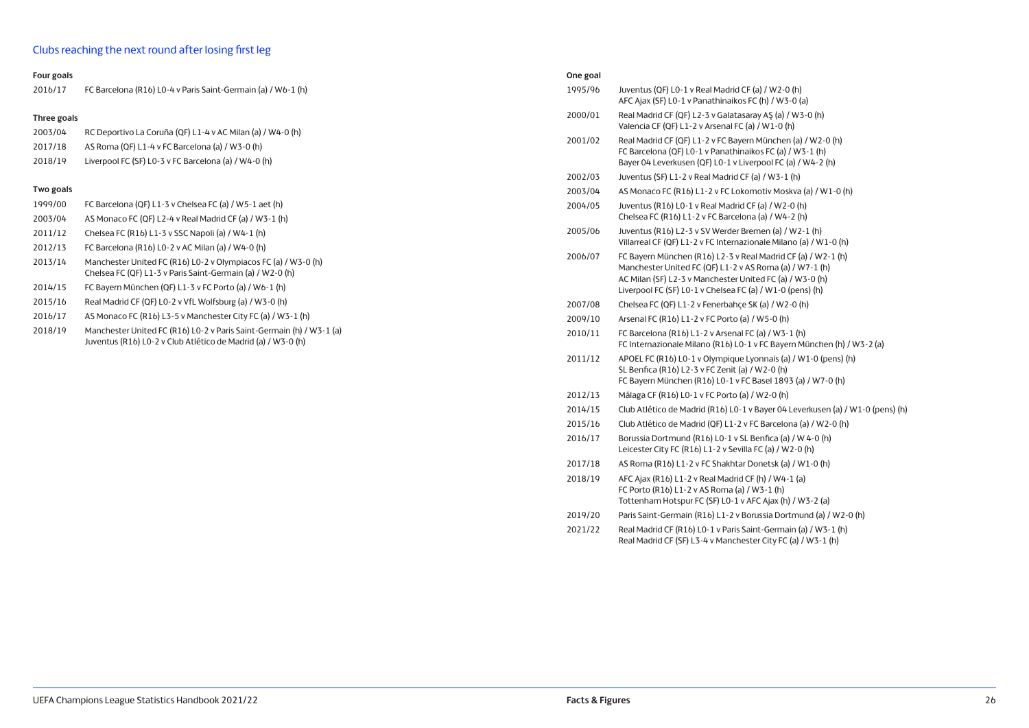## Clubs reaching the next round after losing first leg

#### **Four goals**

| 2016/17 | FC Barcelona (R16) L0-4 v Paris Saint-Germain (a) / W6-1 (h) |  |
|---------|--------------------------------------------------------------|--|
|---------|--------------------------------------------------------------|--|

#### **Three goals**

| 2003/04 | RC Deportivo La Coruña (QF) L1-4 v AC Milan (a) / W4-0 (h) |  |
|---------|------------------------------------------------------------|--|
|         |                                                            |  |

2017/18 AS Roma (QF) L1-4 v FC Barcelona (a) / W3-0 (h) 2018/19 Liverpool FC (SF) L0-3 v FC Barcelona (a) / W4-0 (h)

## **Two goals**

| 1999/00 | FC Barcelona (QF) L1-3 y Chelsea FC (a) / W5-1 aet (h) |
|---------|--------------------------------------------------------|
| 2003/04 | AS Monaco FC (OF) L2-4 v Real Madrid CF (a) / W3-1 (h) |
| 2011/12 | Chelsea FC (R16) L1-3 v SSC Napoli (a) / W4-1 (h)      |

- 2012/13 FC Barcelona (R16) L0-2 v AC Milan (a) / W4-0 (h)
- 2013/14 Manchester United FC (R16) L0-2 v Olympiacos FC (a) / W3-0 (h) Chelsea FC (QF) L1-3 v Paris Saint-Germain (a) / W2-0 (h)
- 2014/15 FC Bayern München (QF) L1-3 v FC Porto (a) / W6-1 (h)
- 2015/16 Real Madrid CF (QF) L0-2 v VfL Wolfsburg (a) / W3-0 (h)
- 2016/17 AS Monaco FC (R16) L3-5 v Manchester City FC (a) / W3-1 (h)
- 2018/19 Manchester United FC (R16) L0-2 v Paris Saint-Germain (h) / W3-1 (a) Juventus (R16) L0-2 v Club Atlético de Madrid (a) / W3-0 (h)

| One goal |                                                                                                                                                                                                                                                  |
|----------|--------------------------------------------------------------------------------------------------------------------------------------------------------------------------------------------------------------------------------------------------|
| 1995/96  | Juventus (QF) L0-1 v Real Madrid CF (a) / W2-0 (h)<br>AFC Ajax (SF) L0-1 v Panathinaikos FC (h) / W3-0 (a)                                                                                                                                       |
| 2000/01  | Real Madrid CF (QF) L2-3 v Galatasaray AŞ (a) / W3-0 (h)<br>Valencia CF (QF) L1-2 v Arsenal FC (a) / W1-0 (h)                                                                                                                                    |
| 2001/02  | Real Madrid CF (QF) L1-2 v FC Bayern München (a) / W2-0 (h)<br>FC Barcelona (QF) L0-1 v Panathinaikos FC (a) / W3-1 (h)<br>Bayer 04 Leverkusen (QF) L0-1 v Liverpool FC (a) / W4-2 (h)                                                           |
| 2002/03  | Juventus (SF) L1-2 v Real Madrid CF (a) / W3-1 (h)                                                                                                                                                                                               |
| 2003/04  | AS Monaco FC (R16) L1-2 v FC Lokomotiv Moskva (a) / W1-0 (h)                                                                                                                                                                                     |
| 2004/05  | Juventus (R16) L0-1 v Real Madrid CF (a) / W2-0 (h)<br>Chelsea FC (R16) L1-2 v FC Barcelona (a) / W4-2 (h)                                                                                                                                       |
| 2005/06  | Juventus (R16) L2-3 v SV Werder Bremen (a) / W2-1 (h)<br>Villarreal CF (QF) L1-2 v FC Internazionale Milano (a) / W1-0 (h)                                                                                                                       |
| 2006/07  | FC Bayern München (R16) L2-3 v Real Madrid CF (a) / W2-1 (h)<br>Manchester United FC (QF) L1-2 v AS Roma (a) / W7-1 (h)<br>AC Milan (SF) L2-3 v Manchester United FC (a) / W3-0 (h)<br>Liverpool FC (SF) L0-1 v Chelsea FC (a) / W1-0 (pens) (h) |
| 2007/08  | Chelsea FC (QF) L1-2 v Fenerbahce SK (a) / W2-0 (h)                                                                                                                                                                                              |
| 2009/10  | Arsenal FC (R16) L1-2 v FC Porto (a) / W5-0 (h)                                                                                                                                                                                                  |
| 2010/11  | FC Barcelona (R16) L1-2 v Arsenal FC (a) / W3-1 (h)<br>FC Internazionale Milano (R16) L0-1 v FC Bayern München (h) / W3-2 (a)                                                                                                                    |
| 2011/12  | APOEL FC (R16) L0-1 v Olympique Lyonnais (a) / W1-0 (pens) (h)<br>$C_1$ $D_1$ $E_2$ $(D11)$ $D_2$ $D_3$ $D_4$ $D_5$ $D_6$ $D_7$ $D_8$ $D_1$ $D_2$ $D_3$ $D_4$ $D_5$                                                                              |

- SL Benfica (R16) L2-3 v FC Zenit (a) / W2-0 (h) FC Bayern München (R16) L0-1 v FC Basel 1893 (a) / W7-0 (h)
- 2012/13 Málaga CF (R16) L0-1 v FC Porto (a) / W2-0 (h)
- 2014/15 Club Atlético de Madrid (R16) L0-1 v Bayer 04 Leverkusen (a) / W1-0 (pens) (h)
- 2015/16 Club Atlético de Madrid (QF) L1-2 v FC Barcelona (a) / W2-0 (h)
- 2016/17 Borussia Dortmund (R16) L0-1 v SL Benfica (a) / W 4-0 (h) Leicester City FC (R16) L1-2 v Sevilla FC (a) / W2-0 (h)
- 2017/18 AS Roma (R16) L1-2 v FC Shakhtar Donetsk (a) / W1-0 (h)
- 2018/19 AFC Ajax (R16) L1-2 v Real Madrid CF (h) / W4-1 (a) FC Porto (R16) L1-2 v AS Roma (a) / W3-1 (h) Tottenham Hotspur FC (SF) L0-1 v AFC Ajax (h) / W3-2 (a)
- 2019/20 Paris Saint-Germain (R16) L1-2 v Borussia Dortmund (a) / W2-0 (h)
- 2021/22 Real Madrid CF (R16) L0-1 v Paris Saint-Germain (a) / W3-1 (h) Real Madrid CF (SF) L3-4 v Manchester City FC (a) / W3-1 (h)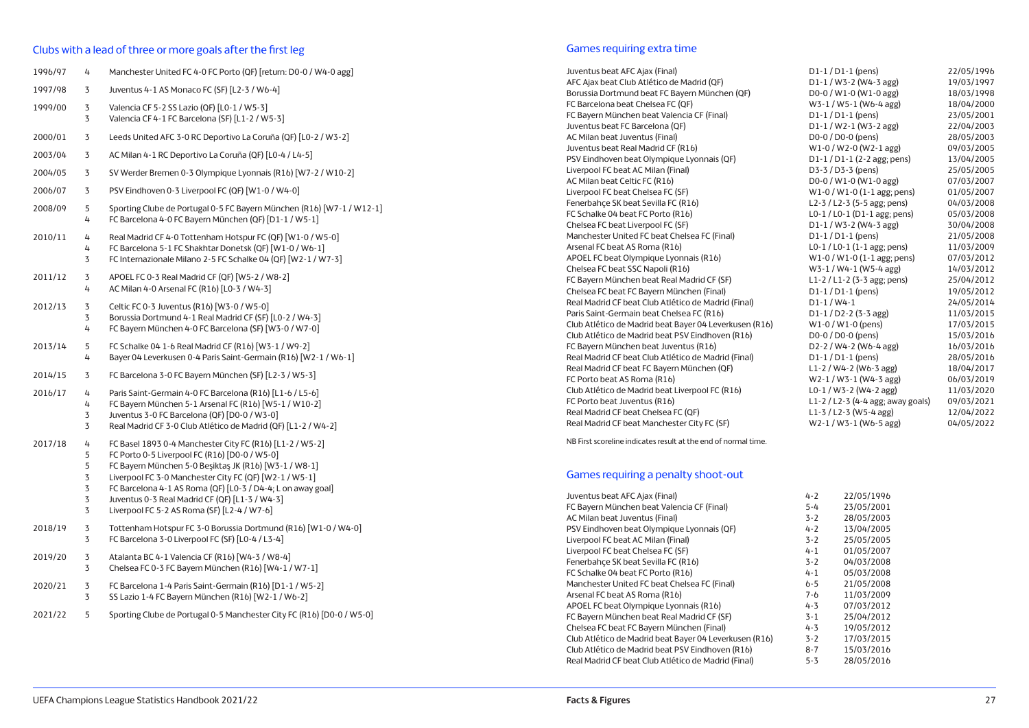#### Clubs with a lead of three or more goals after the first leg

| 1996/97 | 4                                         | Manchester United FC 4-0 FC Porto (QF) [return: D0-0 / W4-0 agg]                                                                                                                                                                                                                                                                                                                             |
|---------|-------------------------------------------|----------------------------------------------------------------------------------------------------------------------------------------------------------------------------------------------------------------------------------------------------------------------------------------------------------------------------------------------------------------------------------------------|
| 1997/98 | 3                                         | Juventus 4-1 AS Monaco FC (SF) [L2-3 / W6-4]                                                                                                                                                                                                                                                                                                                                                 |
| 1999/00 | 3<br>3                                    | Valencia CF 5-2 SS Lazio (QF) [L0-1 / W5-3]<br>Valencia CF 4-1 FC Barcelona (SF) [L1-2 / W5-3]                                                                                                                                                                                                                                                                                               |
| 2000/01 | 3                                         | Leeds United AFC 3-0 RC Deportivo La Coruña (QF) [L0-2 / W3-2]                                                                                                                                                                                                                                                                                                                               |
| 2003/04 | 3                                         | AC Milan 4-1 RC Deportivo La Coruña (QF) [L0-4 / L4-5]                                                                                                                                                                                                                                                                                                                                       |
| 2004/05 | 3                                         | SV Werder Bremen 0-3 Olympique Lyonnais (R16) [W7-2 / W10-2]                                                                                                                                                                                                                                                                                                                                 |
| 2006/07 | 3                                         | PSV Eindhoven 0-3 Liverpool FC (QF) [W1-0 / W4-0]                                                                                                                                                                                                                                                                                                                                            |
| 2008/09 | 5<br>4                                    | Sporting Clube de Portugal 0-5 FC Bayern München (R16) [W7-1 / W12-1]<br>FC Barcelona 4-0 FC Bayern München (QF) [D1-1 / W5-1]                                                                                                                                                                                                                                                               |
| 2010/11 | 4<br>4<br>3                               | Real Madrid CF 4-0 Tottenham Hotspur FC (QF) [W1-0 / W5-0]<br>FC Barcelona 5-1 FC Shakhtar Donetsk (QF) [W1-0 / W6-1]<br>FC Internazionale Milano 2-5 FC Schalke 04 (QF) [W2-1 / W7-3]                                                                                                                                                                                                       |
| 2011/12 | 3<br>4                                    | APOEL FC 0-3 Real Madrid CF (QF) [W5-2 / W8-2]<br>AC Milan 4-0 Arsenal FC (R16) [L0-3 / W4-3]                                                                                                                                                                                                                                                                                                |
| 2012/13 | 3<br>3<br>4                               | Celtic FC 0-3 Juventus (R16) [W3-0 / W5-0]<br>Borussia Dortmund 4-1 Real Madrid CF (SF) [L0-2 / W4-3]<br>FC Bayern München 4-0 FC Barcelona (SF) [W3-0 / W7-0]                                                                                                                                                                                                                               |
| 2013/14 | 5<br>4                                    | FC Schalke 04 1-6 Real Madrid CF (R16) [W3-1 / W9-2]<br>Bayer 04 Leverkusen 0-4 Paris Saint-Germain (R16) [W2-1 / W6-1]                                                                                                                                                                                                                                                                      |
| 2014/15 | 3                                         | FC Barcelona 3-0 FC Bayern München (SF) [L2-3 / W5-3]                                                                                                                                                                                                                                                                                                                                        |
| 2016/17 | 4<br>4<br>3<br>3                          | Paris Saint-Germain 4-0 FC Barcelona (R16) [L1-6 / L5-6]<br>FC Bayern München 5-1 Arsenal FC (R16) [W5-1 / W10-2]<br>Juventus 3-0 FC Barcelona (QF) [D0-0 / W3-0]<br>Real Madrid CF 3-0 Club Atlético de Madrid (QF) [L1-2 / W4-2]                                                                                                                                                           |
| 2017/18 | 4<br>5<br>5<br>$\mathbf 3$<br>3<br>3<br>3 | FC Basel 1893 0-4 Manchester City FC (R16) [L1-2 / W5-2]<br>FC Porto 0-5 Liverpool FC (R16) [D0-0 / W5-0]<br>FC Bayern München 5-0 Beşiktaş JK (R16) [W3-1 / W8-1]<br>Liverpool FC 3-0 Manchester City FC (QF) [W2-1 / W5-1]<br>FC Barcelona 4-1 AS Roma (QF) [L0-3 / D4-4; L on away goal]<br>Juventus 0-3 Real Madrid CF (QF) [L1-3 / W4-3]<br>Liverpool FC 5-2 AS Roma (SF) [L2-4 / W7-6] |
| 2018/19 | 3<br>3                                    | Tottenham Hotspur FC 3-0 Borussia Dortmund (R16) [W1-0 / W4-0]<br>FC Barcelona 3-0 Liverpool FC (SF) [L0-4 / L3-4]                                                                                                                                                                                                                                                                           |
| 2019/20 | 3<br>3                                    | Atalanta BC 4-1 Valencia CF (R16) [W4-3 / W8-4]<br>Chelsea FC 0-3 FC Bayern München (R16) [W4-1 / W7-1]                                                                                                                                                                                                                                                                                      |
| 2020/21 | 3<br>3                                    | FC Barcelona 1-4 Paris Saint-Germain (R16) [D1-1 / W5-2]<br>SS Lazio 1-4 FC Bayern München (R16) [W2-1 / W6-2]                                                                                                                                                                                                                                                                               |
| 2021/22 | 5                                         | Sporting Clube de Portugal 0-5 Manchester City FC (R16) [D0-0 / W5-0]                                                                                                                                                                                                                                                                                                                        |

#### Games requiring extra time

Juventus beat AFC Ajax (Final) D1-1 / D1-1 (pens) 22/05/1996 AFC Ajax beat Club Atlético de Madrid (QF) D1-1 / W3-2 (W4-3 agg) 19/03/1997 Borussia Dortmund beat FC Bayern München (QF)  $D0-0 / W1-0 (W1-0 \text{ age})$  18/03/1998 FC Barcelona beat Chelsea FC (QF) W3-1 / W5-1 (W6-4 agg) 18/04/2000 FC Bayern München beat Valencia CF (Final) D1-1 / D1-1 (pens) 23/05/2001 Juventus beat FC Barcelona (QF) D1-1 / W2-1 (W3-2 agg) 22/04/2003 AC Milan beat Juventus (Final) 28/05/2003 Juventus beat Real Madrid CF (R16) W1-0 / W2-0 (W2-1 agg) 09/03/2005<br>
PSV Eindhoven beat Olympique Lyonnais (QF) D1-1 / D1-1 (2-2 agg; pens) 13/04/2005 PSV Eindhoven beat Olympique Lyonnais (QF) D1-1 / D1-1 (2-2 agg; pens) 13/04/2005 Liverpool FC beat AC Milan (Final) D3-3 / D3-3 (pens) 25/05/2005 AC Milan beat Celtic FC (R16)  $D-0 / W1-0 (W1-0$  agg) 07/03/2007 Liverpool FC beat Chelsea FC (SF) W1-0 / W1-0 (1-1 agg; pens) 01/05/2007 Fenerbahçe SK beat Sevilla FC (R16) L2-3 / L2-3 (5-5 agg; pens) 04/03/2008 FC Schalke 04 beat FC Porto (R16) L0-1 / L0-1 (D1-1 agg; pens) 05/03/2008 Chelsea FC beat Liverpool FC (SF) D1-1 / W3-2 (W4-3 agg) 30/04/2008 Manchester United FC beat Chelsea FC (Final)  $D1-1/D1-1$  (pens) 21/05/2008 Arsenal FC beat AS Roma (R16) L0-1 / L0-1 (1-1 agg; pens) 11/03/2009 APOEL FC beat Olympique Lyonnais (R16) W1-0 / W1-0 (1-1 agg; pens) 07/03/2012 Chelsea FC beat SSC Napoli (R16) W3-1 / W4-1 (W5-4 agg) 14/03/2012<br>FC Bayern München beat Real Madrid CF (SF) L1-2 / L1-2 / L1-2 (3-3 agg; pens) 25/04/2012 FC Bayern München beat Real Madrid CF (SF) L1-2 / L1-2 (3-3 agg; pens) 25/04/2012 Chelsea FC beat FC Bayern München (Final) <br>
Real Madrid CF beat Club Atlético de Madrid (Final) <br>
D1-1 / W4-1 24/05/2014 Real Madrid CF beat Club Atlético de Madrid (Final) D1-1 / W4-1 24/05/2014 Paris Saint-Germain beat Chelsea FC (R16) D1-1 / D2-2 (3-3 agg) 11/03/2015 Club Atlético de Madrid beat Bayer 04 Leverkusen (R16) W1-0 / W1-0 (pens) 17/03/2015<br>Club Atlético de Madrid beat PSV Eindhoven (R16) D0-0 / D0-0 / D0-0 (pens) 15/03/2016 Club Atlético de Madrid beat PSV Eindhoven (R16) D0-0 / D0-0 (pens) 15/03/2016 FC Bayern München beat Juventus (R16) D2-2 / W4-2 (W6-4 agg) 16/03/2016 Real Madrid CF beat Club Atlético de Madrid (Final) D1-1 / D1-1 (pens) 28/05/2016 Real Madrid CF beat FC Bayern München (QF) L1-2 / W4-2 (W6-3 agg) 18/04/2017 FC Porto beat AS Roma (R16) W2-1 / W3-1 (W4-3 agg) 06/03/2019 Club Atlético de Madrid beat Liverpool FC (R16) L0-1 / W3-2 (W4-2 agg) 11/03/2020 FC Porto beat Juventus (R16) L1-2 / L2-3 (4-4 agg; away goals) 09/03/2021 Real Madrid CF beat Chelsea FC (QF) L1-3 / L2-3 (W5-4 agg) 12/04/2022 Real Madrid CF beat Manchester City FC (SF) W2-1 / W3-1 (W6-5 agg) 04/05/2022

NB First scoreline indicates result at the end of normal time.

#### Games requiring a penalty shoot-out

| Juventus beat AFC Ajax (Final)                         | $4 - 2$ | 22/05/1996 |
|--------------------------------------------------------|---------|------------|
| FC Bayern München beat Valencia CF (Final)             | $5 - 4$ | 23/05/2001 |
| AC Milan beat Juventus (Final)                         | $3 - 2$ | 28/05/2003 |
| PSV Eindhoven beat Olympique Lyonnais (QF)             | $4 - 2$ | 13/04/2005 |
| Liverpool FC beat AC Milan (Final)                     | $3 - 2$ | 25/05/2005 |
| Liverpool FC beat Chelsea FC (SF)                      | $4 - 1$ | 01/05/2007 |
| Fenerbahce SK beat Sevilla FC (R16)                    | $3 - 2$ | 04/03/2008 |
| FC Schalke 04 beat FC Porto (R16)                      | $4 - 1$ | 05/03/2008 |
| Manchester United FC beat Chelsea FC (Final)           | $6 - 5$ | 21/05/2008 |
| Arsenal FC beat AS Roma (R16)                          | 7-6     | 11/03/2009 |
| APOEL FC beat Olympique Lyonnais (R16)                 | $4 - 3$ | 07/03/2012 |
| FC Bayern München beat Real Madrid CF (SF)             | $3 - 1$ | 25/04/2012 |
| Chelsea FC beat FC Bayern München (Final)              | $4 - 3$ | 19/05/2012 |
| Club Atlético de Madrid beat Bayer 04 Leverkusen (R16) | $3 - 2$ | 17/03/2015 |
| Club Atlético de Madrid beat PSV Eindhoven (R16)       | $8 - 7$ | 15/03/2016 |
| Real Madrid CF beat Club Atlético de Madrid (Final)    | $5 - 3$ | 28/05/2016 |
|                                                        |         |            |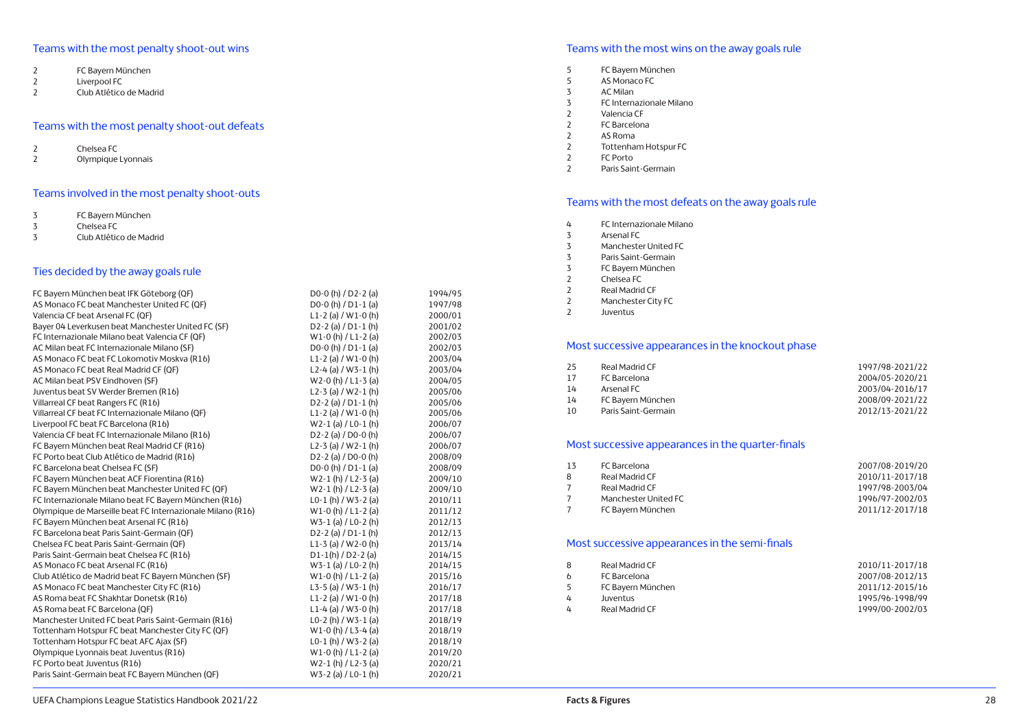## Teams with the most penalty shoot-out wins

- 2 FC Bayern München<br>2 Liverpool FC
- 2 Liverpool FC<br>2 Club Atlético
- 2 Club Atlético de Madrid

## Teams with the most penalty shoot-out defeats

- 2 Chelsea FC<br>2 Olympique
- 2 Olympique Lyonnais

## Teams involved in the most penalty shoot-outs

- 3 FC Bayern München
- 3 Chelsea FC<br>3 Club Atlétic
- 3 Club Atlético de Madrid

## Ties decided by the away goals rule

| FC Bayern München beat IFK Göteborg (QF)                   | D0-0 (h) / D2-2 (a)                           | 1994/95 |
|------------------------------------------------------------|-----------------------------------------------|---------|
| AS Monaco FC beat Manchester United FC (QF)                | D <sub>0</sub> -0 (h) $/D1-1$ (a)             | 1997/98 |
| Valencia CF beat Arsenal FC (QF)                           | L1-2 (a) / W1-0 (h)                           | 2000/01 |
| Bayer 04 Leverkusen beat Manchester United FC (SF)         | $D2 - 2$ (a) / $D1 - 1$ (h)                   | 2001/02 |
| FC Internazionale Milano beat Valencia CF (QF)             | $W1-0(h)/L1-2(a)$                             | 2002/03 |
| AC Milan beat FC Internazionale Milano (SF)                | D <sub>0</sub> -0 (h) $/D1-1$ (a)             | 2002/03 |
| AS Monaco FC beat FC Lokomotiv Moskva (R16)                | L <sub>1</sub> -2 (a) / W <sub>1</sub> -0 (h) | 2003/04 |
| AS Monaco FC beat Real Madrid CF (QF)                      | L2-4 (a) / W3-1 (h)                           | 2003/04 |
| AC Milan beat PSV Eindhoven (SF)                           | $W2-0$ (h) / L1-3 (a)                         | 2004/05 |
| Juventus beat SV Werder Bremen (R16)                       | L2-3 (a) / W2-1 (h)                           | 2005/06 |
| Villarreal CF beat Rangers FC (R16)                        | D2-2 (a) $/$ D1-1 (h)                         | 2005/06 |
| Villarreal CF beat FC Internazionale Milano (QF)           | L1-2 (a) / W1-0 (h)                           | 2005/06 |
| Liverpool FC beat FC Barcelona (R16)                       | $W2-1$ (a) / L0-1 (h)                         | 2006/07 |
| Valencia CF beat FC Internazionale Milano (R16)            | D <sub>2</sub> -2 (a) / D <sub>0</sub> -0 (h) | 2006/07 |
| FC Bayern München beat Real Madrid CF (R16)                | L2-3 (a) / W2-1 (h)                           | 2006/07 |
| FC Porto beat Club Atlético de Madrid (R16)                | D2-2 (a) / D0-0 (h)                           | 2008/09 |
| FC Barcelona beat Chelsea FC (SF)                          | D <sub>0</sub> -0 (h) $/D1-1$ (a)             | 2008/09 |
| FC Bayern München beat ACF Fiorentina (R16)                | $W2-1(h)/L2-3(a)$                             | 2009/10 |
| FC Bayern München beat Manchester United FC (QF)           | $W2-1(h)/L2-3(h)$                             | 2009/10 |
| FC Internazionale Milano beat FC Bayern München (R16)      | L0-1 (h) / W3-2 (a)                           | 2010/11 |
| Olympique de Marseille beat FC Internazionale Milano (R16) | $W1-0(h)/L1-2(a)$                             | 2011/12 |
| FC Bayern München beat Arsenal FC (R16)                    | W3-1 (a) / L0-2 (h)                           | 2012/13 |
| FC Barcelona beat Paris Saint-Germain (QF)                 | $D2 - 2$ (a) / $D1 - 1$ (h)                   | 2012/13 |
| Chelsea FC beat Paris Saint-Germain (QF)                   | L1-3 (a) / W2-0 (h)                           | 2013/14 |
| Paris Saint-Germain beat Chelsea FC (R16)                  | $D1-1(h) / D2-2 (a)$                          | 2014/15 |
| AS Monaco FC beat Arsenal FC (R16)                         | $W3-1$ (a) / L0-2 (h)                         | 2014/15 |
| Club Atlético de Madrid beat FC Bayern München (SF)        | $W1-0(h)/L1-2(a)$                             | 2015/16 |
| AS Monaco FC beat Manchester City FC (R16)                 | L3-5 (a) / W3-1 (h)                           | 2016/17 |
| AS Roma beat FC Shakhtar Donetsk (R16)                     | L <sub>1</sub> -2 (a) / W <sub>1</sub> -0 (h) | 2017/18 |
| AS Roma beat FC Barcelona (QF)                             | L <sub>1</sub> -4 (a) / W <sub>3</sub> -0 (h) | 2017/18 |
| Manchester United FC beat Paris Saint-Germain (R16)        | L0-2 (h) / $W3-1$ (a)                         | 2018/19 |
| Tottenham Hotspur FC beat Manchester City FC (QF)          | $W1-0(h)/L3-4(a)$                             | 2018/19 |
| Tottenham Hotspur FC beat AFC Ajax (SF)                    | L0-1 (h) / W3-2 (a)                           | 2018/19 |
| Olympique Lyonnais beat Juventus (R16)                     | $W1-0(h)/L1-2(a)$                             | 2019/20 |
| FC Porto beat Juventus (R16)                               | $W2-1$ (h) / L2-3 (a)                         | 2020/21 |
| Paris Saint-Germain beat FC Bayern München (QF)            | W3-2 (a) / L0-1 (h)                           | 2020/21 |
|                                                            |                                               |         |

## Teams with the most wins on the away goals rule

- 5 FC Bayern München
- 5 AS Monaco FC<br>3 AC Milan
- 3 AC Milan<br>3 FC Interna
- 3 FC Internazionale Milano
- 2 Valencia CF<br>2 FC Barcelona
- FC Barcelona
- 2 AS Roma
- 2 Tottenham Hotspur FC
- 2 FC Porto<br>2 Paris Sair
- Paris Saint-Germain

## Teams with the most defeats on the away goals rule

- 4 FC Internazionale Milano
- 3 Arsenal FC
- 3 Manchester United FC<br>3 Paris Saint-Germain
- 3 Paris Saint-Germain<br>3 FC Bayern München
- 3 FC Bayern München<br>2 Chelsea FC
- 2 Chelsea FC<br>2 Real Madrid
- Real Madrid CF
- 2 Manchester City FC<br>2 Juventus
- **Juventus**

#### Most successive appearances in the knockout phase

| 25 | Real Madrid CF      | 1997/98-2021/22 |
|----|---------------------|-----------------|
| 17 | FC Barcelona        | 2004/05-2020/21 |
| 14 | Arsenal FC          | 2003/04-2016/17 |
| 14 | FC Bavern München   | 2008/09-2021/22 |
| 10 | Paris Saint-Germain | 2012/13-2021/22 |

#### Most successive appearances in the quarter-finals

|                      | 2007/08-2019/20 |
|----------------------|-----------------|
| Real Madrid CF       | 2010/11-2017/18 |
| Real Madrid CF       | 1997/98-2003/04 |
| Manchester United FC | 1996/97-2002/03 |
| FC Bayern München    | 2011/12-2017/18 |
|                      | FC Barcelona    |

## Most successive appearances in the semi-finals

| 8  | Real Madrid CF    | 2010/11-2017/18 |
|----|-------------------|-----------------|
| b  | FC Barcelona      | 2007/08-2012/13 |
| -5 | FC Bayern München | 2011/12-2015/16 |
| 4  | Juventus          | 1995/96-1998/99 |
| Щ  | Real Madrid CF    | 1999/00-2002/03 |